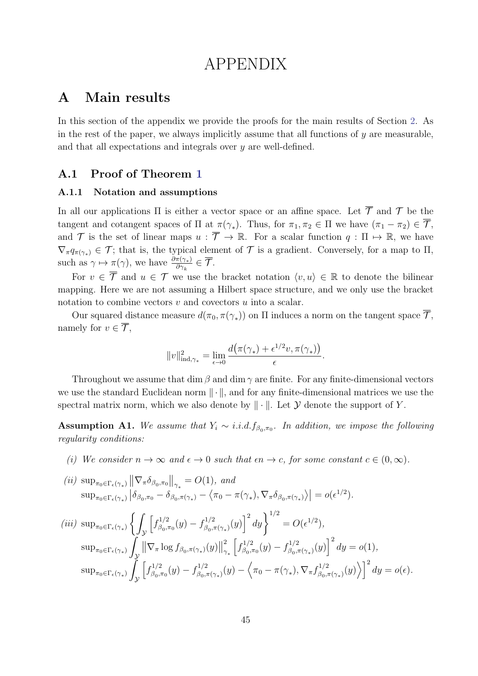# APPENDIX

## A Main results

In this section of the appendix we provide the proofs for the main results of Section [2.](#page--1-0) As in the rest of the paper, we always implicitly assume that all functions of  $y$  are measurable, and that all expectations and integrals over y are well-defined.

## A.1 Proof of Theorem [1](#page--1-1)

#### A.1.1 Notation and assumptions

In all our applications  $\Pi$  is either a vector space or an affine space. Let  $\overline{\mathcal{T}}$  and  $\mathcal{T}$  be the tangent and cotangent spaces of  $\Pi$  at  $\pi(\gamma_*)$ . Thus, for  $\pi_1, \pi_2 \in \Pi$  we have  $(\pi_1 - \pi_2) \in \overline{\mathcal{T}}$ , and  $\mathcal T$  is the set of linear maps  $u : \overline{\mathcal T} \to \mathbb R$ . For a scalar function  $q : \Pi \mapsto \mathbb R$ , we have  $\nabla_{\pi} q_{\pi(\gamma_*)} \in \mathcal{T}$ ; that is, the typical element of  $\mathcal T$  is a gradient. Conversely, for a map to  $\Pi$ , such as  $\gamma \mapsto \pi(\gamma)$ , we have  $\frac{\partial \pi(\gamma_*)}{\partial \gamma_+}$  $\frac{\pi(\gamma_*)}{\partial \gamma_k}\in \mathcal{T}.$ 

For  $v \in \overline{\mathcal{T}}$  and  $u \in \mathcal{T}$  we use the bracket notation  $\langle v, u \rangle \in \mathbb{R}$  to denote the bilinear mapping. Here we are not assuming a Hilbert space structure, and we only use the bracket notation to combine vectors  $v$  and covectors  $u$  into a scalar.

Our squared distance measure  $d(\pi_0, \pi(\gamma_*))$  on  $\Pi$  induces a norm on the tangent space  $\mathcal{T}$ , namely for  $v \in \overline{\mathcal{T}}$ ,

$$
||v||_{\mathrm{ind},\gamma_*}^2 = \lim_{\epsilon \to 0} \frac{d\big(\pi(\gamma_*) + \epsilon^{1/2}v, \pi(\gamma_*)\big)}{\epsilon}.
$$

Throughout we assume that dim  $\beta$  and dim  $\gamma$  are finite. For any finite-dimensional vectors we use the standard Euclidean norm  $\|\cdot\|$ , and for any finite-dimensional matrices we use the spectral matrix norm, which we also denote by  $\|\cdot\|$ . Let  $\mathcal Y$  denote the support of Y.

<span id="page-0-0"></span>**Assumption A1.** We assume that  $Y_i \sim i.i.d. f_{\beta_0,\pi_0}$ . In addition, we impose the following regularity conditions:

(i) We consider  $n \to \infty$  and  $\epsilon \to 0$  such that  $\epsilon n \to c$ , for some constant  $c \in (0,\infty)$ .

$$
(ii) \sup_{\pi_0 \in \Gamma_{\epsilon}(\gamma_*)} \left\| \nabla_{\pi} \delta_{\beta_0, \pi_0} \right\|_{\gamma_*} = O(1), \text{ and}
$$
  
\n
$$
\sup_{\pi_0 \in \Gamma_{\epsilon}(\gamma_*)} \left| \delta_{\beta_0, \pi_0} - \delta_{\beta_0, \pi(\gamma_*)} - \langle \pi_0 - \pi(\gamma_*) , \nabla_{\pi} \delta_{\beta_0, \pi(\gamma_*)} \rangle \right| = o(\epsilon^{1/2}).
$$
  
\n(iii) 
$$
\sup_{\pi_0 \in \Gamma_{\epsilon}(\gamma_*)} \left\{ \int_{\mathcal{Y}} \left[ f_{\beta_0, \pi_0}^{1/2}(y) - f_{\beta_0, \pi(\gamma_*)}^{1/2}(y) \right]^2 dy \right\}^{1/2} = O(\epsilon^{1/2}),
$$
  
\n
$$
\sup_{\pi_0 \in \Gamma_{\epsilon}(\gamma_*)} \int_{\mathcal{Y}} \left\| \nabla_{\pi} \log f_{\beta_0, \pi(\gamma_*)}(y) \right\|_{\gamma_*}^2 \left[ f_{\beta_0, \pi_0}^{1/2}(y) - f_{\beta_0, \pi(\gamma_*)}^{1/2}(y) \right]^2 dy = o(1),
$$
  
\n
$$
\sup_{\pi_0 \in \Gamma_{\epsilon}(\gamma_*)} \int_{\mathcal{Y}} \left[ f_{\beta_0, \pi_0}^{1/2}(y) - f_{\beta_0, \pi(\gamma_*)}^{1/2}(y) - \langle \pi_0 - \pi(\gamma_*) , \nabla_{\pi} f_{\beta_0, \pi(\gamma_*)}^{1/2}(y) \rangle \right]^2 dy = o(\epsilon).
$$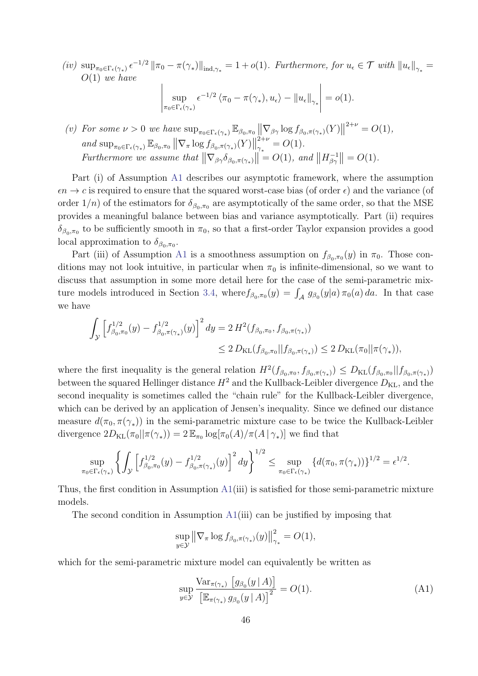$(iv) \ \sup_{\pi_0 \in \Gamma_{\epsilon}(\gamma_*)} \epsilon^{-1/2} \left\| \pi_0 - \pi(\gamma_*) \right\|_{\text{ind},\gamma_*} = 1 + o(1)$ . Furthermore, for  $u_{\epsilon} \in \mathcal{T}$  with  $\left\| u_{\epsilon} \right\|_{\gamma_*} =$  $O(1)$  we have

$$
\left| \sup_{\pi_0 \in \Gamma_{\epsilon}(\gamma_*)} \epsilon^{-1/2} \left\langle \pi_0 - \pi(\gamma_*) , u_\epsilon \right\rangle - ||u_\epsilon||_{\gamma_*} \right| = o(1).
$$

(v) For some  $\nu > 0$  we have  $\sup_{\pi_0 \in \Gamma_{\epsilon}(\gamma_*)} \mathbb{E}_{\beta_0, \pi_0} \left\| \nabla_{\beta \gamma} \log f_{\beta_0, \pi(\gamma_*)}(Y) \right\|$  $2^{+\nu} = O(1),$ and  $\sup_{\pi_0 \in \Gamma_{\epsilon}(\gamma_*)} \mathbb{E}_{\beta_0, \pi_0} || \nabla_{\pi} \log f_{\beta_0, \pi(\gamma_*)}(Y)||$  $2+\nu$  $\frac{2+\nu}{\gamma_*}=O(1).$ Furthermore we assume that  $\|\nabla_{\beta\gamma}\delta_{\beta_0,\pi(\gamma_*)}\| = O(1)$ , and  $\|H_{\beta\gamma}^{-1}\|$  $\|\frac{-1}{\beta\gamma}\| = O(1).$ 

Part (i) of Assumption [A1](#page-0-0) describes our asymptotic framework, where the assumption  $\epsilon n \to c$  is required to ensure that the squared worst-case bias (of order  $\epsilon$ ) and the variance (of order  $1/n$ ) of the estimators for  $\delta_{\beta_0,\pi_0}$  are asymptotically of the same order, so that the MSE provides a meaningful balance between bias and variance asymptotically. Part (ii) requires  $\delta_{\beta_0,\pi_0}$  to be sufficiently smooth in  $\pi_0$ , so that a first-order Taylor expansion provides a good local approximation to  $\delta_{\beta_0,\pi_0}$ .

Part (iii) of Assumption [A1](#page-0-0) is a smoothness assumption on  $f_{\beta_0,\pi_0}(y)$  in  $\pi_0$ . Those conditions may not look intuitive, in particular when  $\pi_0$  is infinite-dimensional, so we want to discuss that assumption in some more detail here for the case of the semi-parametric mix-ture models introduced in Section [3.4,](#page--1-2) where  $f_{\beta_0,\pi_0}(y) = \int_{\mathcal{A}} g_{\beta_0}(y|a) \pi_0(a) da$ . In that case we have

$$
\int_{\mathcal{Y}} \left[ f_{\beta_0, \pi_0}^{1/2}(y) - f_{\beta_0, \pi(\gamma_*)}^{1/2}(y) \right]^2 dy = 2 H^2(f_{\beta_0, \pi_0}, f_{\beta_0, \pi(\gamma_*)})
$$
  

$$
\leq 2 D_{\text{KL}}(f_{\beta_0, \pi_0} || f_{\beta_0, \pi(\gamma_*)}) \leq 2 D_{\text{KL}}(\pi_0 || \pi(\gamma_*)),
$$

where the first inequality is the general relation  $H^2(f_{\beta_0,\pi_0}, f_{\beta_0,\pi(\gamma_*)}) \leq D_{\text{KL}}(f_{\beta_0,\pi_0}||f_{\beta_0,\pi(\gamma_*)})$ between the squared Hellinger distance  $H^2$  and the Kullback-Leibler divergence  $D_{\text{KL}}$ , and the second inequality is sometimes called the "chain rule" for the Kullback-Leibler divergence, which can be derived by an application of Jensen's inequality. Since we defined our distance measure  $d(\pi_0, \pi(\gamma_*))$  in the semi-parametric mixture case to be twice the Kullback-Leibler divergence  $2D_{\text{KL}}(\pi_0||\pi(\gamma_*)) = 2 \mathbb{E}_{\pi_0} \log[\pi_0(A)/\pi(A|\gamma_*)]$  we find that

$$
\sup_{\pi_0 \in \Gamma_{\epsilon}(\gamma_*)} \left\{ \int_{\mathcal{Y}} \left[ f_{\beta_0, \pi_0}^{1/2}(y) - f_{\beta_0, \pi(\gamma_*)}^{1/2}(y) \right]^2 dy \right\}^{1/2} \leq \sup_{\pi_0 \in \Gamma_{\epsilon}(\gamma_*)} \left\{ d(\pi_0, \pi(\gamma_*)) \right\}^{1/2} = \epsilon^{1/2}.
$$

Thus, the first condition in Assumption  $A1(iii)$  $A1(iii)$  is satisfied for those semi-parametric mixture models.

The second condition in Assumption  $A1(iii)$  $A1(iii)$  can be justified by imposing that

$$
\sup_{y \in \mathcal{Y}} \left\| \nabla_{\pi} \log f_{\beta_0, \pi(\gamma_*)}(y) \right\|_{\gamma_*}^2 = O(1),
$$

which for the semi-parametric mixture model can equivalently be written as

<span id="page-1-0"></span>
$$
\sup_{y \in \mathcal{Y}} \frac{\text{Var}_{\pi(\gamma_*)} \left[ g_{\beta_0}(y \mid A) \right]}{\left[ \mathbb{E}_{\pi(\gamma_*)} g_{\beta_0}(y \mid A) \right]^2} = O(1). \tag{A1}
$$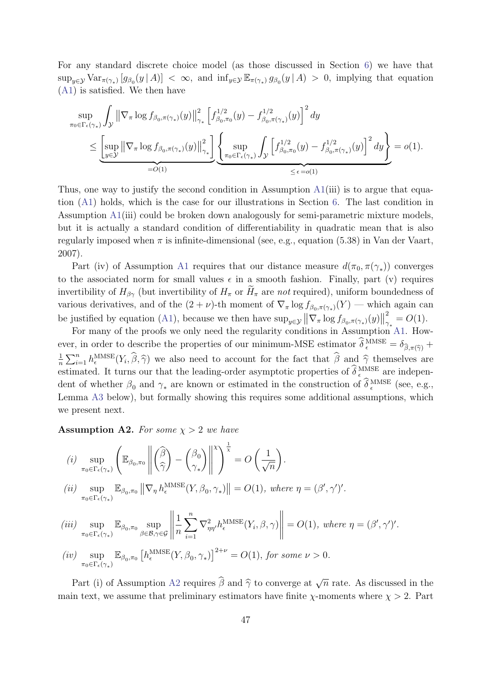For any standard discrete choice model (as those discussed in Section [6\)](#page--1-3) we have that  $\sup_{y\in\mathcal{Y}} \text{Var}_{\pi(\gamma_*)} [g_{\beta_0}(y \mid A)] < \infty$ , and  $\inf_{y\in\mathcal{Y}} \mathbb{E}_{\pi(\gamma_*)} g_{\beta_0}(y \mid A) > 0$ , implying that equation [\(A1\)](#page-1-0) is satisfied. We then have

$$
\sup_{\pi_0 \in \Gamma_{\epsilon}(\gamma_*)} \int_{\mathcal{Y}} \left\| \nabla_{\pi} \log f_{\beta_0, \pi(\gamma_*)}(y) \right\|_{\gamma_*}^2 \left[ f_{\beta_0, \pi_0}^{1/2}(y) - f_{\beta_0, \pi(\gamma_*)}^{1/2}(y) \right]^2 dy
$$
\n
$$
\leq \underbrace{\left[ \sup_{y \in \mathcal{Y}} \left\| \nabla_{\pi} \log f_{\beta_0, \pi(\gamma_*)}(y) \right\|_{\gamma_*}^2 \right]}_{=O(1)} \underbrace{\left\{ \sup_{\pi_0 \in \Gamma_{\epsilon}(\gamma_*)} \int_{\mathcal{Y}} \left[ f_{\beta_0, \pi_0}^{1/2}(y) - f_{\beta_0, \pi(\gamma_*)}^{1/2}(y) \right]^2 dy \right\}}_{\leq \epsilon = o(1)} = o(1).
$$

Thus, one way to justify the second condition in Assumption [A1\(](#page-0-0)iii) is to argue that equation [\(A1\)](#page-1-0) holds, which is the case for our illustrations in Section [6.](#page--1-3) The last condition in Assumption [A1\(](#page-0-0)iii) could be broken down analogously for semi-parametric mixture models, but it is actually a standard condition of differentiability in quadratic mean that is also regularly imposed when  $\pi$  is infinite-dimensional (see, e.g., equation (5.38) in Van der Vaart, 2007).

Part (iv) of Assumption [A1](#page-0-0) requires that our distance measure  $d(\pi_0, \pi(\gamma_*))$  converges to the associated norm for small values  $\epsilon$  in a smooth fashion. Finally, part (v) requires invertibility of  $H_{\beta\gamma}$  (but invertibility of  $H_{\pi}$  or  $H_{\pi}$  are not required), uniform boundedness of various derivatives, and of the  $(2 + \nu)$ -th moment of  $\nabla_{\pi} \log f_{\beta_0, \pi(\gamma_*)}(Y)$  — which again can be justified by equation [\(A1\)](#page-1-0), because we then have  $\sup_{y \in \mathcal{Y}} ||\nabla_{\pi} \log f_{\beta_0, \pi(\gamma_*)}(y)||$ 2  $\frac{2}{\gamma_*} = O(1).$ 

For many of the proofs we only need the regularity conditions in Assumption [A1.](#page-0-0) However, in order to describe the properties of our minimum-MSE estimator  $\delta_{\epsilon}^{MMSE} = \delta_{\hat{\beta}, \pi(\hat{\gamma})} +$ 1  $\frac{1}{n}\sum_{i=1}^{n} h_{\epsilon}^{\text{MMSE}}(Y_i, \hat{\beta}, \hat{\gamma})$  we also need to account for the fact that  $\hat{\beta}$  and  $\hat{\gamma}$  themselves are estimated. It turns our that the leading-order asymptotic properties of  $\delta_{\epsilon}^{\text{MMSE}}$  are independent of whether  $\beta_0$  and  $\gamma_*$  are known or estimated in the construction of  $\delta_{\epsilon}^{\text{MMSE}}$  (see, e.g., Lemma [A3](#page-3-0) below), but formally showing this requires some additional assumptions, which we present next.

<span id="page-2-0"></span>**Assumption A2.** For some  $\chi > 2$  we have

(i) 
$$
\sup_{\pi_0 \in \Gamma_{\epsilon}(\gamma_*)} \left( \mathbb{E}_{\beta_0, \pi_0} \left\| \left( \frac{\hat{\beta}}{\hat{\gamma}} \right) - \left( \frac{\beta_0}{\gamma_*} \right) \right\|^{\frac{1}{\chi}} \right)^{\frac{1}{\chi}} = O\left(\frac{1}{\sqrt{n}}\right).
$$
  
\n(ii) 
$$
\sup_{\pi_0 \in \Gamma_{\epsilon}(\gamma_*)} \mathbb{E}_{\beta_0, \pi_0} \left\| \nabla_{\eta} h_{\epsilon}^{\text{MMSE}}(Y, \beta_0, \gamma_*) \right\| = O(1), \text{ where } \eta = (\beta', \gamma').
$$
  
\n(iii) 
$$
\sup_{\pi_0 \in \Gamma_{\epsilon}(\gamma_*)} \mathbb{E}_{\beta_0, \pi_0} \sup_{\beta \in \mathcal{B}, \gamma \in \mathcal{G}} \left\| \frac{1}{n} \sum_{i=1}^n \nabla_{\eta \eta'}^2 h_{\epsilon}^{\text{MMSE}}(Y_i, \beta, \gamma) \right\| = O(1), \text{ where } \eta = (\beta', \gamma').
$$
  
\n(iv) 
$$
\sup_{\pi_0 \in \Gamma_{\epsilon}(\gamma_*)} \mathbb{E}_{\beta_0, \pi_0} \left[ h_{\epsilon}^{\text{MMSE}}(Y, \beta_0, \gamma_*) \right]^{2+\nu} = O(1), \text{ for some } \nu > 0.
$$

Part (i) of Assumption [A2](#page-2-0) requires  $\hat{\beta}$  and  $\hat{\gamma}$  to converge at  $\sqrt{\alpha}$  $\overline{n}$  rate. As discussed in the main text, we assume that preliminary estimators have finite  $\chi$ -moments where  $\chi > 2$ . Part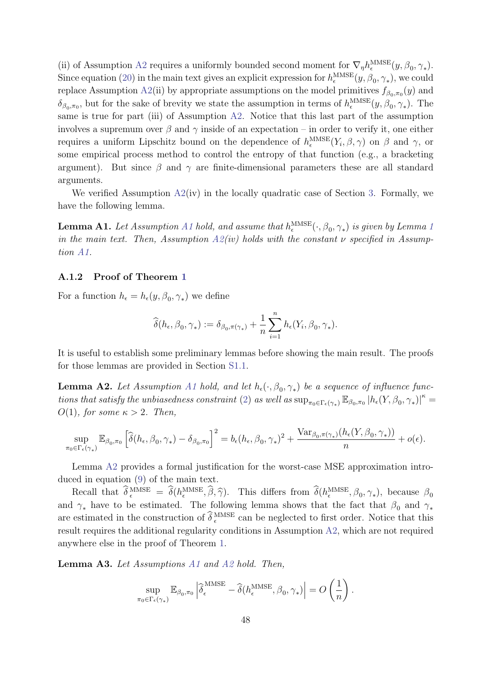(ii) of Assumption [A2](#page-2-0) requires a uniformly bounded second moment for  $\nabla_{\eta}h_{\epsilon}^{\text{MMSE}}(y, \beta_0, \gamma_*)$ . Since equation [\(20\)](#page--1-4) in the main text gives an explicit expression for  $h_{\epsilon}^{\text{MMSE}}(y, \beta_0, \gamma_*)$ , we could replace Assumption [A2\(](#page-2-0)ii) by appropriate assumptions on the model primitives  $f_{\beta_0,\pi_0}(y)$  and  $\delta_{\beta_0,\pi_0}$ , but for the sake of brevity we state the assumption in terms of  $h_{\epsilon}^{\text{MMSE}}(y,\beta_0,\gamma_*)$ . The same is true for part (iii) of Assumption [A2.](#page-2-0) Notice that this last part of the assumption involves a supremum over  $\beta$  and  $\gamma$  inside of an expectation – in order to verify it, one either requires a uniform Lipschitz bound on the dependence of  $h_{\epsilon}^{\text{MMSE}}(Y_i, \beta, \gamma)$  on  $\beta$  and  $\gamma$ , or some empirical process method to control the entropy of that function (e.g., a bracketing argument). But since  $\beta$  and  $\gamma$  are finite-dimensional parameters these are all standard arguments.

We verified Assumption  $A2(iv)$  $A2(iv)$  in the locally quadratic case of Section [3.](#page--1-5) Formally, we have the following lemma.

<span id="page-3-2"></span>**Lemma [A1](#page-0-0).** Let Assumption A[1](#page--1-6) hold, and assume that  $h_{\epsilon}^{\text{MMSE}}(\cdot, \beta_0, \gamma_*)$  is given by Lemma 1 in the main text. Then, Assumption  $A2(iv)$  $A2(iv)$  holds with the constant  $\nu$  specified in Assumption [A1.](#page-0-0)

#### A.1.2 Proof of Theorem [1](#page--1-1)

For a function  $h_{\epsilon} = h_{\epsilon}(y, \beta_0, \gamma_*)$  we define

$$
\widehat{\delta}(h_{\epsilon}, \beta_0, \gamma_*) := \delta_{\beta_0, \pi(\gamma_*)} + \frac{1}{n} \sum_{i=1}^n h_{\epsilon}(Y_i, \beta_0, \gamma_*).
$$

It is useful to establish some preliminary lemmas before showing the main result. The proofs for those lemmas are provided in Section [S1.1.](#page-9-0)

<span id="page-3-1"></span>**Lemma A2.** Let Assumption [A1](#page-0-0) hold, and let  $h_{\epsilon}(\cdot, \beta_0, \gamma_*)$  be a sequence of influence func-tions that satisfy the unbiasedness constraint [\(2\)](#page--1-7) as well as  $\sup_{\pi_0 \in \Gamma_{\epsilon}(\gamma_*)} \mathbb{E}_{\beta_0, \pi_0} |h_{\epsilon}(Y, \beta_0, \gamma_*)|^{\kappa} =$  $O(1)$ , for some  $\kappa > 2$ . Then,

$$
\sup_{\pi_0 \in \Gamma_{\epsilon}(\gamma_*)} \mathbb{E}_{\beta_0, \pi_0} \left[ \widehat{\delta}(h_{\epsilon}, \beta_0, \gamma_*) - \delta_{\beta_0, \pi_0} \right]^2 = b_{\epsilon}(h_{\epsilon}, \beta_0, \gamma_*)^2 + \frac{\text{Var}_{\beta_0, \pi(\gamma_*)}(h_{\epsilon}(Y, \beta_0, \gamma_*))}{n} + o(\epsilon).
$$

Lemma [A2](#page-3-1) provides a formal justification for the worst-case MSE approximation introduced in equation [\(9\)](#page--1-8) of the main text.

Recall that  $\delta_{\epsilon}^{\text{MMSE}} = \delta(h_{\epsilon}^{\text{MMSE}}, \hat{\beta}, \hat{\gamma})$ . This differs from  $\delta(h_{\epsilon}^{\text{MMSE}}, \beta_0, \gamma_*)$ , because  $\beta_0$ and  $\gamma_*$  have to be estimated. The following lemma shows that the fact that  $\beta_0$  and  $\gamma_*$ are estimated in the construction of  $\delta_{\epsilon}^{\text{MMSE}}$  can be neglected to first order. Notice that this result requires the additional regularity conditions in Assumption [A2,](#page-2-0) which are not required anywhere else in the proof of Theorem [1.](#page--1-1)

<span id="page-3-0"></span>Lemma A3. Let Assumptions [A1](#page-0-0) and [A2](#page-2-0) hold. Then,

$$
\sup_{\pi_0 \in \Gamma_{\epsilon}(\gamma_*)} \mathbb{E}_{\beta_0, \pi_0} \left| \widehat{\delta}_{\epsilon}^{\text{MMSE}} - \widehat{\delta}(h_{\epsilon}^{\text{MMSE}}, \beta_0, \gamma_*) \right| = O\left(\frac{1}{n}\right).
$$

 $\lambda$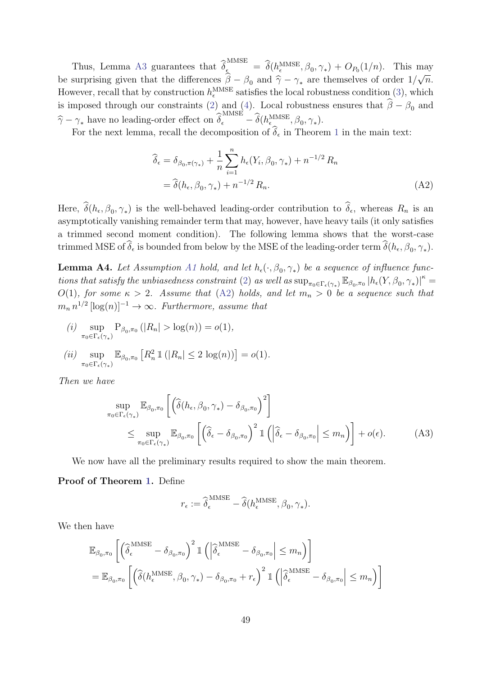Thus, Lemma [A3](#page-3-0) guarantees that  $\widehat{\delta}_{\epsilon}^{\text{MMSE}} = \widehat{\delta}(h_{\epsilon}^{\text{MMSE}}, \beta_0, \gamma_*) + O_{P_0}(1/n)$ . This may be surprising given that the differences  $\beta - \beta_0$  and  $\hat{\gamma} - \gamma_*$  are themselves of order 1/<br>Hence we used that he construction  $^{LMMSE}$  attacks he land relatives on dition (2) and …<br>⊢  $\overline{n}$ . However, recall that by construction  $h_{\epsilon}^{\text{MMSE}}$  satisfies the local robustness condition [\(3\)](#page--1-9), which is imposed through our constraints [\(2\)](#page--1-7) and [\(4\)](#page--1-10). Local robustness ensures that  $\beta - \beta_0$  and  $\widehat{\gamma} - \gamma_*$  have no leading-order effect on  $\widehat{\delta}_{\epsilon}^{\text{MMSE}} - \widehat{\delta}(h_{\epsilon}^{\text{MMSE}}, \beta_0, \gamma_*).$ 

For the next lemma, recall the decomposition of  $\delta_{\epsilon}$  in Theorem [1](#page--1-1) in the main text:

<span id="page-4-0"></span>
$$
\widehat{\delta}_{\epsilon} = \delta_{\beta_0, \pi(\gamma_*)} + \frac{1}{n} \sum_{i=1}^n h_{\epsilon}(Y_i, \beta_0, \gamma_*) + n^{-1/2} R_n
$$
  
=  $\widehat{\delta}(h_{\epsilon}, \beta_0, \gamma_*) + n^{-1/2} R_n.$  (A2)

Here,  $\delta(h_{\epsilon}, \beta_0, \gamma_*)$  is the well-behaved leading-order contribution to  $\delta_{\epsilon}$ , whereas  $R_n$  is an asymptotically vanishing remainder term that may, however, have heavy tails (it only satisfies a trimmed second moment condition). The following lemma shows that the worst-case trimmed MSE of  $\delta_{\epsilon}$  is bounded from below by the MSE of the leading-order term  $\delta(h_{\epsilon}, \beta_0, \gamma_*)$ .

<span id="page-4-1"></span>**Lemma A4.** Let Assumption [A1](#page-0-0) hold, and let  $h_{\epsilon}(\cdot, \beta_0, \gamma_*)$  be a sequence of influence func-tions that satisfy the unbiasedness constraint [\(2\)](#page--1-7) as well as  $\sup_{\pi_0 \in \Gamma_{\epsilon}(\gamma_*)} \mathbb{E}_{\beta_0, \pi_0} |h_{\epsilon}(Y, \beta_0, \gamma_*)|^{\kappa} =$  $O(1)$ , for some  $\kappa > 2$ . Assume that  $(A2)$  holds, and let  $m_n > 0$  be a sequence such that  $m_n n^{1/2} [\log(n)]^{-1} \to \infty$ . Furthermore, assume that

 $(i)$  sup  $\sup_{\pi_0 \in \Gamma_{\epsilon}(\gamma_*)} \mathcal{P}_{\beta_0, \pi_0}(|R_n| > \log(n)) = o(1),$  $(ii)$  sup  $\sup_{\pi_0 \in \Gamma_{\epsilon}(\gamma_*)} \mathbb{E}_{\beta_0, \pi_0} \left[ R_n^2 \, \mathbb{1} \left( |R_n| \leq 2 \, \log(n) \right) \right] = o(1).$ 

Then we have

$$
\sup_{\pi_0 \in \Gamma_{\epsilon}(\gamma_*)} \mathbb{E}_{\beta_0, \pi_0} \left[ \left( \widehat{\delta}(h_{\epsilon}, \beta_0, \gamma_*) - \delta_{\beta_0, \pi_0} \right)^2 \right]
$$
\n
$$
\leq \sup_{\pi_0 \in \Gamma_{\epsilon}(\gamma_*)} \mathbb{E}_{\beta_0, \pi_0} \left[ \left( \widehat{\delta}_{\epsilon} - \delta_{\beta_0, \pi_0} \right)^2 \mathbb{1} \left( \left| \widehat{\delta}_{\epsilon} - \delta_{\beta_0, \pi_0} \right| \leq m_n \right) \right] + o(\epsilon).
$$
\n(A3)

We now have all the preliminary results required to show the main theorem.

#### Proof of Theorem [1.](#page--1-1) Define

<span id="page-4-2"></span>
$$
r_{\epsilon}:=\widehat{\boldsymbol{\delta}}^{\mathrm{MMSE}}_{\epsilon}-\widehat{\boldsymbol{\delta}}(h^{\mathrm{MMSE}}_{\epsilon},\boldsymbol{\beta}_{0},\boldsymbol{\gamma}_{*}).
$$

We then have

$$
\mathbb{E}_{\beta_0, \pi_0} \left[ \left( \widehat{\delta}_{\epsilon}^{\text{MMSE}} - \delta_{\beta_0, \pi_0} \right)^2 \mathbb{1} \left( \left| \widehat{\delta}_{\epsilon}^{\text{MMSE}} - \delta_{\beta_0, \pi_0} \right| \le m_n \right) \right]
$$
  
= 
$$
\mathbb{E}_{\beta_0, \pi_0} \left[ \left( \widehat{\delta}(h_{\epsilon}^{\text{MMSE}}, \beta_0, \gamma_*) - \delta_{\beta_0, \pi_0} + r_{\epsilon} \right)^2 \mathbb{1} \left( \left| \widehat{\delta}_{\epsilon}^{\text{MMSE}} - \delta_{\beta_0, \pi_0} \right| \le m_n \right) \right]
$$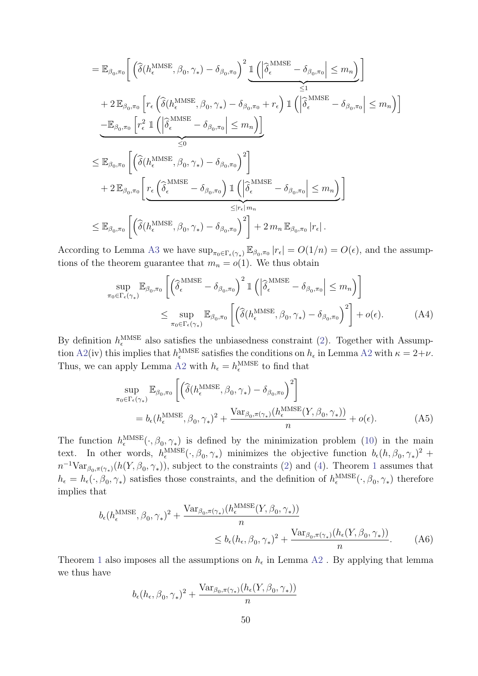$$
= \mathbb{E}_{\beta_{0},\pi_{0}} \Bigg[ \left( \hat{\delta}(h_{\epsilon}^{\text{MMSE}},\beta_{0},\gamma_{*}) - \delta_{\beta_{0},\pi_{0}} \right)^{2} \underbrace{\mathbb{I} \left( \left| \hat{\delta}_{\epsilon}^{\text{MMSE}} - \delta_{\beta_{0},\pi_{0}} \right| \leq m_{n} \right)}_{\leq 1} \Bigg]
$$
  
+ 2  $\mathbb{E}_{\beta_{0},\pi_{0}} \Bigg[ r_{\epsilon} \left( \hat{\delta}(h_{\epsilon}^{\text{MMSE}},\beta_{0},\gamma_{*}) - \delta_{\beta_{0},\pi_{0}} + r_{\epsilon} \right) \mathbb{I} \left( \left| \hat{\delta}_{\epsilon}^{\text{MMSE}} - \delta_{\beta_{0},\pi_{0}} \right| \leq m_{n} \right) \Bigg]$   

$$
- \mathbb{E}_{\beta_{0},\pi_{0}} \Bigg[ r_{\epsilon}^{2} \mathbb{I} \left( \left| \hat{\delta}_{\epsilon}^{\text{MMSE}} - \delta_{\beta_{0},\pi_{0}} \right| \leq m_{n} \right) \Bigg]
$$
  

$$
\leq \mathbb{E}_{\beta_{0},\pi_{0}} \Bigg[ \left( \hat{\delta}(h_{\epsilon}^{\text{MMSE}},\beta_{0},\gamma_{*}) - \delta_{\beta_{0},\pi_{0}} \right)^{2} \Bigg]
$$
  
+ 2  $\mathbb{E}_{\beta_{0},\pi_{0}} \Bigg[ r_{\epsilon} \Big( \hat{\delta}_{\epsilon}^{\text{MMSE}} - \delta_{\beta_{0},\pi_{0}} \Big) \mathbb{I} \left( \left| \hat{\delta}_{\epsilon}^{\text{MMSE}} - \delta_{\beta_{0},\pi_{0}} \right| \leq m_{n} \Bigg]$   

$$
\leq \mathbb{E}_{\beta_{0},\pi_{0}} \Bigg[ \left( \hat{\delta}(h_{\epsilon}^{\text{MMSE}},\beta_{0},\gamma_{*}) - \delta_{\beta_{0},\pi_{0}} \right)^{2} \Bigg] + 2 m_{n} \mathbb{E}_{\beta_{0},\pi_{0}} \Big| r_{\epsilon} \Bigg].
$$

According to Lemma [A3](#page-3-0) we have  $\sup_{\pi_0 \in \Gamma_{\epsilon}(\gamma_*)} \mathbb{E}_{\beta_0, \pi_0} |r_{\epsilon}| = O(1/n) = O(\epsilon)$ , and the assumptions of the theorem guarantee that  $m_n = o(1)$ . We thus obtain

$$
\sup_{\pi_0 \in \Gamma_{\epsilon}(\gamma_*)} \mathbb{E}_{\beta_0, \pi_0} \left[ \left( \widehat{\delta}_{\epsilon}^{\text{MMSE}} - \delta_{\beta_0, \pi_0} \right)^2 \mathbb{1} \left( \left| \widehat{\delta}_{\epsilon}^{\text{MMSE}} - \delta_{\beta_0, \pi_0} \right| \le m_n \right) \right]
$$
  

$$
\le \sup_{\pi_0 \in \Gamma_{\epsilon}(\gamma_*)} \mathbb{E}_{\beta_0, \pi_0} \left[ \left( \widehat{\delta}(h_{\epsilon}^{\text{MMSE}}, \beta_0, \gamma_*) - \delta_{\beta_0, \pi_0} \right)^2 \right] + o(\epsilon).
$$
 (A4)

By definition  $h_{\epsilon}^{\text{MMSE}}$  also satisfies the unbiasedness constraint [\(2\)](#page--1-7). Together with Assump-tion [A2\(](#page-2-0)iv) this implies that  $h_{\epsilon}^{\text{MMSE}}$  satisfies the conditions on  $h_{\epsilon}$  in Lemma [A2](#page-3-1) with  $\kappa = 2+\nu$ . Thus, we can apply Lemma [A2](#page-3-1) with  $h_{\epsilon} = h_{\epsilon}^{\text{MMSE}}$  to find that

<span id="page-5-1"></span><span id="page-5-0"></span>
$$
\sup_{\pi_0 \in \Gamma_{\epsilon}(\gamma_*)} \mathbb{E}_{\beta_0, \pi_0} \left[ \left( \widehat{\delta}(h_{\epsilon}^{\text{MMSE}}, \beta_0, \gamma_*) - \delta_{\beta_0, \pi_0} \right)^2 \right]
$$
\n
$$
= b_{\epsilon}(h_{\epsilon}^{\text{MMSE}}, \beta_0, \gamma_*)^2 + \frac{\text{Var}_{\beta_0, \pi(\gamma_*)}(h_{\epsilon}^{\text{MMSE}}(Y, \beta_0, \gamma_*))}{n} + o(\epsilon).
$$
\n(A5)

The function  $h_{\epsilon}^{\text{MMSE}}(\cdot,\beta_0,\gamma_*)$  is defined by the minimization problem [\(10\)](#page--1-11) in the main text. In other words,  $h_{\epsilon}^{\text{MMSE}}(\cdot, \beta_0, \gamma_*)$  minimizes the objective function  $b_{\epsilon}(h, \beta_0, \gamma_*)^2$  +  $n^{-1} \text{Var}_{\beta_0, \pi(\gamma_*)}(h(Y, \beta_0, \gamma_*))$  $n^{-1} \text{Var}_{\beta_0, \pi(\gamma_*)}(h(Y, \beta_0, \gamma_*))$  $n^{-1} \text{Var}_{\beta_0, \pi(\gamma_*)}(h(Y, \beta_0, \gamma_*))$ , subject to the constraints [\(2\)](#page--1-7) and [\(4\)](#page--1-10). Theorem 1 assumes that  $h_{\epsilon} = h_{\epsilon}(\cdot,\beta_0,\gamma_*)$  satisfies those constraints, and the definition of  $h_{\epsilon}^{\text{MMSE}}(\cdot,\beta_0,\gamma_*)$  therefore implies that

$$
b_{\epsilon}(h_{\epsilon}^{\text{MMSE}}, \beta_0, \gamma_*)^2 + \frac{\text{Var}_{\beta_0, \pi(\gamma_*)}(h_{\epsilon}^{\text{MMSE}}(Y, \beta_0, \gamma_*))}{n} \le b_{\epsilon}(h_{\epsilon}, \beta_0, \gamma_*)^2 + \frac{\text{Var}_{\beta_0, \pi(\gamma_*)}(h_{\epsilon}(Y, \beta_0, \gamma_*))}{n}.
$$
 (A6)

Theorem [1](#page--1-1) also imposes all the assumptions on  $h_{\epsilon}$  in Lemma [A2](#page-3-1). By applying that lemma we thus have

<span id="page-5-2"></span>
$$
b_{\epsilon}(h_{\epsilon}, \beta_0, \gamma_*)^2 + \frac{\text{Var}_{\beta_0, \pi(\gamma_*)}(h_{\epsilon}(Y, \beta_0, \gamma_*))}{n}
$$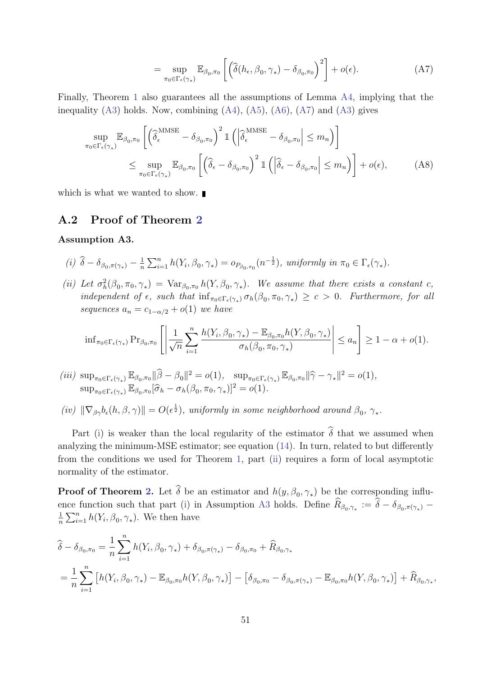<span id="page-6-0"></span>
$$
= \sup_{\pi_0 \in \Gamma_{\epsilon}(\gamma_*)} \mathbb{E}_{\beta_0, \pi_0} \left[ \left( \widehat{\delta}(h_{\epsilon}, \beta_0, \gamma_*) - \delta_{\beta_0, \pi_0} \right)^2 \right] + o(\epsilon).
$$
 (A7)

Finally, Theorem [1](#page--1-1) also guarantees all the assumptions of Lemma [A4,](#page-4-1) implying that the inequality  $(A3)$  holds. Now, combining  $(A4)$ ,  $(A5)$ ,  $(A6)$ ,  $(A7)$  and  $(A3)$  gives

$$
\sup_{\pi_0 \in \Gamma_{\epsilon}(\gamma_*)} \mathbb{E}_{\beta_0, \pi_0} \left[ \left( \widehat{\delta}_{\epsilon}^{\text{MMSE}} - \delta_{\beta_0, \pi_0} \right)^2 \mathbb{1} \left( \left| \widehat{\delta}_{\epsilon}^{\text{MMSE}} - \delta_{\beta_0, \pi_0} \right| \le m_n \right) \right] \n\le \sup_{\pi_0 \in \Gamma_{\epsilon}(\gamma_*)} \mathbb{E}_{\beta_0, \pi_0} \left[ \left( \widehat{\delta}_{\epsilon} - \delta_{\beta_0, \pi_0} \right)^2 \mathbb{1} \left( \left| \widehat{\delta}_{\epsilon} - \delta_{\beta_0, \pi_0} \right| \le m_n \right) \right] + o(\epsilon), \tag{A8}
$$

which is what we wanted to show.

### A.2 Proof of Theorem [2](#page--1-12)

#### <span id="page-6-3"></span>Assumption A3.

<span id="page-6-1"></span>(i) 
$$
\hat{\delta} - \delta_{\beta_0, \pi(\gamma_*)} - \frac{1}{n} \sum_{i=1}^n h(Y_i, \beta_0, \gamma_*) = o_{P_{\beta_0, \pi_0}}(n^{-\frac{1}{2}}), \text{ uniformly in } \pi_0 \in \Gamma_{\epsilon}(\gamma_*)
$$
.

<span id="page-6-2"></span>(ii) Let  $\sigma_h^2(\beta_0, \pi_0, \gamma_*) = \text{Var}_{\beta_0, \pi_0} h(Y, \beta_0, \gamma_*)$ . We assume that there exists a constant c, independent of  $\epsilon$ , such that  $\inf_{\pi_0 \in \Gamma_{\epsilon}(\gamma_*)} \sigma_h(\beta_0, \pi_0, \gamma_*) \geq c > 0$ . Furthermore, for all sequences  $a_n = c_{1-\alpha/2} + o(1)$  we have

$$
\left| \inf_{\pi_0 \in \Gamma_{\epsilon}(\gamma_*)} \Pr_{\beta_0, \pi_0} \left[ \left| \frac{1}{\sqrt{n}} \sum_{i=1}^n \frac{h(Y_i, \beta_0, \gamma_*) - \mathbb{E}_{\beta_0, \pi_0} h(Y, \beta_0, \gamma_*)}{\sigma_h(\beta_0, \pi_0, \gamma_*)} \right| \right| \le a_n \right] \ge 1 - \alpha + o(1).
$$

- (iii)  $\sup_{\pi_0 \in \Gamma_{\epsilon}(\gamma_*)} \mathbb{E}_{\beta_0, \pi_0} \|\widehat{\beta} \beta_0\|^2 = o(1), \sup_{\pi_0 \in \Gamma_{\epsilon}(\gamma_*)} \mathbb{E}_{\beta_0, \pi_0} \|\widehat{\gamma} \gamma_*\|^2 = o(1),$  $\sup_{\pi_0 \in \Gamma_{\epsilon}(\gamma_*)} \mathbb{E}_{\beta_0, \pi_0} [\widehat{\sigma}_h - \sigma_h(\beta_0, \pi_0, \gamma_*)]^2 = o(1).$
- <span id="page-6-4"></span>(iv)  $\|\nabla_{\beta\gamma}b_{\epsilon}(h,\beta,\gamma)\| = O(\epsilon^{\frac{1}{2}})$ , uniformly in some neighborhood around  $\beta_0$ ,  $\gamma_*$ .

Part [\(i\)](#page-6-1) is weaker than the local regularity of the estimator  $\hat{\delta}$  that we assumed when analyzing the minimum-MSE estimator; see equation [\(14\)](#page--1-13). In turn, related to but differently from the conditions we used for Theorem [1,](#page--1-1) part [\(ii\)](#page-6-2) requires a form of local asymptotic normality of the estimator.

**Proof of Theorem [2.](#page--1-12)** Let  $\delta$  be an estimator and  $h(y, \beta_0, \gamma_*)$  be the corresponding influ-ence function such that part [\(i\)](#page-6-1) in Assumption [A3](#page-6-3) holds. Define  $R_{\beta_0, \gamma_*} := \delta - \delta_{\beta_0, \pi(\gamma_*)} -$ 1  $\frac{1}{n} \sum_{i=1}^{n} h(Y_i, \beta_0, \gamma_*)$ . We then have

$$
\hat{\delta} - \delta_{\beta_0, \pi_0} = \frac{1}{n} \sum_{i=1}^n h(Y_i, \beta_0, \gamma_*) + \delta_{\beta_0, \pi(\gamma_*)} - \delta_{\beta_0, \pi_0} + \hat{R}_{\beta_0, \gamma_*}
$$
\n
$$
= \frac{1}{n} \sum_{i=1}^n \left[ h(Y_i, \beta_0, \gamma_*) - \mathbb{E}_{\beta_0, \pi_0} h(Y, \beta_0, \gamma_*) \right] - \left[ \delta_{\beta_0, \pi_0} - \delta_{\beta_0, \pi(\gamma_*)} - \mathbb{E}_{\beta_0, \pi_0} h(Y, \beta_0, \gamma_*) \right] + \hat{R}_{\beta_0, \gamma_*},
$$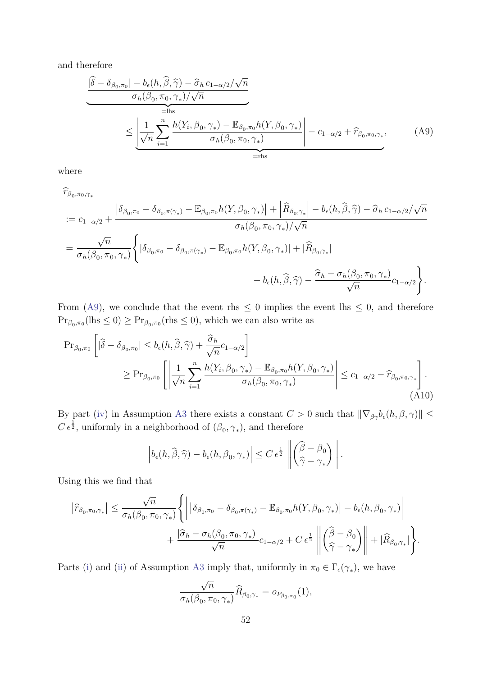and therefore

<span id="page-7-0"></span>
$$
\frac{|\hat{\delta} - \delta_{\beta_0, \pi_0}| - b_{\epsilon}(h, \hat{\beta}, \hat{\gamma}) - \hat{\sigma}_h c_{1-\alpha/2}/\sqrt{n}}{\sigma_h(\beta_0, \pi_0, \gamma_*)/\sqrt{n}}\n\leq \underbrace{\left| \frac{1}{\sqrt{n}} \sum_{i=1}^n \frac{h(Y_i, \beta_0, \gamma_*) - \mathbb{E}_{\beta_0, \pi_0} h(Y, \beta_0, \gamma_*)}{\sigma_h(\beta_0, \pi_0, \gamma_*)} \right|}_{= \text{rhs}} - c_{1-\alpha/2} + \hat{r}_{\beta_0, \pi_0, \gamma_*},
$$
\n(A9)

where

$$
\hat{r}_{\beta_0, \pi_0, \gamma_*}
$$
\n
$$
:= c_{1-\alpha/2} + \frac{|\delta_{\beta_0, \pi_0} - \delta_{\beta_0, \pi(\gamma_*)} - \mathbb{E}_{\beta_0, \pi_0} h(Y, \beta_0, \gamma_*)| + |\hat{R}_{\beta_0, \gamma_*}| - b_{\epsilon}(h, \hat{\beta}, \hat{\gamma}) - \hat{\sigma}_h c_{1-\alpha/2}/\sqrt{n}}{\sigma_h(\beta_0, \pi_0, \gamma_*)/\sqrt{n}}
$$
\n
$$
= \frac{\sqrt{n}}{\sigma_h(\beta_0, \pi_0, \gamma_*)} \Biggl\{ |\delta_{\beta_0, \pi_0} - \delta_{\beta_0, \pi(\gamma_*)} - \mathbb{E}_{\beta_0, \pi_0} h(Y, \beta_0, \gamma_*)| + |\hat{R}_{\beta_0, \gamma_*}|
$$
\n
$$
- b_{\epsilon}(h, \hat{\beta}, \hat{\gamma}) - \frac{\hat{\sigma}_h - \sigma_h(\beta_0, \pi_0, \gamma_*)}{\sqrt{n}} c_{1-\alpha/2} \Biggr\}.
$$

From [\(A9\)](#page-7-0), we conclude that the event rhs  $\leq$  0 implies the event lhs  $\leq$  0, and therefore  $Pr_{\beta_0,\pi_0}(\text{lls} \leq 0) \geq Pr_{\beta_0,\pi_0}(\text{rls} \leq 0)$ , which we can also write as

$$
\begin{split} \Pr_{\beta_{0},\pi_{0}}\left[|\widehat{\delta}-\delta_{\beta_{0},\pi_{0}}|\leq b_{\epsilon}(h,\widehat{\beta},\widehat{\gamma})+\frac{\widehat{\sigma}_{h}}{\sqrt{n}}c_{1-\alpha/2}\right] \\ \geq \Pr_{\beta_{0},\pi_{0}}\left[\left|\frac{1}{\sqrt{n}}\sum_{i=1}^{n}\frac{h(Y_{i},\beta_{0},\gamma_{*})-\mathbb{E}_{\beta_{0},\pi_{0}}h(Y_{i},\beta_{0},\gamma_{*})}{\sigma_{h}(\beta_{0},\pi_{0},\gamma_{*})}\right| \leq c_{1-\alpha/2}-\widehat{r}_{\beta_{0},\pi_{0},\gamma_{*}}\right]. \end{split} \tag{A10}
$$

By part [\(iv\)](#page-6-4) in Assumption [A3](#page-6-3) there exists a constant  $C > 0$  such that  $\|\nabla_{\beta\gamma}b_{\epsilon}(h, \beta, \gamma)\| \leq$  $C \epsilon^{\frac{1}{2}}$ , uniformly in a neighborhood of  $(\beta_0, \gamma_*)$ , and therefore

<span id="page-7-1"></span>
$$
\left|b_{\epsilon}(h,\widehat{\beta},\widehat{\gamma})-b_{\epsilon}(h,\beta_0,\gamma_*)\right| \leq C \,\epsilon^{\frac{1}{2}}\,\left\|\begin{pmatrix} \widehat{\beta}-\beta_0\\ \widehat{\gamma}-\gamma_* \end{pmatrix}\right\|.
$$

Using this we find that

$$
\left| \widehat{r}_{\beta_0, \pi_0, \gamma_*} \right| \leq \frac{\sqrt{n}}{\sigma_h(\beta_0, \pi_0, \gamma_*)} \Biggl\{ \bigg| \left| \delta_{\beta_0, \pi_0} - \delta_{\beta_0, \pi(\gamma_*)} - \mathbb{E}_{\beta_0, \pi_0} h(Y, \beta_0, \gamma_*) \right| - b_{\epsilon}(h, \beta_0, \gamma_*) \bigg| \\ + \frac{\left| \widehat{\sigma}_h - \sigma_h(\beta_0, \pi_0, \gamma_*) \right|}{\sqrt{n}} c_{1-\alpha/2} + C \epsilon^{\frac{1}{2}} \left\| \left( \frac{\widehat{\beta}}{\widehat{\gamma}} - \beta_0 \right) \right\| + |\widehat{R}_{\beta_0, \gamma_*}| \Biggr\}.
$$

Parts [\(i\)](#page-6-1) and [\(ii\)](#page-6-2) of Assumption [A3](#page-6-3) imply that, uniformly in  $\pi_0 \in \Gamma_{\epsilon}(\gamma_*)$ , we have

$$
\frac{\sqrt{n}}{\sigma_h(\beta_0,\pi_0,\gamma_*)}\widehat{R}_{\beta_0,\gamma_*}=o_{P_{\beta_0,\pi_0}}(1),
$$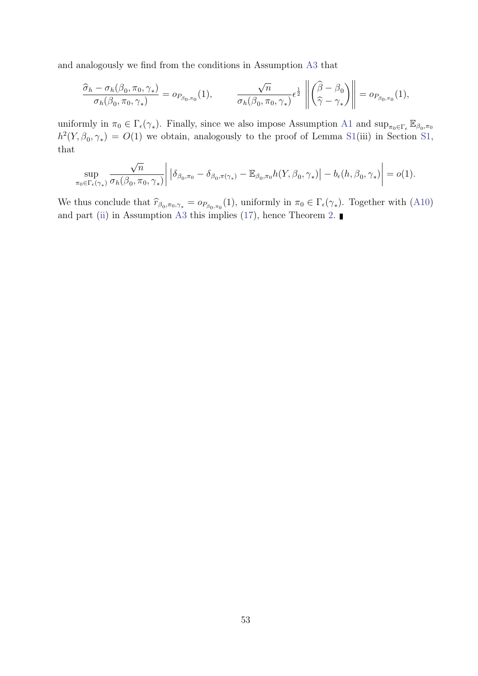and analogously we find from the conditions in Assumption [A3](#page-6-3) that

$$
\frac{\widehat{\sigma}_h - \sigma_h(\beta_0, \pi_0, \gamma_*)}{\sigma_h(\beta_0, \pi_0, \gamma_*)} = o_{P_{\beta_0, \pi_0}}(1), \qquad \frac{\sqrt{n}}{\sigma_h(\beta_0, \pi_0, \gamma_*)} \epsilon^{\frac{1}{2}} \left\| \begin{pmatrix} \widehat{\beta} - \beta_0 \\ \widehat{\gamma} - \gamma_* \end{pmatrix} \right\| = o_{P_{\beta_0, \pi_0}}(1),
$$

uniformly in  $\pi_0 \in \Gamma_{\epsilon}(\gamma_*)$ . Finally, since we also impose Assumption [A1](#page-0-0) and  $\sup_{\pi_0 \in \Gamma_{\epsilon}} \mathbb{E}_{\beta_0, \pi_0}$  $h^2(Y,\beta_0,\gamma_*) = O(1)$  we obtain, analogously to the proof of Lemma [S1\(](#page-9-1)iii) in Section [S1,](#page-9-2) that

$$
\sup_{\pi_0 \in \Gamma_{\epsilon}(\gamma_*)} \frac{\sqrt{n}}{\sigma_h(\beta_0, \pi_0, \gamma_*)} \bigg| \left| \delta_{\beta_0, \pi_0} - \delta_{\beta_0, \pi(\gamma_*)} - \mathbb{E}_{\beta_0, \pi_0} h(Y, \beta_0, \gamma_*) \right| - b_{\epsilon}(h, \beta_0, \gamma_*) \bigg| = o(1).
$$

We thus conclude that  $\hat{r}_{\beta_0,\pi_0,\gamma_*} = o_{P_{\beta_0,\pi_0}}(1)$ , uniformly in  $\pi_0 \in \Gamma_{\epsilon}(\gamma_*)$ . Together with [\(A10\)](#page-7-1) and part [\(ii\)](#page-6-2) in Assumption [A3](#page-6-3) this implies [\(17\)](#page--1-14), hence Theorem [2.](#page--1-12)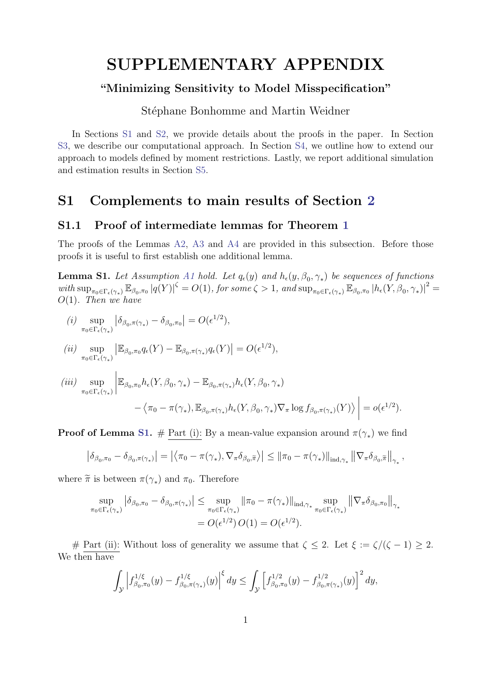# SUPPLEMENTARY APPENDIX

## "Minimizing Sensitivity to Model Misspecification"

Stéphane Bonhomme and Martin Weidner

In Sections [S1](#page-9-2) and [S2,](#page-21-0) we provide details about the proofs in the paper. In Section [S3,](#page-24-0) we describe our computational approach. In Section [S4,](#page-25-0) we outline how to extend our approach to models defined by moment restrictions. Lastly, we report additional simulation and estimation results in Section [S5.](#page-28-0)

## <span id="page-9-2"></span>S1 Complements to main results of Section [2](#page--1-0)

#### <span id="page-9-0"></span>S1.1 Proof of intermediate lemmas for Theorem [1](#page--1-1)

The proofs of the Lemmas [A2,](#page-3-1) [A3](#page-3-0) and [A4](#page-4-1) are provided in this subsection. Before those proofs it is useful to first establish one additional lemma.

<span id="page-9-1"></span>**Lemma S1.** Let Assumption [A1](#page-0-0) hold. Let  $q_{\epsilon}(y)$  and  $h_{\epsilon}(y, \beta_0, \gamma_*)$  be sequences of functions with  $\sup_{\pi_0 \in \Gamma_{\epsilon}(\gamma_*)} \mathbb{E}_{\beta_0, \pi_0} |q(Y)|^{\zeta} = O(1)$ , for some  $\zeta > 1$ , and  $\sup_{\pi_0 \in \Gamma_{\epsilon}(\gamma_*)} \mathbb{E}_{\beta_0, \pi_0} |h_{\epsilon}(Y, \beta_0, \gamma_*)|^2 =$  $O(1)$ . Then we have

$$
(i) \ \sup_{\pi_0 \in \Gamma_{\epsilon}(\gamma_*)} \left| \delta_{\beta_0, \pi(\gamma_*)} - \delta_{\beta_0, \pi_0} \right| = O(\epsilon^{1/2}),
$$

$$
(ii)\ \sup_{\pi_0\in\Gamma_{\epsilon}(\gamma_*)}\left|\mathbb{E}_{\beta_0,\pi_0}q_{\epsilon}(Y)-\mathbb{E}_{\beta_0,\pi(\gamma_*)}q_{\epsilon}(Y)\right|=O(\epsilon^{1/2}),
$$

$$
\begin{split}\n(iii) \quad & \sup_{\pi_0 \in \Gamma_{\epsilon}(\gamma_*)} \left| \mathbb{E}_{\beta_0, \pi_0} h_{\epsilon}(Y, \beta_0, \gamma_*) - \mathbb{E}_{\beta_0, \pi(\gamma_*)} h_{\epsilon}(Y, \beta_0, \gamma_*) \right. \\
&\left. - \left\langle \pi_0 - \pi(\gamma_*) , \mathbb{E}_{\beta_0, \pi(\gamma_*)} h_{\epsilon}(Y, \beta_0, \gamma_*) \nabla_{\pi} \log f_{\beta_0, \pi(\gamma_*)}(Y) \right\rangle \right| = o(\epsilon^{1/2}).\n\end{split}
$$

**Proof of Lemma [S1.](#page-9-1)** # Part (i): By a mean-value expansion around  $\pi(\gamma_*)$  we find

$$
\left|\delta_{\beta_0,\pi_0}-\delta_{\beta_0,\pi(\gamma_*)}\right|=\left|\left\langle \pi_0-\pi(\gamma_*), \nabla_\pi\delta_{\beta_0,\widetilde{\pi}}\right\rangle\right|\leq \left\|\pi_0-\pi(\gamma_*)\right\|_{\mathrm{ind},\gamma_*}\left\|\nabla_\pi\delta_{\beta_0,\widetilde{\pi}}\right\|_{\gamma_*},
$$

where  $\tilde{\pi}$  is between  $\pi(\gamma_*)$  and  $\pi_0$ . Therefore

$$
\sup_{\pi_0 \in \Gamma_{\epsilon}(\gamma_*)} \left| \delta_{\beta_0, \pi_0} - \delta_{\beta_0, \pi(\gamma_*)} \right| \leq \sup_{\pi_0 \in \Gamma_{\epsilon}(\gamma_*)} \left\| \pi_0 - \pi(\gamma_*) \right\|_{\mathrm{ind}, \gamma_*} \sup_{\pi_0 \in \Gamma_{\epsilon}(\gamma_*)} \left\| \nabla_{\pi} \delta_{\beta_0, \pi_0} \right\|_{\gamma_*}
$$

$$
= O(\epsilon^{1/2}) O(1) = O(\epsilon^{1/2}).
$$

# Part (ii): Without loss of generality we assume that  $\zeta \leq 2$ . Let  $\xi := \zeta/(\zeta - 1) \geq 2$ . We then have

$$
\int_{\mathcal{Y}} \left| f_{\beta_0, \pi_0}^{1/\xi}(y) - f_{\beta_0, \pi(\gamma_*)}^{1/\xi}(y) \right|^{\xi} dy \le \int_{\mathcal{Y}} \left[ f_{\beta_0, \pi_0}^{1/2}(y) - f_{\beta_0, \pi(\gamma_*)}^{1/2}(y) \right]^2 dy,
$$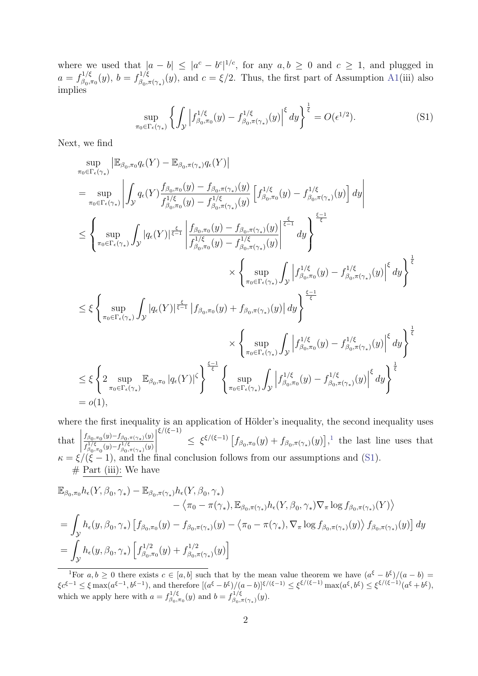where we used that  $|a - b| \leq |a^c - b^c|^{1/c}$ , for any  $a, b \geq 0$  and  $c \geq 1$ , and plugged in  $a = f_{\beta_0}^{1/\xi}$  $f_{\beta_0,\pi_0}^{1/\xi}(y),\ b=f_{\beta_0,\pi_0}^{1/\xi}$  $\beta_{0,\pi(\gamma_*)}(y)$ , and  $c = \xi/2$ . Thus, the first part of Assumption [A1\(](#page-0-0)iii) also implies

<span id="page-10-1"></span>
$$
\sup_{\pi_0 \in \Gamma_{\epsilon}(\gamma_*)} \left\{ \int_{\mathcal{Y}} \left| f_{\beta_0, \pi_0}^{1/\xi}(y) - f_{\beta_0, \pi(\gamma_*)}^{1/\xi}(y) \right|^{\xi} dy \right\}^{\frac{1}{\xi}} = O(\epsilon^{1/2}). \tag{S1}
$$

Next, we find

$$
\sup_{\pi_0 \in \Gamma_{\epsilon}(\gamma_*)} \left| \mathbb{E}_{\beta_0, \pi_0} q_{\epsilon}(Y) - \mathbb{E}_{\beta_0, \pi(\gamma_*)} q_{\epsilon}(Y) \right| \n= \sup_{\pi_0 \in \Gamma_{\epsilon}(\gamma_*)} \left| \int_{\mathcal{Y}} q_{\epsilon}(Y) \frac{f_{\beta_0, \pi_0}(y) - f_{\beta_0, \pi(\gamma_*)}(y)}{f_{\beta_0, \pi_0}^{1/\xi}(y) - f_{\beta_0, \pi(\gamma_*)}^{1/\xi}(y)} \left[ f_{\beta_0, \pi_0}^{1/\xi}(y) - f_{\beta_0, \pi(\gamma_*)}^{1/\xi}(y) \right] dy \right| \n\leq \left\{ \sup_{\pi_0 \in \Gamma_{\epsilon}(\gamma_*)} \int_{\mathcal{Y}} |q_{\epsilon}(Y)|^{\frac{\xi}{\xi-1}} \left| \frac{f_{\beta_0, \pi_0}(y) - f_{\beta_0, \pi(\gamma_*)}(y)}{f_{\beta_0, \pi_0}^{1/\xi}(y) - f_{\beta_0, \pi(\gamma_*)}^{1/\xi}(y)} \right|^{\frac{\xi}{\xi-1}} dy \right\}^{\frac{\xi-1}{\xi}} \n\leq \xi \left\{ \sup_{\pi_0 \in \Gamma_{\epsilon}(\gamma_*)} \int_{\mathcal{Y}} |q_{\epsilon}(Y)|^{\frac{\xi}{\xi-1}} \left| f_{\beta_0, \pi_0}(y) + f_{\beta_0, \pi(\gamma_*)}(y) \right| dy \right\}^{\frac{\xi}{\xi}} \n\leq \xi \left\{ \sup_{\pi_0 \in \Gamma_{\epsilon}(\gamma_*)} \int_{\mathcal{Y}} |q_{\epsilon}(Y)|^{\frac{\xi}{\xi-1}} \left| f_{\beta_0, \pi_0}(y) + f_{\beta_0, \pi(\gamma_*)}(y) \right| dy \right\}^{\frac{\xi-1}{\xi}} \n\leq \xi \left\{ 2 \sup_{\pi_0 \in \Gamma_{\epsilon}(\gamma_*)} \mathbb{E}_{\beta_0, \pi_0} |q_{\epsilon}(Y)|^{\zeta} \right\}^{\frac{\xi-1}{\xi}} \left\{ \sup_{\pi_0 \in \Gamma_{\epsilon}(\gamma_*)} \int_{\mathcal{Y}} \left| f_{\beta_
$$

where the first inequality is an application of Hölder's inequality, the second inequality uses that  $\begin{array}{c} \hline \end{array}$  $f_{\beta_0,\pi_0}(y) - f_{\beta_0,\pi(\gamma_*)}(y)$  $f_{\beta_0,\pi_0}^{1/\xi}(y)-f_{\beta_0,\pi(\gamma_*)}^{1/\xi}(y)$  $\begin{array}{c} \hline \end{array}$ ξ/(ξ−1)  $\leq \xi^{\xi/(\xi-1)} \left[ f_{\beta_0,\pi_0}(y) + f_{\beta_0,\pi(\gamma_*)}(y) \right],^1$  $\leq \xi^{\xi/(\xi-1)} \left[ f_{\beta_0,\pi_0}(y) + f_{\beta_0,\pi(\gamma_*)}(y) \right],^1$  $\leq \xi^{\xi/(\xi-1)} \left[ f_{\beta_0,\pi_0}(y) + f_{\beta_0,\pi(\gamma_*)}(y) \right],^1$  the last line uses that  $\kappa = \xi/(\xi - 1)$ , and the final conclusion follows from our assumptions and [\(S1\)](#page-10-1).  $# Part (iii): We have$ 

$$
\mathbb{E}_{\beta_0,\pi_0} h_{\epsilon}(Y,\beta_0,\gamma_*) - \mathbb{E}_{\beta_0,\pi(\gamma_*)} h_{\epsilon}(Y,\beta_0,\gamma_*)
$$
  
\n
$$
- \langle \pi_0 - \pi(\gamma_*) , \mathbb{E}_{\beta_0,\pi(\gamma_*)} h_{\epsilon}(Y,\beta_0,\gamma_*) \nabla_{\pi} \log f_{\beta_0,\pi(\gamma_*)}(Y) \rangle
$$
  
\n
$$
= \int_{\mathcal{Y}} h_{\epsilon}(y,\beta_0,\gamma_*) \left[ f_{\beta_0,\pi_0}(y) - f_{\beta_0,\pi(\gamma_*)}(y) - \langle \pi_0 - \pi(\gamma_*) , \nabla_{\pi} \log f_{\beta_0,\pi(\gamma_*)}(y) \rangle f_{\beta_0,\pi(\gamma_*)}(y) \right] dy
$$
  
\n
$$
= \int_{\mathcal{Y}} h_{\epsilon}(y,\beta_0,\gamma_*) \left[ f_{\beta_0,\pi_0}^{1/2}(y) + f_{\beta_0,\pi(\gamma_*)}^{1/2}(y) \right]
$$

<span id="page-10-0"></span><sup>&</sup>lt;sup>1</sup>For  $a, b \ge 0$  there exists  $c \in [a, b]$  such that by the mean value theorem we have  $(a^{\xi} - b^{\xi})/(a - b)$  $\xi c^{\xi-1} \leq \xi \max(a^{\xi-1}, b^{\xi-1}),$  and therefore  $[(a^{\xi} - b^{\xi})/(a - b)]^{\xi/(\xi-1)} \leq \xi^{\xi/(\xi-1)} \max(a^{\xi}, b^{\xi}) \leq \xi^{\xi/(\xi-1)}(a^{\xi} + b^{\xi}),$ which we apply here with  $a = f_{\beta}^{1/\xi}$  $f_{\beta_0,\pi_0}^{1/\xi}(y)$  and  $b = f_{\beta_0,\pi_0}^{1/\xi}$  $\frac{\beta_0^{1/\xi}}{\beta_0 \pi(\gamma_*)}(y).$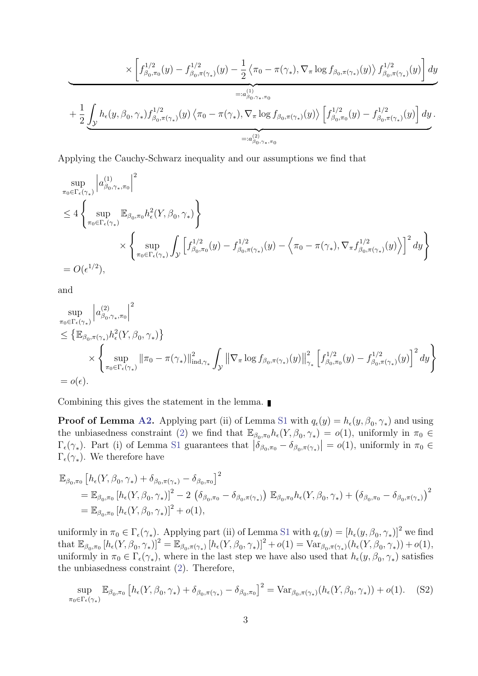$$
\times \left[ f_{\beta_0,\pi_0}^{1/2}(y) - f_{\beta_0,\pi(\gamma_*)}^{1/2}(y) - \frac{1}{2} \left\langle \pi_0 - \pi(\gamma_*) , \nabla_\pi \log f_{\beta_0,\pi(\gamma_*)}(y) \right\rangle f_{\beta_0,\pi(\gamma_*)}^{1/2}(y) \right] dy
$$
  

$$
=:\alpha_{\beta_0,\gamma_*,\pi_0}^{(1)}+ \frac{1}{2} \underbrace{\int_{\mathcal{Y}} h_{\epsilon}(y,\beta_0,\gamma_*) f_{\beta_0,\pi(\gamma_*)}^{1/2}(y) \left\langle \pi_0 - \pi(\gamma_*) , \nabla_\pi \log f_{\beta_0,\pi(\gamma_*)}(y) \right\rangle \left[ f_{\beta_0,\pi_0}^{1/2}(y) - f_{\beta_0,\pi(\gamma_*)}^{1/2}(y) \right] dy}_{=:a_{\beta_0,\gamma_*,\pi_0}^{(2)} }.
$$

Applying the Cauchy-Schwarz inequality and our assumptions we find that

$$
\sup_{\pi_0 \in \Gamma_{\epsilon}(\gamma_*)} \left| a_{\beta_0, \gamma_*, \pi_0}^{(1)} \right|^2
$$
\n
$$
\leq 4 \left\{ \sup_{\pi_0 \in \Gamma_{\epsilon}(\gamma_*)} \mathbb{E}_{\beta_0, \pi_0} h_{\epsilon}^2(Y, \beta_0, \gamma_*) \right\}
$$
\n
$$
\times \left\{ \sup_{\pi_0 \in \Gamma_{\epsilon}(\gamma_*)} \int_{\mathcal{Y}} \left[ f_{\beta_0, \pi_0}^{1/2}(y) - f_{\beta_0, \pi(\gamma_*)}^{1/2}(y) - \left\langle \pi_0 - \pi(\gamma_*) , \nabla_{\pi} f_{\beta_0, \pi(\gamma_*)}^{1/2}(y) \right\rangle \right]^2 dy \right\}
$$
\n
$$
= O(\epsilon^{1/2}),
$$

and

$$
\sup_{\pi_0 \in \Gamma_{\epsilon}(\gamma_*)} \left| a^{(2)}_{\beta_0, \gamma_*, \pi_0} \right|^2
$$
\n
$$
\leq \left\{ \mathbb{E}_{\beta_0, \pi(\gamma_*)} h_{\epsilon}^2(Y, \beta_0, \gamma_*) \right\}
$$
\n
$$
\times \left\{ \sup_{\pi_0 \in \Gamma_{\epsilon}(\gamma_*)} \left\| \pi_0 - \pi(\gamma_*) \right\|_{\text{ind}, \gamma_*}^2 \int_{\mathcal{Y}} \left\| \nabla_\pi \log f_{\beta_0, \pi(\gamma_*)}(y) \right\|_{\gamma_*}^2 \left[ f_{\beta_0, \pi_0}^{1/2}(y) - f_{\beta_0, \pi(\gamma_*)}^{1/2}(y) \right]^2 dy \right\}
$$
\n
$$
= o(\epsilon).
$$

Combining this gives the statement in the lemma.

**Proof of Lemma [A2.](#page-3-1)** Applying part (ii) of Lemma [S1](#page-9-1) with  $q_{\epsilon}(y) = h_{\epsilon}(y, \beta_0, \gamma_*)$  and using the unbiasedness constraint [\(2\)](#page--1-7) we find that  $\mathbb{E}_{\beta_0,\pi_0} h_{\epsilon}(Y,\beta_0,\gamma_*) = o(1)$ , uniformly in  $\pi_0 \in$  $\Gamma_{\epsilon}(\gamma_*)$ . Part (i) of Lemma [S1](#page-9-1) guarantees that  $|\delta_{\beta_0,\pi_0} - \delta_{\beta_0,\pi(\gamma_*)}| = o(1)$ , uniformly in  $\pi_0 \in \mathbb{R}$  $\Gamma_{\epsilon}(\gamma_*)$ . We therefore have

$$
\mathbb{E}_{\beta_0,\pi_0} \left[ h_{\epsilon}(Y,\beta_0,\gamma_*) + \delta_{\beta_0,\pi(\gamma_*)} - \delta_{\beta_0,\pi_0} \right]^2
$$
  
\n
$$
= \mathbb{E}_{\beta_0,\pi_0} \left[ h_{\epsilon}(Y,\beta_0,\gamma_*) \right]^2 - 2 \left( \delta_{\beta_0,\pi_0} - \delta_{\beta_0,\pi(\gamma_*)} \right) \mathbb{E}_{\beta_0,\pi_0} h_{\epsilon}(Y,\beta_0,\gamma_*) + \left( \delta_{\beta_0,\pi_0} - \delta_{\beta_0,\pi(\gamma_*)} \right)^2
$$
  
\n
$$
= \mathbb{E}_{\beta_0,\pi_0} \left[ h_{\epsilon}(Y,\beta_0,\gamma_*) \right]^2 + o(1),
$$

uniformly in  $\pi_0 \in \Gamma_{\epsilon}(\gamma_*)$ . Applying part (ii) of Lemma [S1](#page-9-1) with  $q_{\epsilon}(y) = [h_{\epsilon}(y, \beta_0, \gamma_*)]^2$  we find that  $\mathbb{E}_{\beta_0,\pi_0}[h_{\epsilon}(Y,\beta_0,\gamma_*)]^2 = \mathbb{E}_{\beta_0,\pi(\gamma_*)}[h_{\epsilon}(Y,\beta_0,\gamma_*)]^2 + o(1) = \text{Var}_{\beta_0,\pi(\gamma_*)}(h_{\epsilon}(Y,\beta_0,\gamma_*)) + o(1),$ uniformly in  $\pi_0 \in \Gamma_{\epsilon}(\gamma_*)$ , where in the last step we have also used that  $h_{\epsilon}(y, \beta_0, \gamma_*)$  satisfies the unbiasedness constraint [\(2\)](#page--1-7). Therefore,

<span id="page-11-0"></span>
$$
\sup_{\pi_0 \in \Gamma_{\epsilon}(\gamma_*)} \mathbb{E}_{\beta_0, \pi_0} \left[ h_{\epsilon}(Y, \beta_0, \gamma_*) + \delta_{\beta_0, \pi(\gamma_*)} - \delta_{\beta_0, \pi_0} \right]^2 = \text{Var}_{\beta_0, \pi(\gamma_*)} (h_{\epsilon}(Y, \beta_0, \gamma_*)) + o(1). \tag{S2}
$$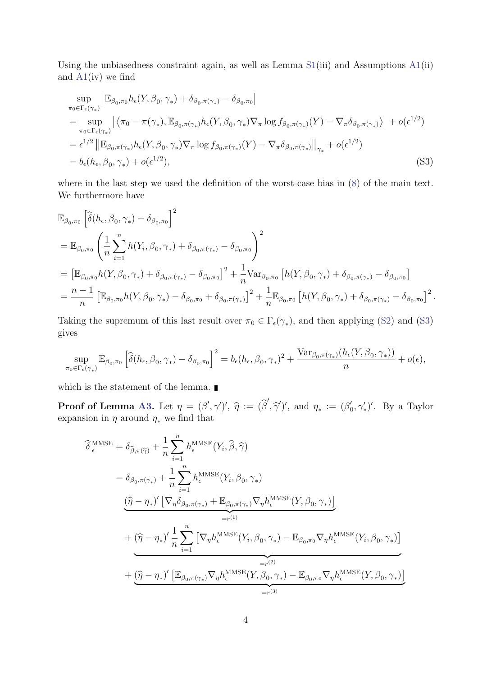Using the unbiasedness constraint again, as well as Lemma  $S1(iii)$  $S1(iii)$  and Assumptions  $A1(ii)$  $A1(ii)$ and  $A1(iv)$  $A1(iv)$  we find

<span id="page-12-0"></span>
$$
\sup_{\pi_0 \in \Gamma_{\epsilon}(\gamma_*)} \left| \mathbb{E}_{\beta_0, \pi_0} h_{\epsilon}(Y, \beta_0, \gamma_*) + \delta_{\beta_0, \pi(\gamma_*)} - \delta_{\beta_0, \pi_0} \right|
$$
\n
$$
= \sup_{\pi_0 \in \Gamma_{\epsilon}(\gamma_*)} \left| \left\langle \pi_0 - \pi(\gamma_*) , \mathbb{E}_{\beta_0, \pi(\gamma_*)} h_{\epsilon}(Y, \beta_0, \gamma_*) \nabla_\pi \log f_{\beta_0, \pi(\gamma_*)}(Y) - \nabla_\pi \delta_{\beta_0, \pi(\gamma_*)} \right\rangle \right| + o(\epsilon^{1/2})
$$
\n
$$
= \epsilon^{1/2} \left\| \mathbb{E}_{\beta_0, \pi(\gamma_*)} h_{\epsilon}(Y, \beta_0, \gamma_*) \nabla_\pi \log f_{\beta_0, \pi(\gamma_*)}(Y) - \nabla_\pi \delta_{\beta_0, \pi(\gamma_*)} \right\|_{\gamma_*} + o(\epsilon^{1/2})
$$
\n
$$
= b_{\epsilon}(h_{\epsilon}, \beta_0, \gamma_*) + o(\epsilon^{1/2}), \tag{S3}
$$

where in the last step we used the definition of the worst-case bias in [\(8\)](#page--1-15) of the main text. We furthermore have

$$
\mathbb{E}_{\beta_{0},\pi_{0}}\left[\widehat{\delta}(h_{\epsilon},\beta_{0},\gamma_{*})-\delta_{\beta_{0},\pi_{0}}\right]^{2}
$$
\n
$$
=\mathbb{E}_{\beta_{0},\pi_{0}}\left(\frac{1}{n}\sum_{i=1}^{n}h(Y_{i},\beta_{0},\gamma_{*})+\delta_{\beta_{0},\pi(\gamma_{*})}-\delta_{\beta_{0},\pi_{0}}\right)^{2}
$$
\n
$$
=\left[\mathbb{E}_{\beta_{0},\pi_{0}}h(Y_{i},\beta_{0},\gamma_{*})+\delta_{\beta_{0},\pi(\gamma_{*})}-\delta_{\beta_{0},\pi_{0}}\right]^{2}+\frac{1}{n}\text{Var}_{\beta_{0},\pi_{0}}\left[h(Y_{i},\beta_{0},\gamma_{*})+\delta_{\beta_{0},\pi(\gamma_{*})}-\delta_{\beta_{0},\pi_{0}}\right]
$$
\n
$$
=\frac{n-1}{n}\left[\mathbb{E}_{\beta_{0},\pi_{0}}h(Y_{i},\beta_{0},\gamma_{*})-\delta_{\beta_{0},\pi_{0}}+\delta_{\beta_{0},\pi(\gamma_{*})}\right]^{2}+\frac{1}{n}\mathbb{E}_{\beta_{0},\pi_{0}}\left[h(Y_{i},\beta_{0},\gamma_{*})+\delta_{\beta_{0},\pi(\gamma_{*})}-\delta_{\beta_{0},\pi_{0}}\right]^{2}.
$$

Taking the supremum of this last result over  $\pi_0 \in \Gamma_{\epsilon}(\gamma_*)$ , and then applying [\(S2\)](#page-11-0) and [\(S3\)](#page-12-0) gives

$$
\sup_{\pi_0 \in \Gamma_{\epsilon}(\gamma_*)} \mathbb{E}_{\beta_0, \pi_0} \left[ \widehat{\delta}(h_{\epsilon}, \beta_0, \gamma_*) - \delta_{\beta_0, \pi_0} \right]^2 = b_{\epsilon}(h_{\epsilon}, \beta_0, \gamma_*)^2 + \frac{\text{Var}_{\beta_0, \pi(\gamma_*)}(h_{\epsilon}(Y, \beta_0, \gamma_*))}{n} + o(\epsilon),
$$

which is the statement of the lemma.  $\blacksquare$ 

**Proof of Lemma [A3.](#page-3-0)** Let  $\eta = (\beta', \gamma')', \hat{\eta} := (\hat{\beta}', \hat{\gamma}')',$  and  $\eta_* := (\beta'_{\alpha})$  $(v_0', \gamma'_*)'$ . By a Taylor expansion in  $\eta$  around  $\eta_*$  we find that

$$
\hat{\delta}_{\epsilon}^{\text{MMSE}} = \delta_{\hat{\beta}, \pi(\hat{\gamma})} + \frac{1}{n} \sum_{i=1}^{n} h_{\epsilon}^{\text{MMSE}}(Y_i, \hat{\beta}, \hat{\gamma})
$$
\n
$$
= \delta_{\beta_0, \pi(\gamma_*)} + \frac{1}{n} \sum_{i=1}^{n} h_{\epsilon}^{\text{MMSE}}(Y_i, \beta_0, \gamma_*)
$$
\n
$$
\frac{(\hat{\eta} - \eta_*)' \left[ \nabla_{\eta} \delta_{\beta_0, \pi(\gamma_*)} + \mathbb{E}_{\beta_0, \pi(\gamma_*)} \nabla_{\eta} h_{\epsilon}^{\text{MMSE}}(Y, \beta_0, \gamma_*) \right]}{= r^{(1)}} + (\hat{\eta} - \eta_*)' \frac{1}{n} \sum_{i=1}^{n} \left[ \nabla_{\eta} h_{\epsilon}^{\text{MMSE}}(Y_i, \beta_0, \gamma_*) - \mathbb{E}_{\beta_0, \pi_0} \nabla_{\eta} h_{\epsilon}^{\text{MMSE}}(Y_i, \beta_0, \gamma_*) \right]}{= r^{(2)}} + (\hat{\eta} - \eta_*)' \left[ \mathbb{E}_{\beta_0, \pi(\gamma_*)} \nabla_{\eta} h_{\epsilon}^{\text{MMSE}}(Y, \beta_0, \gamma_*) - \mathbb{E}_{\beta_0, \pi_0} \nabla_{\eta} h_{\epsilon}^{\text{MMSE}}(Y, \beta_0, \gamma_*) \right]
$$
\n
$$
= r^{(3)}
$$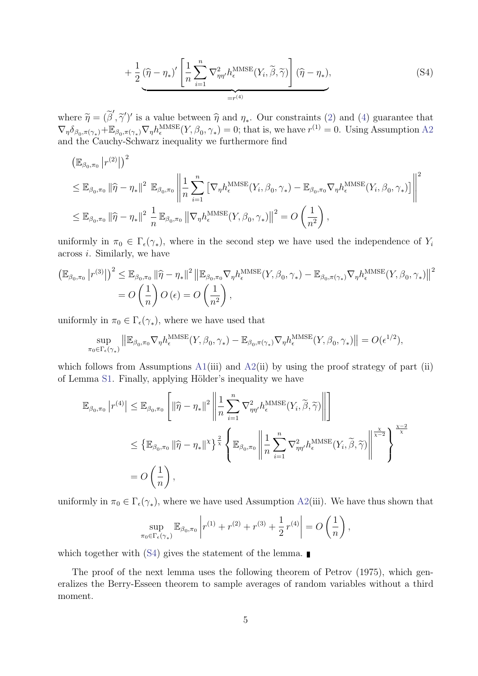<span id="page-13-0"></span>
$$
+\frac{1}{2}(\widehat{\eta}-\eta_{*})'\left[\frac{1}{n}\sum_{i=1}^{n}\nabla_{\eta\eta'}^{2}h_{\epsilon}^{\text{MMSE}}(Y_{i},\widetilde{\beta},\widetilde{\gamma})\right](\widehat{\eta}-\eta_{*}),\tag{S4}
$$

where  $\widetilde{\eta} = (\widetilde{\beta}', \widetilde{\gamma}')'$  is a value between  $\widehat{\eta}$  and  $\eta_*$ . Our constraints [\(2\)](#page--1-7) and [\(4\)](#page--1-10) guarantee that  $\nabla \delta$  and  $\nabla \widetilde{\eta} = (\widetilde{\beta}', \widetilde{\gamma}')'$  is a value between  $\widehat{\eta}$  and  $\eta_*$ . Our constraints (2) and (4)  $\nabla_{\eta} \delta_{\beta_0, \pi(\gamma_*)} + \mathbb{E}_{\beta_0, \pi(\gamma_*)} \nabla_{\eta} h_{\epsilon}^{\text{MMSE}}(Y, \beta_0, \gamma_*) = 0$ ; that is, we have  $r^{(1)} = 0$ . Using Assumption [A2](#page-2-0) and the Cauchy-Schwarz inequality we furthermore find

$$
\begin{split}\n&\left(\mathbb{E}_{\beta_{0},\pi_{0}}\left|r^{(2)}\right|\right)^{2} \\
&\leq \mathbb{E}_{\beta_{0},\pi_{0}}\left\|\widehat{\eta}-\eta_{*}\right\|^{2} \mathbb{E}_{\beta_{0},\pi_{0}}\left\|\frac{1}{n}\sum_{i=1}^{n}\left[\nabla_{\eta}h_{\epsilon}^{\text{MMSE}}(Y_{i},\beta_{0},\gamma_{*})-\mathbb{E}_{\beta_{0},\pi_{0}}\nabla_{\eta}h_{\epsilon}^{\text{MMSE}}(Y_{i},\beta_{0},\gamma_{*})\right]\right\|^{2} \\
&\leq \mathbb{E}_{\beta_{0},\pi_{0}}\left\|\widehat{\eta}-\eta_{*}\right\|^{2} \frac{1}{n}\mathbb{E}_{\beta_{0},\pi_{0}}\left\|\nabla_{\eta}h_{\epsilon}^{\text{MMSE}}(Y,\beta_{0},\gamma_{*})\right\|^{2} = O\left(\frac{1}{n^{2}}\right),\n\end{split}
$$

uniformly in  $\pi_0 \in \Gamma_{\epsilon}(\gamma_*)$ , where in the second step we have used the independence of  $Y_i$ across i. Similarly, we have

$$
\begin{split} \left(\mathbb{E}_{\beta_{0},\pi_{0}}\left|r^{(3)}\right|\right)^{2} &\leq \mathbb{E}_{\beta_{0},\pi_{0}}\left\|\widehat{\eta}-\eta_{*}\right\|^{2}\left\|\mathbb{E}_{\beta_{0},\pi_{0}}\nabla_{\eta}h_{\epsilon}^{\text{MMSE}}(Y,\beta_{0},\gamma_{*})-\mathbb{E}_{\beta_{0},\pi(\gamma_{*})}\nabla_{\eta}h_{\epsilon}^{\text{MMSE}}(Y,\beta_{0},\gamma_{*})\right\|^{2} \\ &=O\left(\frac{1}{n}\right)O\left(\epsilon\right)=O\left(\frac{1}{n^{2}}\right), \end{split}
$$

uniformly in  $\pi_0 \in \Gamma_{\epsilon}(\gamma_*)$ , where we have used that

$$
\sup_{\pi_0 \in \Gamma_{\epsilon}(\gamma_*)} \left\| \mathbb{E}_{\beta_0, \pi_0} \nabla_{\eta} h_{\epsilon}^{\text{MMSE}}(Y, \beta_0, \gamma_*) - \mathbb{E}_{\beta_0, \pi(\gamma_*)} \nabla_{\eta} h_{\epsilon}^{\text{MMSE}}(Y, \beta_0, \gamma_*) \right\| = O(\epsilon^{1/2}),
$$

which follows from Assumptions  $A1(iii)$  $A1(iii)$  and  $A2(ii)$  $A2(ii)$  by using the proof strategy of part (ii) of Lemma [S1.](#page-9-1) Finally, applying Hölder's inequality we have

$$
\mathbb{E}_{\beta_0, \pi_0} |r^{(4)}| \leq \mathbb{E}_{\beta_0, \pi_0} \left[ \|\widehat{\eta} - \eta_*\|^2 \left\| \frac{1}{n} \sum_{i=1}^n \nabla_{\eta \eta'}^2 h_i^{\text{MMSE}}(Y_i, \widetilde{\beta}, \widetilde{\gamma}) \right\| \right]
$$
  

$$
\leq \left\{ \mathbb{E}_{\beta_0, \pi_0} \|\widehat{\eta} - \eta_*\|^{\chi} \right\}^{\frac{2}{\chi}} \left\{ \mathbb{E}_{\beta_0, \pi_0} \left\| \frac{1}{n} \sum_{i=1}^n \nabla_{\eta \eta'}^2 h_i^{\text{MMSE}}(Y_i, \widetilde{\beta}, \widetilde{\gamma}) \right\|^{\frac{\chi}{\chi - 2}} \right\}^{\frac{\chi - 2}{\chi}}
$$
  

$$
= O\left(\frac{1}{n}\right),
$$

uniformly in  $\pi_0 \in \Gamma_{\epsilon}(\gamma_*)$ , where we have used Assumption [A2\(](#page-2-0)iii). We have thus shown that

$$
\sup_{\pi_0 \in \Gamma_{\epsilon}(\gamma_*)} \mathbb{E}_{\beta_0, \pi_0} \left| r^{(1)} + r^{(2)} + r^{(3)} + \frac{1}{2} r^{(4)} \right| = O\left(\frac{1}{n}\right),
$$

which together with  $(S4)$  gives the statement of the lemma.

The proof of the next lemma uses the following theorem of Petrov (1975), which generalizes the Berry-Esseen theorem to sample averages of random variables without a third moment.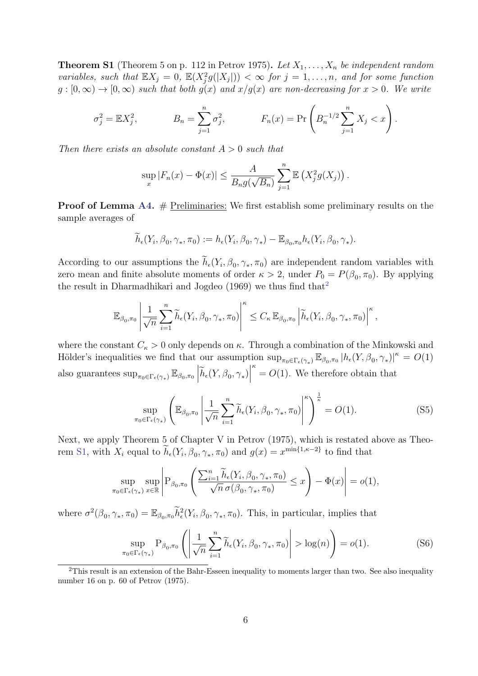<span id="page-14-1"></span>**Theorem S1** (Theorem 5 on p. 112 in Petrov 1975). Let  $X_1, \ldots, X_n$  be independent random variables, such that  $\mathbb{E}X_j = 0$ ,  $\mathbb{E}(X_j^2 g(|X_j|)) < \infty$  for  $j = 1, \ldots, n$ , and for some function  $g:[0,\infty) \to [0,\infty)$  such that both  $g(x)$  and  $x/g(x)$  are non-decreasing for  $x > 0$ . We write

$$
\sigma_j^2 = \mathbb{E}X_j^2
$$
,  $B_n = \sum_{j=1}^n \sigma_j^2$ ,  $F_n(x) = \Pr\left(B_n^{-1/2} \sum_{j=1}^n X_j < x\right)$ .

Then there exists an absolute constant  $A > 0$  such that

$$
\sup_x |F_n(x) - \Phi(x)| \leq \frac{A}{B_n g(\sqrt{B_n})} \sum_{j=1}^n \mathbb{E} \left( X_j^2 g(X_j) \right).
$$

**Proof of Lemma [A4.](#page-4-1)**  $#$  Preliminaries: We first establish some preliminary results on the sample averages of

$$
\widetilde{h}_{\epsilon}(Y_i,\beta_0,\gamma_*,\pi_0) := h_{\epsilon}(Y_i,\beta_0,\gamma_*) - \mathbb{E}_{\beta_0,\pi_0} h_{\epsilon}(Y_i,\beta_0,\gamma_*).
$$

According to our assumptions the  $h_{\epsilon}(Y_i, \beta_0, \gamma_*, \pi_0)$  are independent random variables with zero mean and finite absolute moments of order  $\kappa > 2$ , under  $P_0 = P(\beta_0, \pi_0)$ . By applying the result in Dharmadhikari and Jogdeo  $(1969)$  we thus find that<sup>[2](#page-14-0)</sup>

$$
\mathbb{E}_{\beta_0,\pi_0} \left| \frac{1}{\sqrt{n}} \sum_{i=1}^n \widetilde{h}_{\epsilon}(Y_i,\beta_0,\gamma_*,\pi_0) \right|^{\kappa} \leq C_{\kappa} \mathbb{E}_{\beta_0,\pi_0} \left| \widetilde{h}_{\epsilon}(Y_i,\beta_0,\gamma_*,\pi_0) \right|^{\kappa},
$$

where the constant  $C_{\kappa} > 0$  only depends on  $\kappa$ . Through a combination of the Minkowski and Hölder's inequalities we find that our assumption  $\sup_{\pi_0 \in \Gamma_{\epsilon}(\gamma_*)} \mathbb{E}_{\beta_0, \pi_0} |h_{\epsilon}(Y, \beta_0, \gamma_*)|^{\kappa} = O(1)$ also guarantees  $\sup_{\pi_0 \in \Gamma_{\epsilon}(\gamma_*)} \mathbb{E}_{\beta_0, \pi_0} \left| \tilde{h}_{\epsilon}(Y, \beta_0, \gamma_*) \right|$  $\kappa = O(1)$ . We therefore obtain that

<span id="page-14-2"></span>
$$
\sup_{\pi_0 \in \Gamma_{\epsilon}(\gamma_*)} \left( \mathbb{E}_{\beta_0, \pi_0} \left| \frac{1}{\sqrt{n}} \sum_{i=1}^n \widetilde{h}_{\epsilon}(Y_i, \beta_0, \gamma_*, \pi_0) \right|^{\kappa} \right)^{\frac{1}{\kappa}} = O(1). \tag{S5}
$$

Next, we apply Theorem 5 of Chapter V in Petrov (1975), which is restated above as Theo-rem [S1,](#page-14-1) with  $X_i$  equal to  $\tilde{h}_{\epsilon}(Y_i, \beta_0, \gamma_*, \pi_0)$  and  $g(x) = x^{\min\{1, \kappa - 2\}}$  to find that

$$
\sup_{\pi_0 \in \Gamma_{\epsilon}(\gamma_*)} \sup_{x \in \mathbb{R}} \left| P_{\beta_0, \pi_0} \left( \frac{\sum_{i=1}^n \widetilde{h}_{\epsilon}(Y_i, \beta_0, \gamma_*, \pi_0)}{\sqrt{n} \sigma(\beta_0, \gamma_*, \pi_0)} \le x \right) - \Phi(x) \right| = o(1),
$$

where  $\sigma^2(\beta_0, \gamma_*, \pi_0) = \mathbb{E}_{\beta_0, \pi_0} \tilde{h}_{\epsilon}^2(Y_i, \beta_0, \gamma_*, \pi_0)$ . This, in particular, implies that

<span id="page-14-3"></span>
$$
\sup_{\pi_0 \in \Gamma_{\epsilon}(\gamma_*)} P_{\beta_0, \pi_0} \left( \left| \frac{1}{\sqrt{n}} \sum_{i=1}^n \widetilde{h}_{\epsilon}(Y_i, \beta_0, \gamma_*, \pi_0) \right| > \log(n) \right) = o(1).
$$
 (S6)

<span id="page-14-0"></span><sup>&</sup>lt;sup>2</sup>This result is an extension of the Bahr-Esseen inequality to moments larger than two. See also inequality number 16 on p. 60 of Petrov (1975).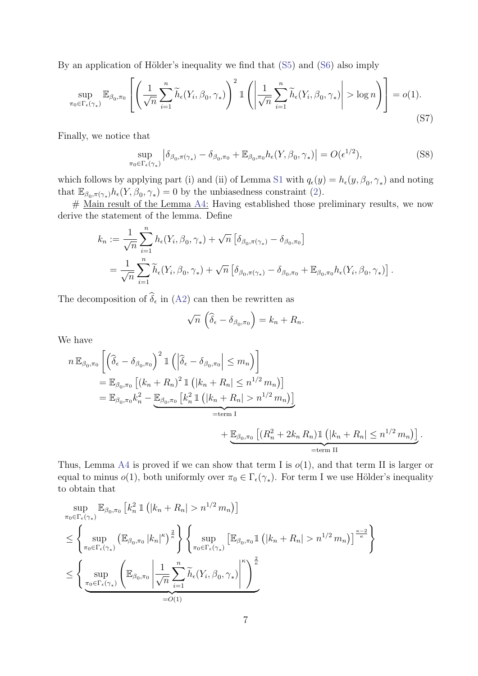By an application of Hölder's inequality we find that  $(S5)$  and  $(S6)$  also imply

$$
\sup_{\pi_0 \in \Gamma_{\epsilon}(\gamma_*)} \mathbb{E}_{\beta_0, \pi_0} \left[ \left( \frac{1}{\sqrt{n}} \sum_{i=1}^n \widetilde{h}_{\epsilon}(Y_i, \beta_0, \gamma_*) \right)^2 \mathbb{1} \left( \left| \frac{1}{\sqrt{n}} \sum_{i=1}^n \widetilde{h}_{\epsilon}(Y_i, \beta_0, \gamma_*) \right| > \log n \right) \right] = o(1).
$$
\n(S7)

Finally, we notice that

<span id="page-15-1"></span>
$$
\sup_{\pi_0 \in \Gamma_{\epsilon}(\gamma_*)} \left| \delta_{\beta_0, \pi(\gamma_*)} - \delta_{\beta_0, \pi_0} + \mathbb{E}_{\beta_0, \pi_0} h_{\epsilon}(Y, \beta_0, \gamma_*) \right| = O(\epsilon^{1/2}),\tag{S8}
$$

which follows by applying part (i) and (ii) of Lemma [S1](#page-9-1) with  $q_{\epsilon}(y) = h_{\epsilon}(y, \beta_0, \gamma_*)$  and noting that  $\mathbb{E}_{\beta_0, \pi(\gamma_*)} h_{\epsilon}(Y, \beta_0, \gamma_*) = 0$  by the unbiasedness constraint [\(2\)](#page--1-7).

# Main result of the Lemma [A4:](#page-4-1) Having established those preliminary results, we now derive the statement of the lemma. Define

$$
k_n := \frac{1}{\sqrt{n}} \sum_{i=1}^n h_{\epsilon}(Y_i, \beta_0, \gamma_*) + \sqrt{n} \left[ \delta_{\beta_0, \pi(\gamma_*)} - \delta_{\beta_0, \pi_0} \right]
$$
  
= 
$$
\frac{1}{\sqrt{n}} \sum_{i=1}^n \widetilde{h}_{\epsilon}(Y_i, \beta_0, \gamma_*) + \sqrt{n} \left[ \delta_{\beta_0, \pi(\gamma_*)} - \delta_{\beta_0, \pi_0} + \mathbb{E}_{\beta_0, \pi_0} h_{\epsilon}(Y_i, \beta_0, \gamma_*) \right].
$$

The decomposition of  $\delta_{\epsilon}$  in [\(A2\)](#page-4-0) can then be rewritten as

<span id="page-15-0"></span>
$$
\sqrt{n}\left(\widehat{\delta}_{\epsilon}-\delta_{\beta_0,\pi_0}\right)=k_n+R_n.
$$

We have

$$
n \mathbb{E}_{\beta_0, \pi_0} \left[ \left( \widehat{\delta}_{\epsilon} - \delta_{\beta_0, \pi_0} \right)^2 \mathbb{1} \left( \left| \widehat{\delta}_{\epsilon} - \delta_{\beta_0, \pi_0} \right| \le m_n \right) \right]
$$
  
\n
$$
= \mathbb{E}_{\beta_0, \pi_0} \left[ (k_n + R_n)^2 \mathbb{1} \left( |k_n + R_n| \le n^{1/2} m_n \right) \right]
$$
  
\n
$$
= \mathbb{E}_{\beta_0, \pi_0} k_n^2 - \underbrace{\mathbb{E}_{\beta_0, \pi_0} \left[ k_n^2 \mathbb{1} \left( |k_n + R_n| > n^{1/2} m_n \right) \right]}_{\text{term I}}
$$
  
\n
$$
+ \underbrace{\mathbb{E}_{\beta_0, \pi_0} \left[ (R_n^2 + 2k_n R_n) \mathbb{1} \left( |k_n + R_n| \le n^{1/2} m_n \right) \right]}_{\text{term II}}.
$$

Thus, Lemma [A4](#page-4-1) is proved if we can show that term I is  $o(1)$ , and that term II is larger or equal to minus  $o(1)$ , both uniformly over  $\pi_0 \in \Gamma_{\epsilon}(\gamma_*)$ . For term I we use Hölder's inequality to obtain that

$$
\sup_{\pi_0 \in \Gamma_{\epsilon}(\gamma_*)} \mathbb{E}_{\beta_0, \pi_0} \left[ k_n^2 \mathbb{1} \left( |k_n + R_n| > n^{1/2} m_n \right) \right]
$$
\n
$$
\leq \left\{ \sup_{\pi_0 \in \Gamma_{\epsilon}(\gamma_*)} \left( \mathbb{E}_{\beta_0, \pi_0} |k_n|^{\kappa} \right)^{\frac{2}{\kappa}} \right\} \left\{ \sup_{\pi_0 \in \Gamma_{\epsilon}(\gamma_*)} \left[ \mathbb{E}_{\beta_0, \pi_0} \mathbb{1} \left( |k_n + R_n| > n^{1/2} m_n \right) \right]^{\frac{\kappa - 2}{\kappa}} \right\}
$$
\n
$$
\leq \left\{ \sup_{\pi_0 \in \Gamma_{\epsilon}(\gamma_*)} \left( \mathbb{E}_{\beta_0, \pi_0} \left| \frac{1}{\sqrt{n}} \sum_{i=1}^n \widetilde{h}_{\epsilon}(Y_i, \beta_0, \gamma_*) \right|^\kappa \right)^{\frac{2}{\kappa}} - O(1)
$$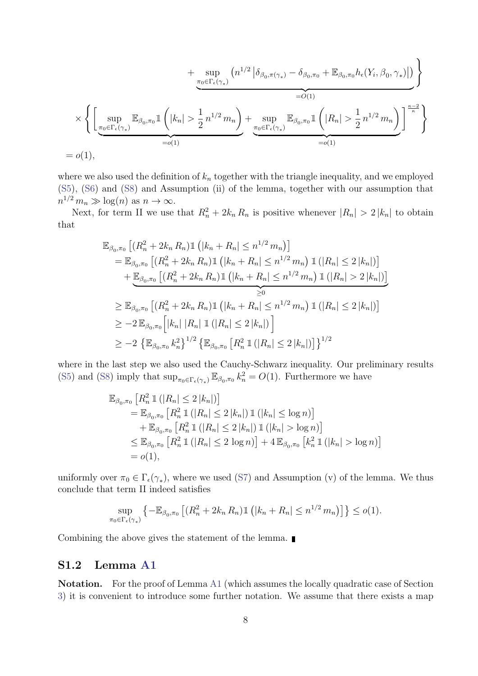$$
+\sup_{\pi_0 \in \Gamma_{\epsilon}(\gamma_*)} (n^{1/2} \left| \delta_{\beta_0, \pi(\gamma_*)} - \delta_{\beta_0, \pi_0} + \mathbb{E}_{\beta_0, \pi_0} h_{\epsilon}(Y_i, \beta_0, \gamma_*) \right|) \atop = O(1)
$$
  

$$
\times \left\{ \left[ \sup_{\pi_0 \in \Gamma_{\epsilon}(\gamma_*)} \mathbb{E}_{\beta_0, \pi_0} 1\left( |k_n| > \frac{1}{2} n^{1/2} m_n \right) + \sup_{\pi_0 \in \Gamma_{\epsilon}(\gamma_*)} \mathbb{E}_{\beta_0, \pi_0} 1\left( |R_n| > \frac{1}{2} n^{1/2} m_n \right) \right] \xrightarrow[\ =o(1)]{\qquad \qquad = o(1)}
$$

where we also used the definition of  $k_n$  together with the triangle inequality, and we employed [\(S5\)](#page-14-2), [\(S6\)](#page-14-3) and [\(S8\)](#page-15-0) and Assumption (ii) of the lemma, together with our assumption that  $n^{1/2} m_n \gg \log(n)$  as  $n \to \infty$ .

Next, for term II we use that  $R_n^2 + 2k_n R_n$  is positive whenever  $|R_n| > 2 |k_n|$  to obtain that

$$
\mathbb{E}_{\beta_0, \pi_0} \left[ (R_n^2 + 2k_n R_n) \mathbb{1} \left( |k_n + R_n| \le n^{1/2} m_n \right) \right]
$$
\n
$$
= \mathbb{E}_{\beta_0, \pi_0} \left[ (R_n^2 + 2k_n R_n) \mathbb{1} \left( |k_n + R_n| \le n^{1/2} m_n \right) \mathbb{1} \left( |R_n| \le 2 |k_n| \right) \right]
$$
\n
$$
+ \underbrace{\mathbb{E}_{\beta_0, \pi_0} \left[ (R_n^2 + 2k_n R_n) \mathbb{1} \left( |k_n + R_n| \le n^{1/2} m_n \right) \mathbb{1} \left( |R_n| > 2 |k_n| \right) \right]}_{\ge 0}
$$
\n
$$
\ge \mathbb{E}_{\beta_0, \pi_0} \left[ (R_n^2 + 2k_n R_n) \mathbb{1} \left( |k_n + R_n| \le n^{1/2} m_n \right) \mathbb{1} \left( |R_n| \le 2 |k_n| \right) \right]
$$
\n
$$
\ge -2 \mathbb{E}_{\beta_0, \pi_0} \left[ |k_n| |R_n| \mathbb{1} \left( |R_n| \le 2 |k_n| \right) \right]
$$
\n
$$
\ge -2 \left\{ \mathbb{E}_{\beta_0, \pi_0} k_n^2 \right\}^{1/2} \left\{ \mathbb{E}_{\beta_0, \pi_0} \left[ R_n^2 \mathbb{1} \left( |R_n| \le 2 |k_n| \right) \right] \right\}^{1/2}
$$

where in the last step we also used the Cauchy-Schwarz inequality. Our preliminary results [\(S5\)](#page-14-2) and [\(S8\)](#page-15-0) imply that  $\sup_{\pi_0 \in \Gamma_{\epsilon}(\gamma_*)} \mathbb{E}_{\beta_0, \pi_0} k_n^2 = O(1)$ . Furthermore we have

$$
\mathbb{E}_{\beta_0, \pi_0} \left[ R_n^2 \, \mathbb{1} \left( |R_n| \le 2 \, |k_n| \right) \right] \n= \mathbb{E}_{\beta_0, \pi_0} \left[ R_n^2 \, \mathbb{1} \left( |R_n| \le 2 \, |k_n| \right) \mathbb{1} \left( |k_n| \le \log n \right) \right] \n+ \mathbb{E}_{\beta_0, \pi_0} \left[ R_n^2 \, \mathbb{1} \left( |R_n| \le 2 \, |k_n| \right) \mathbb{1} \left( |k_n| > \log n \right) \right] \n\le \mathbb{E}_{\beta_0, \pi_0} \left[ R_n^2 \, \mathbb{1} \left( |R_n| \le 2 \, \log n \right) \right] + 4 \, \mathbb{E}_{\beta_0, \pi_0} \left[ k_n^2 \, \mathbb{1} \left( |k_n| > \log n \right) \right] \n= o(1),
$$

uniformly over  $\pi_0 \in \Gamma_{\epsilon}(\gamma_*)$ , where we used [\(S7\)](#page-15-1) and Assumption (v) of the lemma. We thus conclude that term II indeed satisfies

$$
\sup_{\pi_0 \in \Gamma_{\epsilon}(\gamma_*)} \left\{ -\mathbb{E}_{\beta_0, \pi_0} \left[ (R_n^2 + 2k_n R_n) \mathbb{1} \left( |k_n + R_n| \le n^{1/2} m_n \right) \right] \right\} \le o(1).
$$

Combining the above gives the statement of the lemma.

### S1.2 Lemma [A1](#page-3-2)

Notation. For the proof of Lemma [A1](#page-3-2) (which assumes the locally quadratic case of Section [3\)](#page--1-5) it is convenient to introduce some further notation. We assume that there exists a map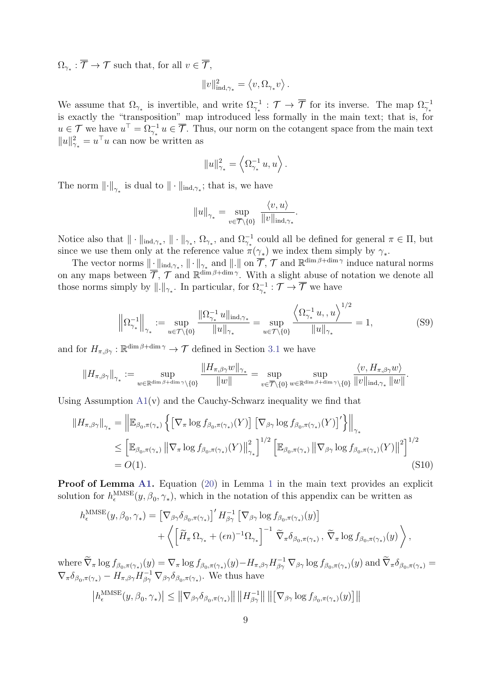$\Omega_{\gamma_*}: \mathcal{T} \to \mathcal{T}$  such that, for all  $v \in \mathcal{T}$ ,

$$
\|v\|_{\operatorname{ind},\gamma_*}^2 = \left\langle v,\Omega_{\gamma_*} v\right\rangle.
$$

We assume that  $\Omega_{\gamma_*}$  is invertible, and write  $\Omega_{\gamma_*}^{-1}$ :  $\mathcal{T} \to \overline{\mathcal{T}}$  for its inverse. The map  $\Omega_{\gamma_*}^{-1}$ is exactly the "transposition" map introduced less formally in the main text; that is, for  $u \in \mathcal{T}$  we have  $u^{\top} = \Omega_{\gamma_*}^{-1} u \in \overline{\mathcal{T}}$ . Thus, our norm on the cotangent space from the main text  $||u||^2_{\gamma_*} = u^\top u$  can now be written as

$$
||u||_{\gamma_*}^2 = \left\langle \Omega_{\gamma_*}^{-1} u, u \right\rangle.
$$

The norm  $\left\|\cdot\right\|_{\gamma_*}$  is dual to  $\|\cdot\|_{\text{ind},\gamma_*}$ ; that is, we have

<span id="page-17-0"></span>
$$
||u||_{\gamma_*} = \sup_{v \in \overline{\mathcal{T}} \backslash \{0\}} \frac{\langle v, u \rangle}{||v||_{\text{ind}, \gamma_*}}.
$$

Notice also that  $\|\cdot\|_{\text{ind},\gamma_*}, \|\cdot\|_{\gamma_*}, \Omega_{\gamma_*},$  and  $\Omega_{\gamma_*}^{-1}$  could all be defined for general  $\pi \in \Pi$ , but since we use them only at the reference value  $\pi(\gamma_*)$  we index them simply by  $\gamma_*$ .

The vector norms  $\|\cdot\|_{\text{ind},\gamma_*}$ ,  $\|\cdot\|_{\gamma_*}$  and  $\|\cdot\|$  on  $\overline{\mathcal{T}}, \mathcal{T}$  and  $\mathbb{R}^{\dim \beta + \dim \gamma}$  induce natural norms on any maps between  $\overline{\mathcal{T}}$ ,  $\mathcal{T}$  and  $\mathbb{R}^{\dim \beta + \dim \gamma}$ . With a slight abuse of notation we denote all those norms simply by  $\|.\|_{\gamma_*}$ . In particular, for  $\Omega_{\gamma_*}^{-1} : \mathcal{T} \to \overline{\mathcal{T}}$  we have

<span id="page-17-1"></span>
$$
\left\| \Omega_{\gamma_*}^{-1} \right\|_{\gamma_*} := \sup_{u \in \mathcal{T} \backslash \{0\}} \frac{\|\Omega_{\gamma_*}^{-1} u\|_{\text{ind}, \gamma_*}}{\|u\|_{\gamma_*}} = \sup_{u \in \mathcal{T} \backslash \{0\}} \frac{\left\langle \Omega_{\gamma_*}^{-1} u, u \right\rangle^{1/2}}{\|u\|_{\gamma_*}} = 1,
$$
 (S9)

and for  $H_{\pi,\beta\gamma}:\mathbb{R}^{\dim\beta+\dim\gamma}\to\mathcal{T}$  defined in Section [3.1](#page--1-16) we have

$$
||H_{\pi,\beta\gamma}||_{\gamma_*} := \sup_{w \in \mathbb{R}^{\dim\beta + \dim\gamma} \setminus \{0\}} \frac{||H_{\pi,\beta\gamma}w||_{\gamma_*}}{||w||} = \sup_{v \in \overline{\mathcal{T}} \setminus \{0\}} \sup_{w \in \mathbb{R}^{\dim\beta + \dim\gamma} \setminus \{0\}} \frac{\langle v, H_{\pi,\beta\gamma}w \rangle}{||v||_{\mathrm{ind},\gamma_*} ||w||}.
$$

Using Assumption  $A_1(v)$  and the Cauchy-Schwarz inequality we find that

$$
\|H_{\pi,\beta\gamma}\|_{\gamma_*} = \left\|\mathbb{E}_{\beta_0,\pi(\gamma_*)}\left\{\left[\nabla_\pi \log f_{\beta_0,\pi(\gamma_*)}(Y)\right] \left[\nabla_{\beta\gamma} \log f_{\beta_0,\pi(\gamma_*)}(Y)\right]'\right\}\right\|_{\gamma_*}
$$
  
\n
$$
\leq \left[\mathbb{E}_{\beta_0,\pi(\gamma_*)}\left\|\nabla_\pi \log f_{\beta_0,\pi(\gamma_*)}(Y)\right\|_{\gamma_*}^2\right]^{1/2} \left[\mathbb{E}_{\beta_0,\pi(\gamma_*)}\left\|\nabla_{\beta\gamma} \log f_{\beta_0,\pi(\gamma_*)}(Y)\right\|^2\right]^{1/2}
$$
  
\n
$$
= O(1). \tag{S10}
$$

Proof of Lemma [A1.](#page-3-2) Equation [\(20\)](#page--1-4) in Lemma [1](#page--1-6) in the main text provides an explicit solution for  $h_{\epsilon}^{\text{MMSE}}(y, \beta_0, \gamma_*)$ , which in the notation of this appendix can be written as

$$
h_{\epsilon}^{\text{MMSE}}(y, \beta_0, \gamma_*) = \left[\nabla_{\beta \gamma} \delta_{\beta_0, \pi(\gamma_*)}\right]' H_{\beta \gamma}^{-1} \left[\nabla_{\beta \gamma} \log f_{\beta_0, \pi(\gamma_*)}(y)\right] + \left\langle \left[\widetilde{H}_{\pi} \Omega_{\gamma_*} + (\epsilon n)^{-1} \Omega_{\gamma_*}\right]^{-1} \widetilde{\nabla}_{\pi} \delta_{\beta_0, \pi(\gamma_*)}, \widetilde{\nabla}_{\pi} \log f_{\beta_0, \pi(\gamma_*)}(y)\right\rangle,
$$

where  $\widetilde{\nabla}_{\pi} \log f_{\beta_0, \pi(\gamma_*)}(y) = \nabla_{\pi} \log f_{\beta_0, \pi(\gamma_*)}(y) - H_{\pi, \beta\gamma} H_{\beta\gamma}^{-1} \nabla_{\beta\gamma} \log f_{\beta_0, \pi(\gamma_*)}(y)$  and  $\widetilde{\nabla}_{\pi} \delta_{\beta_0, \pi(\gamma_*)} =$  $\nabla_{\pi}\delta_{\beta_0,\pi(\gamma_*)}-H_{\pi,\beta\gamma}H_{\beta\gamma}^{-1}\nabla_{\beta\gamma}\delta_{\beta_0,\pi(\gamma_*)}$ . We thus have  $|h_{\epsilon}^{\text{MMSE}}(y, \beta_0, \gamma_*)| \leq ||\nabla_{\beta \gamma} \delta_{\beta_0, \pi(\gamma_*)}|| ||H_{\beta \gamma}^{-1}$  $\frac{1}{\beta\gamma} \|\left\|\left[\nabla_{\beta\gamma}\log f_{\beta_0,\pi(\gamma_*)}(y)\right]\right\|$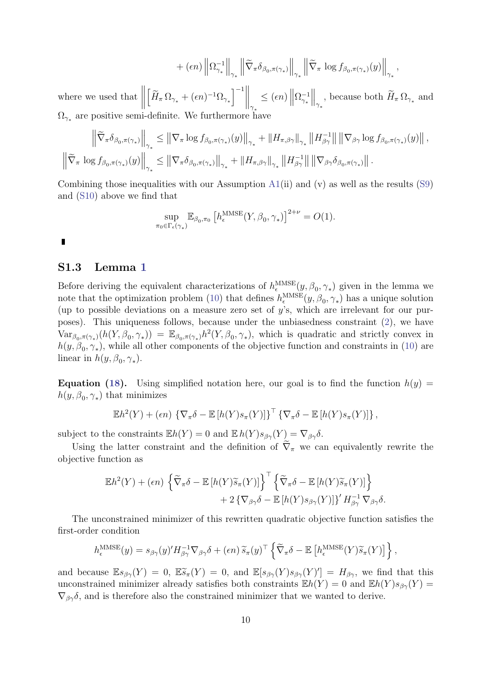$$
+ \left.(\epsilon n)\left\|\Omega_{\gamma_*}^{-1}\right\|_{\gamma_*} \left\|\widetilde{\nabla}_\pi \delta_{\beta_0, \pi(\gamma_*)}\right\|_{\gamma_*} \left\|\widetilde{\nabla}_\pi \log f_{\beta_0, \pi(\gamma_*)}(y)\right\|_{\gamma_*},
$$

where we used that  $\left[ \widetilde{H}_{\pi} \, \Omega_{\gamma_*} + (\epsilon n)^{-1} \Omega_{\gamma_*} \right]^{-1} \Big\|_{\gamma_*}$  $\leq$  ( $\epsilon n$ ) ||  $\Omega_{\gamma_*}^{-1}$  $\Big\|_{\gamma_*}$ , because both  $\widetilde{H}_{\pi}\Omega_{\gamma_*}$  and  $\Omega_{\gamma_{*}}$  are positive semi-definite. We furthermore have

$$
\left\|\widetilde{\nabla}_{\pi}\delta_{\beta_{0},\pi(\gamma_{*})}\right\|_{\gamma_{*}} \leq \left\|\nabla_{\pi}\log f_{\beta_{0},\pi(\gamma_{*})}(y)\right\|_{\gamma_{*}} + \left\|H_{\pi,\beta\gamma}\right\|_{\gamma_{*}}\left\|H_{\beta\gamma}^{-1}\right\|\left\|\nabla_{\beta\gamma}\log f_{\beta_{0},\pi(\gamma_{*})}(y)\right\|,
$$
  

$$
\left\|\widetilde{\nabla}_{\pi}\log f_{\beta_{0},\pi(\gamma_{*})}(y)\right\|_{\gamma_{*}} \leq \left\|\nabla_{\pi}\delta_{\beta_{0},\pi(\gamma_{*})}\right\|_{\gamma_{*}} + \left\|H_{\pi,\beta\gamma}\right\|_{\gamma_{*}}\left\|H_{\beta\gamma}^{-1}\right\|\left\|\nabla_{\beta\gamma}\delta_{\beta_{0},\pi(\gamma_{*})}\right\|.
$$

Combining those inequalities with our Assumption  $A1(ii)$  $A1(ii)$  and  $(v)$  as well as the results [\(S9\)](#page-17-0) and [\(S10\)](#page-17-1) above we find that

$$
\sup_{\pi_0 \in \Gamma_{\epsilon}(\gamma_*)} \mathbb{E}_{\beta_0, \pi_0} \left[ h_{\epsilon}^{\text{MMSE}}(Y, \beta_0, \gamma_*) \right]^{2+\nu} = O(1).
$$

T

### S1.3 Lemma [1](#page--1-6)

Before deriving the equivalent characterizations of  $h_{\epsilon}^{\text{MMSE}}(y, \beta_0, \gamma_*)$  given in the lemma we note that the optimization problem [\(10\)](#page--1-11) that defines  $h_{\epsilon}^{\text{MMSE}}(y, \beta_0, \gamma_*)$  has a unique solution (up to possible deviations on a measure zero set of y's, which are irrelevant for our purposes). This uniqueness follows, because under the unbiasedness constraint [\(2\)](#page--1-7), we have  $Var_{\beta_0,\pi(\gamma_*)}(h(Y,\beta_0,\gamma_*)) = \mathbb{E}_{\beta_0,\pi(\gamma_*)}h^2(Y,\beta_0,\gamma_*),$  which is quadratic and strictly convex in  $h(y, \beta_0, \gamma_*)$ , while all other components of the objective function and constraints in [\(10\)](#page--1-11) are linear in  $h(y, \beta_0, \gamma_*)$ .

**Equation [\(18\)](#page--1-17).** Using simplified notation here, our goal is to find the function  $h(y)$  =  $h(y, \beta_0, \gamma_*)$  that minimizes

$$
\mathbb{E}h^{2}(Y) + (\epsilon n) \left\{ \nabla_{\pi} \delta - \mathbb{E} \left[ h(Y) s_{\pi}(Y) \right] \right\}^{\top} \left\{ \nabla_{\pi} \delta - \mathbb{E} \left[ h(Y) s_{\pi}(Y) \right] \right\},
$$

subject to the constraints  $\mathbb{E}h(Y) = 0$  and  $\mathbb{E}h(Y) s_{\beta\gamma}(Y) = \nabla_{\beta\gamma} \delta$ .

Using the latter constraint and the definition of  $\tilde{\nabla}_{\pi}$  we can equivalently rewrite the objective function as

$$
\mathbb{E}h^{2}(Y) + (\epsilon n) \left\{ \widetilde{\nabla}_{\pi} \delta - \mathbb{E} \left[ h(Y) \widetilde{s}_{\pi}(Y) \right] \right\}^{\top} \left\{ \widetilde{\nabla}_{\pi} \delta - \mathbb{E} \left[ h(Y) \widetilde{s}_{\pi}(Y) \right] \right\} + 2 \left\{ \nabla_{\beta \gamma} \delta - \mathbb{E} \left[ h(Y) s_{\beta \gamma}(Y) \right] \right\}^{\prime} H_{\beta \gamma}^{-1} \nabla_{\beta \gamma} \delta.
$$

The unconstrained minimizer of this rewritten quadratic objective function satisfies the first-order condition

$$
h_{\epsilon}^{\text{MMSE}}(y) = s_{\beta\gamma}(y)' H_{\beta\gamma}^{-1} \nabla_{\beta\gamma} \delta + (\epsilon n) \widetilde{s}_{\pi}(y)^{\top} \left\{ \widetilde{\nabla}_{\pi} \delta - \mathbb{E} \left[ h_{\epsilon}^{\text{MMSE}}(Y) \widetilde{s}_{\pi}(Y) \right] \right\},
$$

and because  $\mathbb{E}s_{\beta\gamma}(Y) = 0$ ,  $\mathbb{E}\tilde{s}_{\pi}(Y) = 0$ , and  $\mathbb{E}[s_{\beta\gamma}(Y)s_{\beta\gamma}(Y)'] = H_{\beta\gamma}$ , we find that this unconstrained minimizer already satisfies both constraints  $\mathbb{E}h(Y) = 0$  and  $\mathbb{E}h(Y) s_{\beta\gamma}(Y) = 0$  $\nabla_{\beta\gamma}\delta$ , and is therefore also the constrained minimizer that we wanted to derive.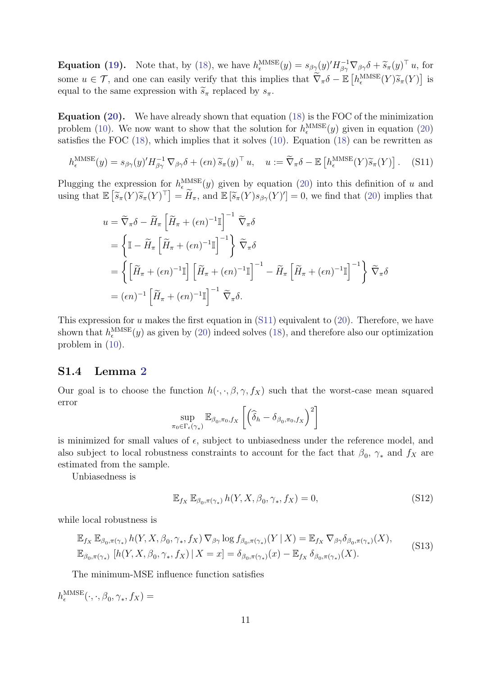**Equation [\(19\)](#page--1-18).** Note that, by [\(18\)](#page--1-17), we have  $h_{\epsilon}^{\text{MMSE}}(y) = s_{\beta\gamma}(y)' H_{\beta\gamma}^{-1} \nabla_{\beta\gamma} \delta + \tilde{s}_{\pi}(y)^{\top} u$ , for some  $u \in \mathcal{T}$ , and one can easily verify that this implies that  $\tilde{\nabla}_{\pi} \delta - \mathbb{E} \left[ h_{\epsilon}^{\text{MMSE}}(Y) \tilde{s}_{\pi}(Y) \right]$  is<br>equal to the same expression with  $\tilde{\epsilon}$ , replaced by  $e$ . equal to the same expression with  $\widetilde{s}_{\pi}$  replaced by  $s_{\pi}$ .

Equation [\(20\)](#page--1-4). We have already shown that equation [\(18\)](#page--1-17) is the FOC of the minimization problem [\(10\)](#page--1-11). We now want to show that the solution for  $h_{\epsilon}^{\text{MMSE}}(y)$  given in equation [\(20\)](#page--1-4) satisfies the FOC [\(18\)](#page--1-17), which implies that it solves [\(10\)](#page--1-11). Equation [\(18\)](#page--1-17) can be rewritten as

$$
h_{\epsilon}^{\text{MMSE}}(y) = s_{\beta\gamma}(y)' H_{\beta\gamma}^{-1} \nabla_{\beta\gamma} \delta + (\epsilon n) \widetilde{s}_{\pi}(y)^{\top} u, \quad u := \widetilde{\nabla}_{\pi} \delta - \mathbb{E} \left[ h_{\epsilon}^{\text{MMSE}}(Y) \widetilde{s}_{\pi}(Y) \right]. \tag{S11}
$$

Plugging the expression for  $h_{\epsilon}^{\text{MMSE}}(y)$  given by equation [\(20\)](#page--1-4) into this definition of u and using that  $\mathbb{E}\left[\widetilde{s}_{\pi}(Y)\widetilde{s}_{\pi}(Y)^{\top}\right] = \widetilde{H}_{\pi}$ , and  $\mathbb{E}\left[\widetilde{s}_{\pi}(Y)s_{\beta\gamma}(Y)^{\prime}\right] = 0$ , we find that [\(20\)](#page--1-4) implies that

<span id="page-19-0"></span>
$$
u = \widetilde{\nabla}_{\pi} \delta - \widetilde{H}_{\pi} \left[ \widetilde{H}_{\pi} + (\epsilon n)^{-1} \mathbb{I} \right]^{-1} \widetilde{\nabla}_{\pi} \delta
$$
  
\n
$$
= \left\{ \mathbb{I} - \widetilde{H}_{\pi} \left[ \widetilde{H}_{\pi} + (\epsilon n)^{-1} \mathbb{I} \right]^{-1} \right\} \widetilde{\nabla}_{\pi} \delta
$$
  
\n
$$
= \left\{ \left[ \widetilde{H}_{\pi} + (\epsilon n)^{-1} \mathbb{I} \right] \left[ \widetilde{H}_{\pi} + (\epsilon n)^{-1} \mathbb{I} \right]^{-1} - \widetilde{H}_{\pi} \left[ \widetilde{H}_{\pi} + (\epsilon n)^{-1} \mathbb{I} \right]^{-1} \right\} \widetilde{\nabla}_{\pi} \delta
$$
  
\n
$$
= (\epsilon n)^{-1} \left[ \widetilde{H}_{\pi} + (\epsilon n)^{-1} \mathbb{I} \right]^{-1} \widetilde{\nabla}_{\pi} \delta.
$$

This expression for u makes the first equation in  $(S11)$  equivalent to  $(20)$ . Therefore, we have shown that  $h_{\epsilon}^{\text{MMSE}}(y)$  as given by [\(20\)](#page--1-4) indeed solves [\(18\)](#page--1-17), and therefore also our optimization problem in [\(10\)](#page--1-11).

#### S1.4 Lemma [2](#page--1-19)

Our goal is to choose the function  $h(\cdot, \cdot, \beta, \gamma, f_X)$  such that the worst-case mean squared error

$$
\sup_{\pi_0 \in \Gamma_{\epsilon}(\gamma_*)} \mathbb{E}_{\beta_0, \pi_0, f_X} \left[ \left( \widehat{\delta}_h - \delta_{\beta_0, \pi_0, f_X} \right)^2 \right]
$$

is minimized for small values of  $\epsilon$ , subject to unbiasedness under the reference model, and also subject to local robustness constraints to account for the fact that  $\beta_0$ ,  $\gamma_*$  and  $f_X$  are estimated from the sample.

Unbiasedness is

<span id="page-19-2"></span><span id="page-19-1"></span>
$$
\mathbb{E}_{f_X} \mathbb{E}_{\beta_0, \pi(\gamma_*)} h(Y, X, \beta_0, \gamma_*, f_X) = 0,
$$
\n(S12)

while local robustness is

$$
\mathbb{E}_{f_X} \mathbb{E}_{\beta_0, \pi(\gamma_*)} h(Y, X, \beta_0, \gamma_*, f_X) \nabla_{\beta \gamma} \log f_{\beta_0, \pi(\gamma_*)}(Y | X) = \mathbb{E}_{f_X} \nabla_{\beta \gamma} \delta_{\beta_0, \pi(\gamma_*)}(X),
$$
\n
$$
\mathbb{E}_{\beta_0, \pi(\gamma_*)} [h(Y, X, \beta_0, \gamma_*, f_X) | X = x] = \delta_{\beta_0, \pi(\gamma_*)}(x) - \mathbb{E}_{f_X} \delta_{\beta_0, \pi(\gamma_*)}(X).
$$
\n
$$
(S13)
$$

The minimum-MSE influence function satisfies

 $h_{\epsilon}^{\mathrm{MMSE}}(\cdot,\cdot,\beta_0,\gamma_*,f_X) =$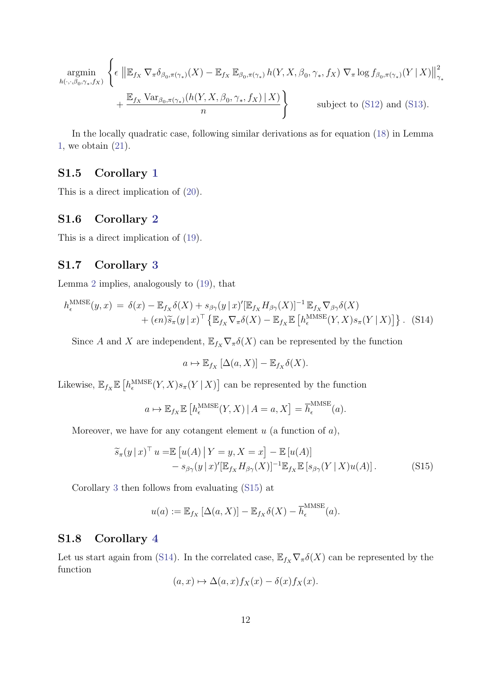$$
\underset{h(\cdot,\cdot,\beta_0,\gamma_*,f_X)}{\operatorname{argmin}} \left\{ \epsilon \, \left\| \mathbb{E}_{f_X} \, \nabla_\pi \delta_{\beta_0,\pi(\gamma_*)}(X) - \mathbb{E}_{f_X} \, \mathbb{E}_{\beta_0,\pi(\gamma_*)} \, h(Y,X,\beta_0,\gamma_*,f_X) \, \nabla_\pi \log f_{\beta_0,\pi(\gamma_*)}(Y \, | \, X) \right\|_{\gamma_*}^2 + \frac{\mathbb{E}_{f_X} \, \text{Var}_{\beta_0,\pi(\gamma_*)}(h(Y,X,\beta_0,\gamma_*,f_X) \, | \, X)}{n} \right\}
$$
\nsubject to (S12) and (S13).

In the locally quadratic case, following similar derivations as for equation [\(18\)](#page--1-17) in Lemma [1,](#page--1-6) we obtain [\(21\)](#page--1-20).

## S1.5 Corollary [1](#page--1-21)

This is a direct implication of [\(20\)](#page--1-4).

### S1.6 Corollary [2](#page--1-22)

This is a direct implication of [\(19\)](#page--1-18).

### S1.7 Corollary [3](#page--1-23)

Lemma [2](#page--1-19) implies, analogously to [\(19\)](#page--1-18), that

$$
h_{\epsilon}^{\text{MMSE}}(y,x) = \delta(x) - \mathbb{E}_{f_X} \delta(X) + s_{\beta \gamma}(y \mid x)' [\mathbb{E}_{f_X} H_{\beta \gamma}(X)]^{-1} \mathbb{E}_{f_X} \nabla_{\beta \gamma} \delta(X) + (\epsilon n) \widetilde{s}_{\pi}(y \mid x)^{\top} \left\{ \mathbb{E}_{f_X} \nabla_{\pi} \delta(X) - \mathbb{E}_{f_X} \mathbb{E} \left[ h_{\epsilon}^{\text{MMSE}}(Y,X) s_{\pi}(Y \mid X) \right] \right\}. (S14)
$$

Since A and X are independent,  $\mathbb{E}_{f_X} \nabla_{\pi} \delta(X)$  can be represented by the function

<span id="page-20-1"></span><span id="page-20-0"></span>
$$
a \mapsto \mathbb{E}_{f_X} [\Delta(a, X)] - \mathbb{E}_{f_X} \delta(X).
$$

Likewise,  $\mathbb{E}_{f_X} \mathbb{E}\left[h_{\epsilon}^{\text{MMSE}}(Y,X)s_{\pi}(Y | X)\right]$  can be represented by the function

$$
a \mapsto \mathbb{E}_{f_X} \mathbb{E} \left[ h_{\epsilon}^{\text{MMSE}}(Y, X) \,|\, A = a, X \right] = \overline{h}_{\epsilon}^{\text{MMSE}}(a).
$$

Moreover, we have for any cotangent element  $u$  (a function of  $a$ ),

$$
\widetilde{s}_{\pi}(y \mid x)^{\top} u = \mathbb{E} \left[ u(A) \mid Y = y, X = x \right] - \mathbb{E} \left[ u(A) \right] \n- s_{\beta \gamma}(y \mid x)' [\mathbb{E}_{f_X} H_{\beta \gamma}(X)]^{-1} \mathbb{E}_{f_X} \mathbb{E} \left[ s_{\beta \gamma}(Y \mid X) u(A) \right].
$$
\n(S15)

Corollary [3](#page--1-23) then follows from evaluating [\(S15\)](#page-20-0) at

$$
u(a) := \mathbb{E}_{f_X} [\Delta(a, X)] - \mathbb{E}_{f_X} \delta(X) - \overline{h}_{\epsilon}^{\text{MMSE}}(a).
$$

#### S1.8 Corollary [4](#page--1-24)

Let us start again from [\(S14\)](#page-20-1). In the correlated case,  $\mathbb{E}_{f_X} \nabla_{\pi} \delta(X)$  can be represented by the function

$$
(a, x) \mapsto \Delta(a, x) f_X(x) - \delta(x) f_X(x).
$$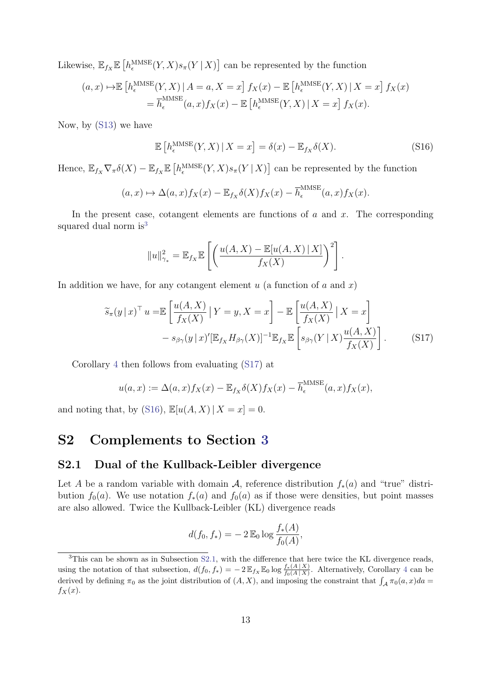Likewise,  $\mathbb{E}_{f_X} \mathbb{E}\left[h_{\epsilon}^{\text{MMSE}}(Y,X)s_{\pi}(Y | X)\right]$  can be represented by the function

$$
(a, x) \mapsto \mathbb{E}\left[h_{\epsilon}^{\text{MMSE}}(Y, X) \mid A = a, X = x\right] f_X(x) - \mathbb{E}\left[h_{\epsilon}^{\text{MMSE}}(Y, X) \mid X = x\right] f_X(x)
$$

$$
= \overline{h}_{\epsilon}^{\text{MMSE}}(a, x) f_X(x) - \mathbb{E}\left[h_{\epsilon}^{\text{MMSE}}(Y, X) \mid X = x\right] f_X(x).
$$

Now, by [\(S13\)](#page-19-2) we have

<span id="page-21-3"></span>
$$
\mathbb{E}\left[h_{\epsilon}^{\text{MMSE}}(Y,X)\,|\,X=x\right] = \delta(x) - \mathbb{E}_{f_X}\delta(X). \tag{S16}
$$

Hence,  $\mathbb{E}_{f_X} \nabla_{\pi} \delta(X) - \mathbb{E}_{f_X} \mathbb{E}\left[h_{\epsilon}^{\text{MMSE}}(Y,X) s_{\pi}(Y | X)\right]$  can be represented by the function

$$
(a,x) \mapsto \Delta(a,x) f_X(x) - \mathbb{E}_{f_X} \delta(X) f_X(x) - \overline{h}_{\epsilon}^{\text{MMSE}}(a,x) f_X(x).
$$

In the present case, cotangent elements are functions of  $a$  and  $x$ . The corresponding squared dual norm is<sup>[3](#page-21-1)</sup>

<span id="page-21-2"></span>
$$
||u||_{\gamma_*}^2 = \mathbb{E}_{f_X} \mathbb{E}\left[\left(\frac{u(A,X) - \mathbb{E}[u(A,X) \mid X]}{f_X(X)}\right)^2\right].
$$

In addition we have, for any cotangent element  $u$  (a function of  $a$  and  $x$ )

$$
\widetilde{s}_{\pi}(y \mid x)^{\top} u = \mathbb{E} \left[ \frac{u(A, X)}{f_X(X)} \mid Y = y, X = x \right] - \mathbb{E} \left[ \frac{u(A, X)}{f_X(X)} \mid X = x \right] \n- s_{\beta\gamma}(y \mid x)' [\mathbb{E}_{f_X} H_{\beta\gamma}(X)]^{-1} \mathbb{E}_{f_X} \mathbb{E} \left[ s_{\beta\gamma}(Y \mid X) \frac{u(A, X)}{f_X(X)} \right].
$$
\n(S17)

Corollary [4](#page--1-24) then follows from evaluating [\(S17\)](#page-21-2) at

$$
u(a,x) := \Delta(a,x) f_X(x) - \mathbb{E}_{f_X} \delta(X) f_X(x) - \overline{h}_{\epsilon}^{\text{MMSE}}(a,x) f_X(x),
$$

and noting that, by [\(S16\)](#page-21-3),  $\mathbb{E}[u(A, X) | X = x] = 0$ .

# <span id="page-21-0"></span>S2 Complements to Section [3](#page--1-5)

#### <span id="page-21-4"></span>S2.1 Dual of the Kullback-Leibler divergence

Let A be a random variable with domain A, reference distribution  $f_*(a)$  and "true" distribution  $f_0(a)$ . We use notation  $f_*(a)$  and  $f_0(a)$  as if those were densities, but point masses are also allowed. Twice the Kullback-Leibler (KL) divergence reads

$$
d(f_0, f_*) = -2 \mathbb{E}_0 \log \frac{f_*(A)}{f_0(A)},
$$

<span id="page-21-1"></span><sup>&</sup>lt;sup>3</sup>This can be shown as in Subsection [S2.1,](#page-21-4) with the difference that here twice the KL divergence reads, using the notation of that subsection,  $d(f_0, f_*) = -2 \mathbb{E}_{f_X} \mathbb{E}_0 \log \frac{f_*(A|X)}{f_0(A|X)}$ . Alternatively, Corollary [4](#page--1-24) can be derived by defining  $\pi_0$  as the joint distribution of  $(A, X)$ , and imposing the constraint that  $\int_A \pi_0(a, x)da =$  $f_X(x)$ .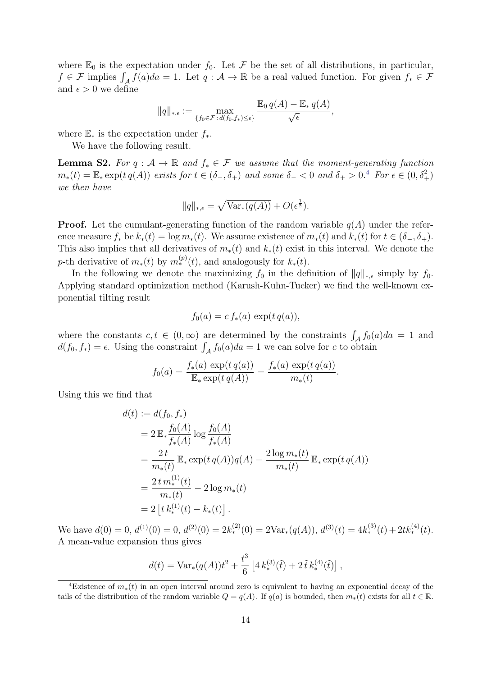where  $\mathbb{E}_0$  is the expectation under  $f_0$ . Let F be the set of all distributions, in particular,  $f \in \mathcal{F}$  implies  $\int_{\mathcal{A}} f(a)da = 1$ . Let  $q : \mathcal{A} \to \mathbb{R}$  be a real valued function. For given  $f_* \in \mathcal{F}$ and  $\epsilon > 0$  we define

$$
||q||_{*,\epsilon} := \max_{\{f_0 \in \mathcal{F} : d(f_0, f_*) \leq \epsilon\}} \frac{\mathbb{E}_0 q(A) - \mathbb{E}_* q(A)}{\sqrt{\epsilon}},
$$

where  $\mathbb{E}_*$  is the expectation under  $f_*$ .

We have the following result.

**Lemma S2.** For  $q : A \to \mathbb{R}$  and  $f_* \in \mathcal{F}$  we assume that the moment-generating function  $m_*(t) = \mathbb{E}_*\exp(t q(A))$  exists for  $t \in (\delta_-, \delta_+)$  and some  $\delta_- < 0$  and  $\delta_+ > 0$ .<sup>[4](#page-22-0)</sup> For  $\epsilon \in (0, \delta_+^2)$ we then have

$$
||q||_{*,\epsilon} = \sqrt{\text{Var}_*(q(A))} + O(\epsilon^{\frac{1}{2}}).
$$

**Proof.** Let the cumulant-generating function of the random variable  $q(A)$  under the reference measure  $f_*$  be  $k_*(t) = \log m_*(t)$ . We assume existence of  $m_*(t)$  and  $k_*(t)$  for  $t \in (\delta_-, \delta_+)$ . This also implies that all derivatives of  $m_*(t)$  and  $k_*(t)$  exist in this interval. We denote the p-th derivative of  $m_*(t)$  by  $m_*^{(p)}(t)$ , and analogously for  $k_*(t)$ .

In the following we denote the maximizing  $f_0$  in the definition of  $||q||_{*,\epsilon}$  simply by  $f_0$ . Applying standard optimization method (Karush-Kuhn-Tucker) we find the well-known exponential tilting result

$$
f_0(a) = c f_*(a) \exp(t q(a)),
$$

where the constants  $c, t \in (0, \infty)$  are determined by the constraints  $\int_{\mathcal{A}} f_0(a)da = 1$  and  $d(f_0, f_*) = \epsilon$ . Using the constraint  $\int_A f_0(a)da = 1$  we can solve for c to obtain

$$
f_0(a) = \frac{f_*(a) \, \exp(t \, q(a))}{\mathbb{E}_* \exp(t \, q(A))} = \frac{f_*(a) \, \exp(t \, q(a))}{m_*(t)}.
$$

Using this we find that

$$
d(t) := d(f_0, f_*)
$$
  
=  $2 \mathbb{E}_* \frac{f_0(A)}{f_*(A)} \log \frac{f_0(A)}{f_*(A)}$   
=  $\frac{2t}{m_*(t)} \mathbb{E}_* \exp(t q(A)) q(A) - \frac{2 \log m_*(t)}{m_*(t)} \mathbb{E}_* \exp(t q(A))$   
=  $\frac{2t m_*^{(1)}(t)}{m_*(t)} - 2 \log m_*(t)$   
=  $2 [t k_*^{(1)}(t) - k_*(t)].$ 

We have  $d(0) = 0$ ,  $d^{(1)}(0) = 0$ ,  $d^{(2)}(0) = 2k_*^{(2)}(0) = 2Var_*(q(A)), d^{(3)}(t) = 4k_*^{(3)}(t) + 2tk_*^{(4)}(t)$ . A mean-value expansion thus gives

$$
d(t) = \text{Var}_*(q(A))t^2 + \frac{t^3}{6} \left[ 4 k_*^{(3)}(\tilde{t}) + 2 \tilde{t} k_*^{(4)}(\tilde{t}) \right],
$$

<span id="page-22-0"></span><sup>&</sup>lt;sup>4</sup>Existence of  $m_*(t)$  in an open interval around zero is equivalent to having an exponential decay of the tails of the distribution of the random variable  $Q = q(A)$ . If  $q(a)$  is bounded, then  $m_*(t)$  exists for all  $t \in \mathbb{R}$ .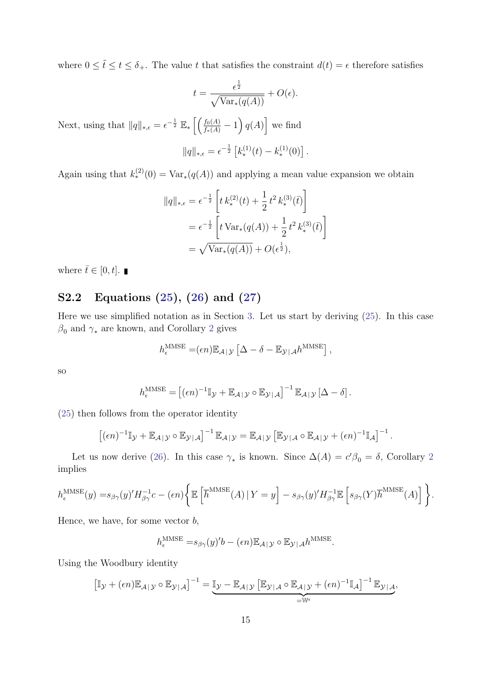where  $0 \leq \tilde{t} \leq t \leq \delta_{+}$ . The value t that satisfies the constraint  $d(t) = \epsilon$  therefore satisfies

$$
t = \frac{\epsilon^{\frac{1}{2}}}{\sqrt{\text{Var}_*(q(A))}} + O(\epsilon).
$$

Next, using that  $||q||_{*,\epsilon} = \epsilon^{-\frac{1}{2}} \mathbb{E}_* \left[ \left( \frac{f_0(A)}{f_*(A)} - 1 \right) q(A) \right]$  we find

$$
||q||_{*,\epsilon} = \epsilon^{-\frac{1}{2}} \left[ k_*^{(1)}(t) - k_*^{(1)}(0) \right].
$$

Again using that  $k_*^{(2)}(0) = \text{Var}_*(q(A))$  and applying a mean value expansion we obtain

$$
||q||_{*,\epsilon} = \epsilon^{-\frac{1}{2}} \left[ t k_*^{(2)}(t) + \frac{1}{2} t^2 k_*^{(3)}(\bar{t}) \right]
$$
  
=  $\epsilon^{-\frac{1}{2}} \left[ t \operatorname{Var}_*(q(A)) + \frac{1}{2} t^2 k_*^{(3)}(\bar{t}) \right]$   
=  $\sqrt{\operatorname{Var}_*(q(A))} + O(\epsilon^{\frac{1}{2}}),$ 

where  $\bar{t} \in [0, t]$ .

## S2.2 Equations [\(25\)](#page--1-25), [\(26\)](#page--1-26) and [\(27\)](#page--1-27)

Here we use simplified notation as in Section [3.](#page--1-5) Let us start by deriving [\(25\)](#page--1-25). In this case  $\beta_0$  and  $\gamma_*$  are known, and Corollary [2](#page--1-22) gives

$$
h_{\epsilon}^{\text{MMSE}} = (\epsilon n) \mathbb{E}_{\mathcal{A}|\mathcal{Y}} \left[ \Delta - \delta - \mathbb{E}_{\mathcal{Y}|\mathcal{A}} h^{\text{MMSE}} \right],
$$

so

$$
h_{\epsilon}^{\text{MMSE}} = [(\epsilon n)^{-1} \mathbb{I}_{\mathcal{Y}} + \mathbb{E}_{\mathcal{A}|\mathcal{Y}} \circ \mathbb{E}_{\mathcal{Y}|\mathcal{A}}]^{-1} \mathbb{E}_{\mathcal{A}|\mathcal{Y}} [\Delta - \delta].
$$

[\(25\)](#page--1-25) then follows from the operator identity

$$
\left[ (\epsilon n)^{-1} \mathbb{I}_{\mathcal{Y}} + \mathbb{E}_{\mathcal{A} | \mathcal{Y}} \circ \mathbb{E}_{\mathcal{Y} | \mathcal{A}} \right]^{-1} \mathbb{E}_{\mathcal{A} | \mathcal{Y}} = \mathbb{E}_{\mathcal{A} | \mathcal{Y}} \left[ \mathbb{E}_{\mathcal{Y} | \mathcal{A}} \circ \mathbb{E}_{\mathcal{A} | \mathcal{Y}} + (\epsilon n)^{-1} \mathbb{I}_{\mathcal{A}} \right]^{-1}.
$$

Let us now derive [\(26\)](#page--1-26). In this case  $\gamma_*$  is known. Since  $\Delta(A) = c'\beta_0 = \delta$ , Corollary [2](#page--1-22) implies

$$
h_{\epsilon}^{\text{MMSE}}(y) = s_{\beta\gamma}(y)' H_{\beta\gamma}^{-1} c - (\epsilon n) \left\{ \mathbb{E} \left[ \overline{h}^{\text{MMSE}}(A) \, | \, Y = y \right] - s_{\beta\gamma}(y)' H_{\beta\gamma}^{-1} \mathbb{E} \left[ s_{\beta\gamma}(Y) \overline{h}^{\text{MMSE}}(A) \right] \right\}.
$$

Hence, we have, for some vector  $b$ ,

$$
h_{\epsilon}^{\text{MMSE}} = s_{\beta \gamma}(y)'b - (\epsilon n) \mathbb{E}_{\mathcal{A} | \mathcal{Y}} \circ \mathbb{E}_{\mathcal{Y} | \mathcal{A}} h^{\text{MMSE}}.
$$

Using the Woodbury identity

$$
\left[\mathbb{I}_{\mathcal{Y}} + (\epsilon n) \mathbb{E}_{\mathcal{A}|\mathcal{Y}} \circ \mathbb{E}_{\mathcal{Y}|\mathcal{A}}\right]^{-1} = \underbrace{\mathbb{I}_{\mathcal{Y}} - \mathbb{E}_{\mathcal{A}|\mathcal{Y}} \left[\mathbb{E}_{\mathcal{Y}|\mathcal{A}} \circ \mathbb{E}_{\mathcal{A}|\mathcal{Y}} + (\epsilon n)^{-1} \mathbb{I}_{\mathcal{A}}\right]^{-1} \mathbb{E}_{\mathcal{Y}|\mathcal{A}}}_{=w_{\epsilon}},
$$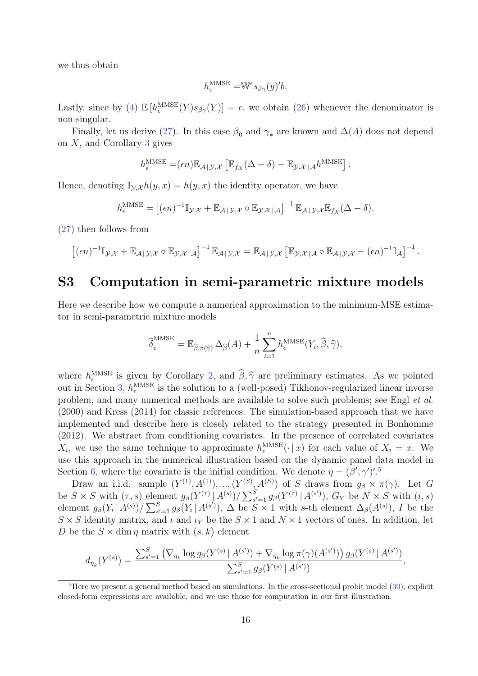we thus obtain

$$
h_{\epsilon}^{\text{MMSE}} = \mathbb{W}^{\epsilon} s_{\beta \gamma}(y)' b.
$$

Lastly, since by [\(4\)](#page--1-10)  $\mathbb{E}[h_{\epsilon}^{\text{MMSE}}(Y)s_{\beta\gamma}(Y)]=c$ , we obtain [\(26\)](#page--1-26) whenever the denominator is non-singular.

Finally, let us derive [\(27\)](#page--1-27). In this case  $\beta_0$  and  $\gamma_*$  are known and  $\Delta(A)$  does not depend on  $X$ , and Corollary [3](#page--1-23) gives

$$
h_{\epsilon}^{\text{MMSE}} = (\epsilon n) \mathbb{E}_{\mathcal{A} | \mathcal{Y}, \mathcal{X}} \left[ \mathbb{E}_{f_X} (\Delta - \delta) - \mathbb{E}_{\mathcal{Y}, \mathcal{X} | \mathcal{A}} h^{\text{MMSE}} \right].
$$

Hence, denoting  $\mathbb{I}_{\mathcal{Y},\mathcal{X}} h(y,x) = h(y,x)$  the identity operator, we have

$$
h_{\epsilon}^{\text{MMSE}} = [(\epsilon n)^{-1} \mathbb{I}_{\mathcal{Y},\mathcal{X}} + \mathbb{E}_{\mathcal{A}|\mathcal{Y},\mathcal{X}} \circ \mathbb{E}_{\mathcal{Y},\mathcal{X}|\mathcal{A}}]^{-1} \mathbb{E}_{\mathcal{A}|\mathcal{Y},\mathcal{X}} \mathbb{E}_{f_{X}}(\Delta - \delta).
$$

[\(27\)](#page--1-27) then follows from

$$
\left[ (\epsilon n)^{-1} \mathbb{I}_{\mathcal{Y},\mathcal{X}} + \mathbb{E}_{\mathcal{A}|\mathcal{Y},\mathcal{X}} \circ \mathbb{E}_{\mathcal{Y},\mathcal{X}|\mathcal{A}} \right]^{-1} \mathbb{E}_{\mathcal{A}|\mathcal{Y},\mathcal{X}} = \mathbb{E}_{\mathcal{A}|\mathcal{Y},\mathcal{X}} \left[ \mathbb{E}_{\mathcal{Y},\mathcal{X}|\mathcal{A}} \circ \mathbb{E}_{\mathcal{A}|\mathcal{Y},\mathcal{X}} + (\epsilon n)^{-1} \mathbb{I}_{\mathcal{A}} \right]^{-1}.
$$

# <span id="page-24-0"></span>S3 Computation in semi-parametric mixture models

Here we describe how we compute a numerical approximation to the minimum-MSE estimator in semi-parametric mixture models

$$
\widehat{\delta}_{\epsilon}^{\text{MMSE}} = \mathbb{E}_{\widehat{\beta}, \pi(\widehat{\gamma})} \Delta_{\widehat{\beta}}(A) + \frac{1}{n} \sum_{i=1}^{n} h_{\epsilon}^{\text{MMSE}}(Y_i, \widehat{\beta}, \widehat{\gamma}),
$$

where  $h_{\epsilon}^{\text{MMSE}}$  is given by Corollary [2,](#page--1-22) and  $\hat{\beta}, \hat{\gamma}$  are preliminary estimates. As we pointed<br>out in Soction 3, b<sup>MMSE</sup> is the solution to a (well posed) Tikkenov regularized linear inverse out in Section [3,](#page--1-5)  $h_{\epsilon}^{\text{MMSE}}$  is the solution to a (well-posed) Tikhonov-regularized linear inverse problem, and many numerical methods are available to solve such problems; see Engl et al. (2000) and Kress (2014) for classic references. The simulation-based approach that we have implemented and describe here is closely related to the strategy presented in Bonhomme (2012). We abstract from conditioning covariates. In the presence of correlated covariates  $X_i$ , we use the same technique to approximate  $h_{\epsilon}^{\text{MMSE}}(\cdot | x)$  for each value of  $X_i = x$ . We use this approach in the numerical illustration based on the dynamic panel data model in Section [6,](#page--1-3) where the covariate is the initial condition. We denote  $\eta = (\beta', \gamma')'.^5$  $\eta = (\beta', \gamma')'.^5$ 

Draw an i.i.d. sample  $(Y^{(1)}, A^{(1)}), ..., (Y^{(S)}, A^{(S)})$  of S draws from  $g_{\beta} \times \pi(\gamma)$ . Let G be  $S \times S$  with  $(\tau, s)$  element  $g_{\beta}(Y^{(\tau)} | A^{(s)}) / \sum_{s'=1}^{S} g_{\beta}(Y^{(\tau)} | A^{(s')})$ ,  $G_Y$  be  $N \times S$  with  $(i, s)$ element  $g_{\beta}(Y_i | A^{(s)})/\sum_{s'=1}^S g_{\beta}(Y_i | A^{(s')})$ ,  $\Delta$  be  $S \times 1$  with s-th element  $\Delta_{\beta}(A^{(s)})$ , I be the  $S \times S$  identity matrix, and  $\iota$  and  $\iota_Y$  be the  $S \times 1$  and  $N \times 1$  vectors of ones. In addition, let D be the  $S \times \dim \eta$  matrix with  $(s, k)$  element

$$
d_{\eta_k}(Y^{(s)}) = \frac{\sum_{s'=1}^S (\nabla_{\eta_k} \log g_{\beta}(Y^{(s)} | A^{(s')}) + \nabla_{\eta_k} \log \pi(\gamma)(A^{(s')}) ) g_{\beta}(Y^{(s)} | A^{(s')})}{\sum_{s'=1}^S g_{\beta}(Y^{(s)} | A^{(s')})},
$$

<span id="page-24-1"></span> ${}^{5}$ Here we present a general method based on simulations. In the cross-sectional probit model [\(30\)](#page--1-28), explicit closed-form expressions are available, and we use those for computation in our first illustration.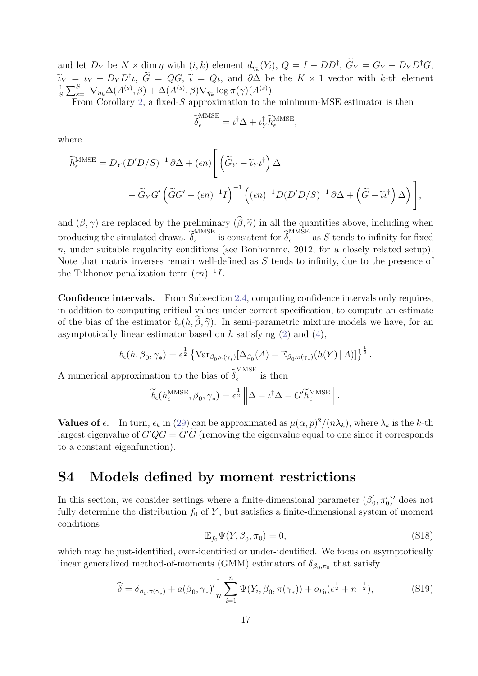and let  $D_Y$  be  $N \times \dim \eta$  with  $(i, k)$  element  $d_{\eta_k}(Y_i)$ ,  $Q = I - DD^{\dagger}$ ,  $G_Y = G_Y - D_Y D^{\dagger}G$ ,  $\widetilde{\iota}_Y = \iota_Y - D_Y D^{\dagger} \iota, \ \widetilde{G} = QG, \ \widetilde{\iota} = Q\iota, \text{ and } \partial \Delta \text{ be the } K \times 1 \text{ vector with } k\text{-th element}$ <br> $\widetilde{\iota}_X = \sum_{i=1}^S \sum_{i=1}^S \Lambda(A_i(s), \beta) + \Lambda(A_i(s), \beta) \nabla \cdot \widetilde{\iota}_X = (\alpha \cdot A_i(s))$ 1  $\frac{1}{S} \sum_{s=1}^{S} \nabla_{\eta_k} \Delta(A^{(s)}, \beta) + \Delta(A^{(s)}, \beta) \nabla_{\eta_k} \log \pi(\gamma)(A^{(s)}).$ 

From Corollary [2,](#page--1-22) a fixed-S approximation to the minimum-MSE estimator is then

$$
\widetilde{\delta}_{\epsilon}^{\text{MMSE}} = \iota^{\dagger} \Delta + \iota_Y^{\dagger} \widetilde{h}_{\epsilon}^{\text{MMSE}}
$$

,

where

$$
\widetilde{h}_{\epsilon}^{\text{MMSE}} = D_{Y}(D'D/S)^{-1} \partial \Delta + (\epsilon n) \left[ \left( \widetilde{G}_{Y} - \widetilde{\iota}_{Y} \iota^{\dagger} \right) \Delta - \widetilde{G}_{Y} G' \left( \widetilde{G} G' + (\epsilon n)^{-1} I \right)^{-1} \left( (\epsilon n)^{-1} D (D'D/S)^{-1} \partial \Delta + \left( \widetilde{G} - \widetilde{\iota} \iota^{\dagger} \right) \Delta \right) \right],
$$

and  $(\beta, \gamma)$  are replaced by the preliminary  $(\widehat{\beta}, \widehat{\gamma})$  in all the quantities above, including when producing the simulated draws.  $\widetilde{\delta}_{\epsilon}^{\text{MMSE}}$ MMSE is consistent for  $\widehat{\delta}_{\epsilon}^{\text{MMSE}}$  $\frac{1}{\epsilon}$  as S tends to infinity for fixed  $n$ , under suitable regularity conditions (see Bonhomme, 2012, for a closely related setup). Note that matrix inverses remain well-defined as  $S$  tends to infinity, due to the presence of the Tikhonov-penalization term  $(\epsilon n)^{-1}I$ .

Confidence intervals. From Subsection [2.4,](#page--1-29) computing confidence intervals only requires, in addition to computing critical values under correct specification, to compute an estimate of the bias of the estimator  $b_{\epsilon}(h, \hat{\beta}, \hat{\gamma})$ . In semi-parametric mixture models we have, for an asymptotically linear estimator based on h satisfying  $(2)$  and  $(4)$ ,

$$
b_{\epsilon}(h, \beta_0, \gamma_*) = \epsilon^{\frac{1}{2}} \left\{ \text{Var}_{\beta_0, \pi(\gamma_*)} [\Delta_{\beta_0}(A) - \mathbb{E}_{\beta_0, \pi(\gamma_*)}(h(Y) \mid A)] \right\}^{\frac{1}{2}}.
$$

A numerical approximation to the bias of  $\widehat{\delta}_{\epsilon}^{\text{MMSE}}$  $\frac{1}{\epsilon}$  is then

$$
\widetilde{b}_{\epsilon}(h_{\epsilon}^{\text{MMSE}}, \beta_0, \gamma_*) = \epsilon^{\frac{1}{2}} \left\| \Delta - \iota^{\dagger} \Delta - G' \widetilde{h}_{\epsilon}^{\text{MMSE}} \right\|.
$$

**Values of**  $\epsilon$ **.** In turn,  $\epsilon_k$  in [\(29\)](#page--1-30) can be approximated as  $\mu(\alpha, p)^2/(n\lambda_k)$ , where  $\lambda_k$  is the k-th largest eigenvalue of  $G'QG = \tilde{G}'\tilde{G}$  (removing the eigenvalue equal to one since it corresponds to a constant eigenfunction).

## <span id="page-25-0"></span>S4 Models defined by moment restrictions

In this section, we consider settings where a finite-dimensional parameter  $(\beta_0)$  $(0', \pi'_0)'$  does not fully determine the distribution  $f_0$  of Y, but satisfies a finite-dimensional system of moment conditions

<span id="page-25-2"></span>
$$
\mathbb{E}_{f_0}\Psi(Y,\beta_0,\pi_0)=0,\tag{S18}
$$

which may be just-identified, over-identified or under-identified. We focus on asymptotically linear generalized method-of-moments (GMM) estimators of  $\delta_{\beta_0,\pi_0}$  that satisfy

<span id="page-25-1"></span>
$$
\widehat{\delta} = \delta_{\beta_0, \pi(\gamma_*)} + a(\beta_0, \gamma_*)' \frac{1}{n} \sum_{i=1}^n \Psi(Y_i, \beta_0, \pi(\gamma_*)) + o_{P_0}(\epsilon^{\frac{1}{2}} + n^{-\frac{1}{2}}),
$$
\n(S19)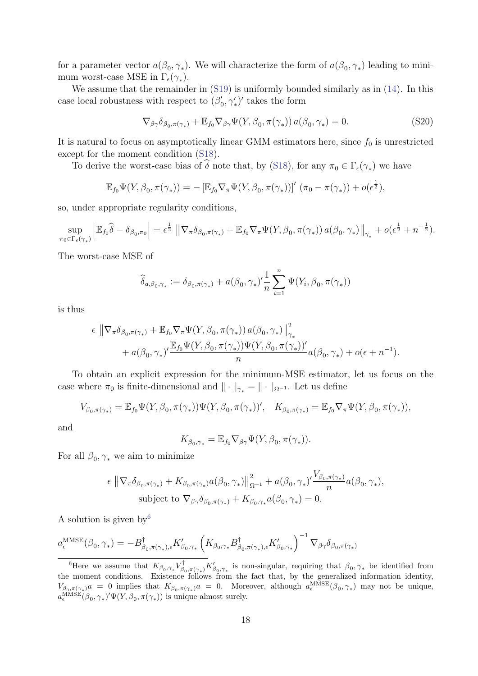for a parameter vector  $a(\beta_0, \gamma_*)$ . We will characterize the form of  $a(\beta_0, \gamma_*)$  leading to minimum worst-case MSE in  $\Gamma_{\epsilon}(\gamma_*)$ .

We assume that the remainder in  $(S19)$  is uniformly bounded similarly as in  $(14)$ . In this case local robustness with respect to  $(\beta_0)$  $(v_0', \gamma'_*)'$  takes the form

$$
\nabla_{\beta\gamma}\delta_{\beta_0,\pi(\gamma_*)} + \mathbb{E}_{f_0}\nabla_{\beta\gamma}\Psi(Y,\beta_0,\pi(\gamma_*)) a(\beta_0,\gamma_*) = 0.
$$
 (S20)

It is natural to focus on asymptotically linear GMM estimators here, since  $f_0$  is unrestricted except for the moment condition [\(S18\)](#page-25-2).

To derive the worst-case bias of  $\delta$  note that, by [\(S18\)](#page-25-2), for any  $\pi_0 \in \Gamma_{\epsilon}(\gamma_*)$  we have

$$
\mathbb{E}_{f_0}\Psi(Y,\beta_0,\pi(\gamma_*))=-\left[\mathbb{E}_{f_0}\nabla_{\pi}\Psi(Y,\beta_0,\pi(\gamma_*))\right]'\left(\pi_0-\pi(\gamma_*)\right)+o(\epsilon^{\frac{1}{2}}),
$$

so, under appropriate regularity conditions,

$$
\sup_{\pi_0 \in \Gamma_{\epsilon}(\gamma_*)} \left| \mathbb{E}_{f_0} \widehat{\delta} - \delta_{\beta_0, \pi_0} \right| = \epsilon^{\frac{1}{2}} \left\| \nabla_{\pi} \delta_{\beta_0, \pi(\gamma_*)} + \mathbb{E}_{f_0} \nabla_{\pi} \Psi(Y, \beta_0, \pi(\gamma_*)) a(\beta_0, \gamma_*) \right\|_{\gamma_*} + o(\epsilon^{\frac{1}{2}} + n^{-\frac{1}{2}}).
$$

The worst-case MSE of

$$
\widehat{\delta}_{a,\beta_0,\gamma_*} := \delta_{\beta_0,\pi(\gamma_*)} + a(\beta_0,\gamma_*)' \frac{1}{n} \sum_{i=1}^n \Psi(Y_i,\beta_0,\pi(\gamma_*))
$$

is thus

$$
\epsilon \|\nabla_{\pi}\delta_{\beta_0, \pi(\gamma_*)} + \mathbb{E}_{f_0}\nabla_{\pi}\Psi(Y, \beta_0, \pi(\gamma_*)) a(\beta_0, \gamma_*)\|_{\gamma_*}^2 + a(\beta_0, \gamma_*)' \frac{\mathbb{E}_{f_0}\Psi(Y, \beta_0, \pi(\gamma_*))\Psi(Y, \beta_0, \pi(\gamma_*))'}{n}a(\beta_0, \gamma_*) + o(\epsilon + n^{-1}).
$$

To obtain an explicit expression for the minimum-MSE estimator, let us focus on the case where  $\pi_0$  is finite-dimensional and  $\|\cdot\|_{\gamma_*} = \|\cdot\|_{\Omega^{-1}}$ . Let us define

$$
V_{\beta_0, \pi(\gamma_*)} = \mathbb{E}_{f_0} \Psi(Y, \beta_0, \pi(\gamma_*)) \Psi(Y, \beta_0, \pi(\gamma_*))', \quad K_{\beta_0, \pi(\gamma_*)} = \mathbb{E}_{f_0} \nabla_{\pi} \Psi(Y, \beta_0, \pi(\gamma_*)),
$$

and

$$
K_{\beta_0,\gamma_*}=\mathbb{E}_{f_0}\nabla_{\beta\gamma}\Psi(Y,\beta_0,\pi(\gamma_*)).
$$

For all  $\beta_0, \gamma_*$  we aim to minimize

$$
\epsilon \|\nabla_{\pi}\delta_{\beta_0, \pi(\gamma_*)} + K_{\beta_0, \pi(\gamma_*)}a(\beta_0, \gamma_*)\|_{\Omega^{-1}}^2 + a(\beta_0, \gamma_*)' \frac{V_{\beta_0, \pi(\gamma_*)}}{n}a(\beta_0, \gamma_*),
$$
  
subject to  $\nabla_{\beta\gamma}\delta_{\beta_0, \pi(\gamma_*)} + K_{\beta_0, \gamma_*}a(\beta_0, \gamma_*) = 0.$ 

A solution is given by  $6\overline{)}$  $6\overline{)}$ 

$$
a_{\epsilon}^{\text{MMSE}}(\beta_0, \gamma_*) = -B_{\beta_0, \pi(\gamma_*), \epsilon}^{\dagger} K'_{\beta_0, \gamma_*} \left( K_{\beta_0, \gamma_*} B_{\beta_0, \pi(\gamma_*), \epsilon}^{\dagger} K'_{\beta_0, \gamma_*} \right)^{-1} \nabla_{\beta \gamma} \delta_{\beta_0, \pi(\gamma_*)}
$$

<span id="page-26-0"></span><sup>&</sup>lt;sup>6</sup>Here we assume that  $K_{\beta_0, \gamma_*} V_{\beta_0}^{\dagger}$  $\beta_{0,\pi(\gamma_*)} K'_{\beta_0,\gamma_*}$  is non-singular, requiring that  $\beta_0, \gamma_*$  be identified from the moment conditions. Existence follows from the fact that, by the generalized information identity,  $V_{\beta_0,\pi(\gamma_*)}a = 0$  implies that  $K_{\beta_0,\pi(\gamma_*)}a = 0$ . Moreover, although  $a_{\epsilon}^{\text{MMSE}}(\beta_0,\gamma_*)$  may not be unique,  $a_{\epsilon}^{\text{MMSE}}(\beta_0, \gamma_*)' \Psi(Y, \beta_0, \pi(\gamma_*))$  is unique almost surely.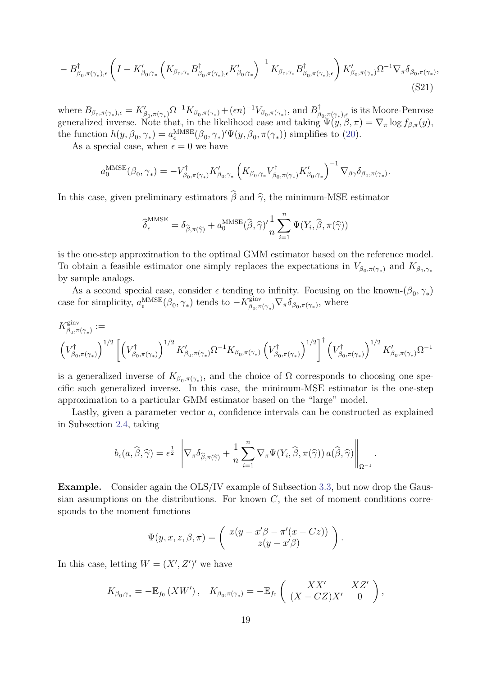$$
-B^{\dagger}_{\beta_{0},\pi(\gamma_{*}),\epsilon}\left(I-K'_{\beta_{0},\gamma_{*}}\left(K_{\beta_{0},\gamma_{*}}B^{\dagger}_{\beta_{0},\pi(\gamma_{*}),\epsilon}K'_{\beta_{0},\gamma_{*}}\right)^{-1}K_{\beta_{0},\gamma_{*}}B^{\dagger}_{\beta_{0},\pi(\gamma_{*}),\epsilon}\right)K'_{\beta_{0},\pi(\gamma_{*})}\Omega^{-1}\nabla_{\pi}\delta_{\beta_{0},\pi(\gamma_{*})},\tag{S21}
$$

where  $B_{\beta_0, \pi(\gamma_*)}, \epsilon = K'_{\beta_0, \pi(\gamma_*)} \Omega^{-1} K_{\beta_0, \pi(\gamma_*)} + (\epsilon n)^{-1} V_{\beta_0, \pi(\gamma_*)}$ , and  $B_{\beta_0}^{\dagger}$  $\beta_{0,\overline{\pi}(\gamma_{*}),\epsilon}$  is its Moore-Penrose generalized inverse. Note that, in the likelihood case and taking  $\Psi(y,\beta,\pi) = \nabla_{\pi} \log f_{\beta,\pi}(y)$ , the function  $h(y, \beta_0, \gamma_*) = a_{\epsilon}^{\text{MMSE}}(\beta_0, \gamma_*)' \Psi(y, \beta_0, \pi(\gamma_*))$  simplifies to [\(20\)](#page--1-4).

As a special case, when  $\epsilon = 0$  we have

$$
a_0^{\text{MMSE}}(\beta_0, \gamma_*) = -V_{\beta_0, \pi(\gamma_*)}^{\dagger} K'_{\beta_0, \gamma_*} \left( K_{\beta_0, \gamma_*} V_{\beta_0, \pi(\gamma_*)}^{\dagger} K'_{\beta_0, \gamma_*} \right)^{-1} \nabla_{\beta \gamma} \delta_{\beta_0, \pi(\gamma_*)}.
$$

In this case, given preliminary estimators  $\widehat{\beta}$  and  $\widehat{\gamma}$ , the minimum-MSE estimator

<span id="page-27-0"></span>
$$
\widehat{\boldsymbol{\delta}}^{\mathrm{MMSE}}_{\epsilon} = \delta_{\widehat{\boldsymbol{\beta}}, \pi(\widehat{\boldsymbol{\gamma}})} + a^{\mathrm{MMSE}}_{0}(\widehat{\boldsymbol{\beta}}, \widehat{\boldsymbol{\gamma}})' \frac{1}{n} \sum_{i=1}^{n} \Psi(Y_i, \widehat{\boldsymbol{\beta}}, \pi(\widehat{\boldsymbol{\gamma}}))
$$

is the one-step approximation to the optimal GMM estimator based on the reference model. To obtain a feasible estimator one simply replaces the expectations in  $V_{\beta_0,\pi(\gamma_*)}$  and  $K_{\beta_0,\gamma_*}$ by sample analogs.

As a second special case, consider  $\epsilon$  tending to infinity. Focusing on the known- $(\beta_0, \gamma_*)$ case for simplicity,  $a_{\epsilon}^{\text{MMSE}}(\beta_0, \gamma_*)$  tends to  $-K^{\text{ginv}}_{\beta_0, \pi}$ <sup>ginv</sup> $\beta_{0}, \pi(\gamma_*)\nabla_{\pi}\delta_{\beta_0, \pi(\gamma_*)}$ , where

$$
K^{\text{ginv}}_{\beta_0, \pi(\gamma_*)} := \left( V^{\dagger}_{\beta_0, \pi(\gamma_*)} \right)^{1/2} \left[ \left( V^{\dagger}_{\beta_0, \pi(\gamma_*)} \right)^{1/2} K'_{\beta_0, \pi(\gamma_*)} \Omega^{-1} K_{\beta_0, \pi(\gamma_*)} \left( V^{\dagger}_{\beta_0, \pi(\gamma_*)} \right)^{1/2} \right]^{\dagger} \left( V^{\dagger}_{\beta_0, \pi(\gamma_*)} \right)^{1/2} K'_{\beta_0, \pi(\gamma_*)} \Omega^{-1}
$$

is a generalized inverse of  $K_{\beta_0,\pi(\gamma_*)}$ , and the choice of  $\Omega$  corresponds to choosing one specific such generalized inverse. In this case, the minimum-MSE estimator is the one-step approximation to a particular GMM estimator based on the "large" model.

Lastly, given a parameter vector a, confidence intervals can be constructed as explained in Subsection [2.4,](#page--1-29) taking

$$
b_{\epsilon}(a,\widehat{\beta},\widehat{\gamma})=\epsilon^{\frac{1}{2}}\left\|\nabla_{\pi}\delta_{\widehat{\beta},\pi(\widehat{\gamma})}+\frac{1}{n}\sum_{i=1}^{n}\nabla_{\pi}\Psi(Y_i,\widehat{\beta},\pi(\widehat{\gamma}))\,a(\widehat{\beta},\widehat{\gamma})\right\|_{\Omega^{-1}}.
$$

Example. Consider again the OLS/IV example of Subsection [3.3,](#page--1-31) but now drop the Gaussian assumptions on the distributions. For known  $C$ , the set of moment conditions corresponds to the moment functions

$$
\Psi(y, x, z, \beta, \pi) = \begin{pmatrix} x(y - x'\beta - \pi'(x - Cz)) \\ z(y - x'\beta) \end{pmatrix}.
$$

In this case, letting  $W = (X', Z')'$  we have

$$
K_{\beta_0,\gamma_*} = -\mathbb{E}_{f_0}\left(XW'\right), \quad K_{\beta_0,\pi(\gamma_*)} = -\mathbb{E}_{f_0}\left(\begin{array}{cc} XX' & XZ' \\ (X - CZ)X' & 0 \end{array}\right),
$$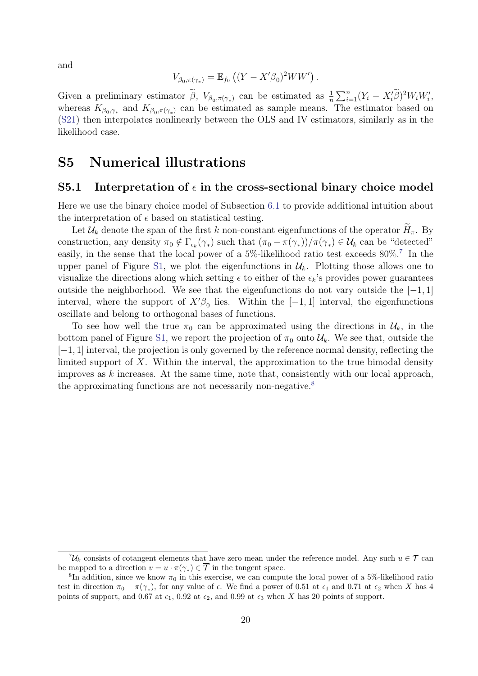and

$$
V_{\beta_0, \pi(\gamma_*)} = \mathbb{E}_{f_0} \left( (Y - X'\beta_0)^2 WW' \right).
$$

Given a preliminary estimator  $\tilde{\beta}$ ,  $V_{\beta_0, \pi(\gamma_*)}$  can be estimated as  $\frac{1}{n} \sum_{i=1}^n (Y_i - X_i \tilde{\beta})^2 W_i W_i'$ , whereas  $K_{\beta_0,\gamma_*}$  and  $K_{\beta_0,\pi(\gamma_*)}$  can be estimated as sample means. The estimator based on [\(S21\)](#page-27-0) then interpolates nonlinearly between the OLS and IV estimators, similarly as in the likelihood case.

## <span id="page-28-0"></span>S5 Numerical illustrations

#### S5.1 Interpretation of  $\epsilon$  in the cross-sectional binary choice model

Here we use the binary choice model of Subsection [6.1](#page--1-32) to provide additional intuition about the interpretation of  $\epsilon$  based on statistical testing.

Let  $\mathcal{U}_k$  denote the span of the first k non-constant eigenfunctions of the operator  $\tilde{H}_{\pi}$ . By construction, any density  $\pi_0 \notin \Gamma_{\epsilon_k}(\gamma_*)$  such that  $(\pi_0 - \pi(\gamma_*))/\pi(\gamma_*) \in \mathcal{U}_k$  can be "detected" easily, in the sense that the local power of a 5%-likelihood ratio test exceeds 80%.[7](#page-28-1) In the upper panel of Figure [S1,](#page-29-0) we plot the eigenfunctions in  $\mathcal{U}_k$ . Plotting those allows one to visualize the directions along which setting  $\epsilon$  to either of the  $\epsilon_k$ 's provides power guarantees outside the neighborhood. We see that the eigenfunctions do not vary outside the  $[-1, 1]$ interval, where the support of  $X'\beta_0$  lies. Within the  $[-1, 1]$  interval, the eigenfunctions oscillate and belong to orthogonal bases of functions.

To see how well the true  $\pi_0$  can be approximated using the directions in  $\mathcal{U}_k$ , in the bottom panel of Figure [S1,](#page-29-0) we report the projection of  $\pi_0$  onto  $\mathcal{U}_k$ . We see that, outside the [−1, 1] interval, the projection is only governed by the reference normal density, reflecting the limited support of  $X$ . Within the interval, the approximation to the true bimodal density improves as  $k$  increases. At the same time, note that, consistently with our local approach, the approximating functions are not necessarily non-negative.<sup>[8](#page-28-2)</sup>

<span id="page-28-1"></span> ${}^{7}U_{k}$  consists of cotangent elements that have zero mean under the reference model. Any such  $u \in \mathcal{T}$  can be mapped to a direction  $v = u \cdot \pi(\gamma_*) \in \overline{\mathcal{T}}$  in the tangent space.

<span id="page-28-2"></span><sup>&</sup>lt;sup>8</sup>In addition, since we know  $\pi_0$  in this exercise, we can compute the local power of a 5%-likelihood ratio test in direction  $\pi_0 - \pi(\gamma_*)$ , for any value of  $\epsilon$ . We find a power of 0.51 at  $\epsilon_1$  and 0.71 at  $\epsilon_2$  when X has 4 points of support, and 0.67 at  $\epsilon_1$ , 0.92 at  $\epsilon_2$ , and 0.99 at  $\epsilon_3$  when X has 20 points of support.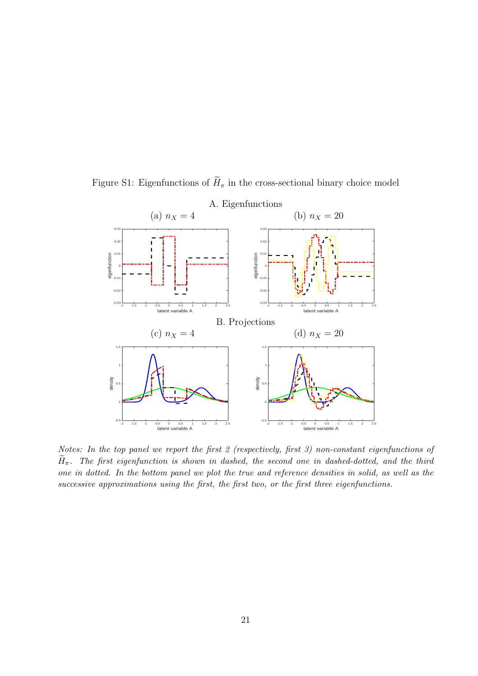<span id="page-29-0"></span>

Figure S1: Eigenfunctions of  $\widetilde{H}_{\pi}$  in the cross-sectional binary choice model

Notes: In the top panel we report the first 2 (respectively, first 3) non-constant eigenfunctions of  $\widetilde{H}_{\pi}$ . The first eigenfunction is shown in dashed, the second one in dashed-dotted, and the third one in dotted. In the bottom panel we plot the true and reference densities in solid, as well as the successive approximations using the first, the first two, or the first three eigenfunctions.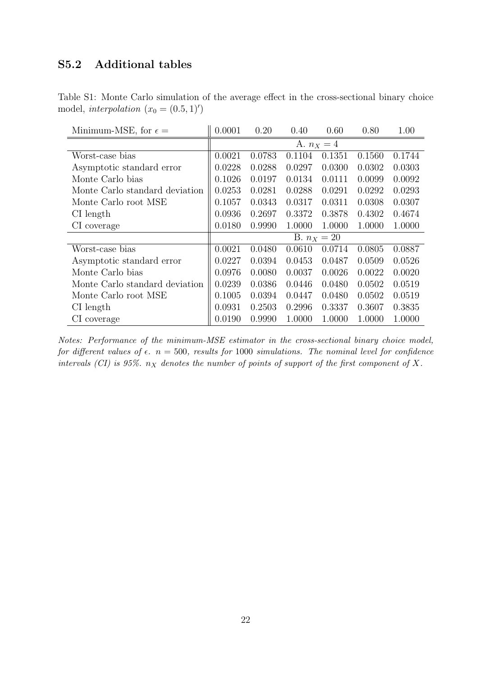## S5.2 Additional tables

<span id="page-30-0"></span>Table S1: Monte Carlo simulation of the average effect in the cross-sectional binary choice model, interpolation  $(x_0 = (0.5, 1)')$ 

| Minimum-MSE, for $\epsilon =$  | 0.0001        | 0.20   | 0.40   | 0.60   | 0.80   | 1.00   |  |
|--------------------------------|---------------|--------|--------|--------|--------|--------|--|
|                                | A. $n_X = 4$  |        |        |        |        |        |  |
| Worst-case bias                | 0.0021        | 0.0783 | 0.1104 | 0.1351 | 0.1560 | 0.1744 |  |
| Asymptotic standard error      | 0.0228        | 0.0288 | 0.0297 | 0.0300 | 0.0302 | 0.0303 |  |
| Monte Carlo bias               | 0.1026        | 0.0197 | 0.0134 | 0.0111 | 0.0099 | 0.0092 |  |
| Monte Carlo standard deviation | 0.0253        | 0.0281 | 0.0288 | 0.0291 | 0.0292 | 0.0293 |  |
| Monte Carlo root MSE           | 0.1057        | 0.0343 | 0.0317 | 0.0311 | 0.0308 | 0.0307 |  |
| $CI$ length                    | 0.0936        | 0.2697 | 0.3372 | 0.3878 | 0.4302 | 0.4674 |  |
| CI coverage                    | 0.0180        | 0.9990 | 1.0000 | 1.0000 | 1.0000 | 1.0000 |  |
|                                | B. $n_X = 20$ |        |        |        |        |        |  |
| Worst-case bias                | 0.0021        | 0.0480 | 0.0610 | 0.0714 | 0.0805 | 0.0887 |  |
| Asymptotic standard error      | 0.0227        | 0.0394 | 0.0453 | 0.0487 | 0.0509 | 0.0526 |  |
| Monte Carlo bias               | 0.0976        | 0.0080 | 0.0037 | 0.0026 | 0.0022 | 0.0020 |  |
| Monte Carlo standard deviation | 0.0239        | 0.0386 | 0.0446 | 0.0480 | 0.0502 | 0.0519 |  |
| Monte Carlo root MSE           | 0.1005        | 0.0394 | 0.0447 | 0.0480 | 0.0502 | 0.0519 |  |
| CI length                      | 0.0931        | 0.2503 | 0.2996 | 0.3337 | 0.3607 | 0.3835 |  |
| CI coverage                    | 0.0190        | 0.9990 | 1.0000 | 1.0000 | 1.0000 | 1.0000 |  |

Notes: Performance of the minimum-MSE estimator in the cross-sectional binary choice model, for different values of  $\epsilon$ .  $n = 500$ , results for 1000 simulations. The nominal level for confidence intervals (CI) is 95%.  $n_X$  denotes the number of points of support of the first component of X.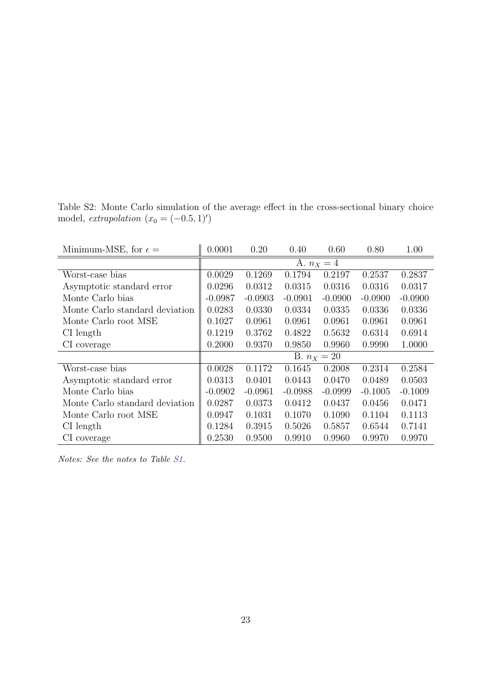Table S2: Monte Carlo simulation of the average effect in the cross-sectional binary choice model, extrapolation  $(x_0 = (-0.5, 1)')$ 

| Minimum-MSE, for $\epsilon =$  | 0.0001        | 0.20      | 0.40      | 0.60      | 0.80      | 1.00      |  |
|--------------------------------|---------------|-----------|-----------|-----------|-----------|-----------|--|
|                                | A. $n_X = 4$  |           |           |           |           |           |  |
| Worst-case bias                | 0.0029        | 0.1269    | 0.1794    | 0.2197    | 0.2537    | 0.2837    |  |
| Asymptotic standard error      | 0.0296        | 0.0312    | 0.0315    | 0.0316    | 0.0316    | 0.0317    |  |
| Monte Carlo bias               | $-0.0987$     | $-0.0903$ | $-0.0901$ | $-0.0900$ | $-0.0900$ | $-0.0900$ |  |
| Monte Carlo standard deviation | 0.0283        | 0.0330    | 0.0334    | 0.0335    | 0.0336    | 0.0336    |  |
| Monte Carlo root MSE           | 0.1027        | 0.0961    | 0.0961    | 0.0961    | 0.0961    | 0.0961    |  |
| CI length                      | 0.1219        | 0.3762    | 0.4822    | 0.5632    | 0.6314    | 0.6914    |  |
| CI coverage                    | 0.2000        | 0.9370    | 0.9850    | 0.9960    | 0.9990    | 1.0000    |  |
|                                | B. $n_X = 20$ |           |           |           |           |           |  |
| Worst-case bias                | 0.0028        | 0.1172    | 0.1645    | 0.2008    | 0.2314    | 0.2584    |  |
| Asymptotic standard error      | 0.0313        | 0.0401    | 0.0443    | 0.0470    | 0.0489    | 0.0503    |  |
| Monte Carlo bias               | $-0.0902$     | $-0.0961$ | $-0.0988$ | $-0.0999$ | $-0.1005$ | $-0.1009$ |  |
| Monte Carlo standard deviation | 0.0287        | 0.0373    | 0.0412    | 0.0437    | 0.0456    | 0.0471    |  |
| Monte Carlo root MSE           | 0.0947        | 0.1031    | 0.1070    | 0.1090    | 0.1104    | 0.1113    |  |
| CI length                      | 0.1284        | 0.3915    | 0.5026    | 0.5857    | 0.6544    | 0.7141    |  |
| CI coverage                    | 0.2530        | 0.9500    | 0.9910    | 0.9960    | 0.9970    | 0.9970    |  |

Notes: See the notes to Table [S1.](#page-30-0)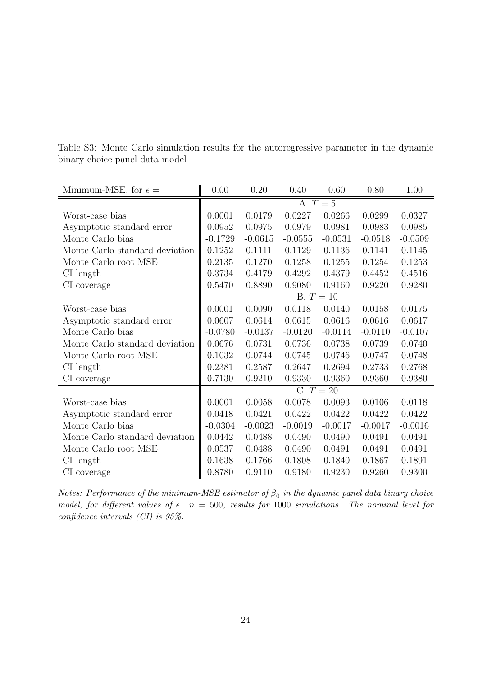| Minimum-MSE, for $\epsilon =$  | 0.00        | 0.20      | 0.40      | 0.60      | 0.80      | 1.00      |  |
|--------------------------------|-------------|-----------|-----------|-----------|-----------|-----------|--|
|                                | A. $T=5$    |           |           |           |           |           |  |
| Worst-case bias                | 0.0001      | 0.0179    | 0.0227    | 0.0266    | 0.0299    | 0.0327    |  |
| Asymptotic standard error      | 0.0952      | 0.0975    | 0.0979    | 0.0981    | 0.0983    | 0.0985    |  |
| Monte Carlo bias               | $-0.1729$   | $-0.0615$ | $-0.0555$ | $-0.0531$ | $-0.0518$ | $-0.0509$ |  |
| Monte Carlo standard deviation | 0.1252      | 0.1111    | 0.1129    | 0.1136    | 0.1141    | 0.1145    |  |
| Monte Carlo root MSE           | 0.2135      | 0.1270    | 0.1258    | 0.1255    | 0.1254    | 0.1253    |  |
| $CI$ length                    | 0.3734      | 0.4179    | 0.4292    | 0.4379    | 0.4452    | 0.4516    |  |
| CI coverage                    | 0.5470      | 0.8890    | 0.9080    | 0.9160    | 0.9220    | 0.9280    |  |
|                                | $B. T = 10$ |           |           |           |           |           |  |
| Worst-case bias                | 0.0001      | 0.0090    | 0.0118    | 0.0140    | 0.0158    | 0.0175    |  |
| Asymptotic standard error      | 0.0607      | 0.0614    | 0.0615    | 0.0616    | 0.0616    | 0.0617    |  |
| Monte Carlo bias               | $-0.0780$   | $-0.0137$ | $-0.0120$ | $-0.0114$ | $-0.0110$ | $-0.0107$ |  |
| Monte Carlo standard deviation | 0.0676      | 0.0731    | 0.0736    | 0.0738    | 0.0739    | 0.0740    |  |
| Monte Carlo root MSE           | 0.1032      | 0.0744    | 0.0745    | 0.0746    | 0.0747    | 0.0748    |  |
| $CI$ length                    | 0.2381      | 0.2587    | 0.2647    | 0.2694    | 0.2733    | 0.2768    |  |
| CI coverage                    | 0.7130      | 0.9210    | 0.9330    | 0.9360    | 0.9360    | 0.9380    |  |
|                                | $C. T = 20$ |           |           |           |           |           |  |
| Worst-case bias                | 0.0001      | 0.0058    | 0.0078    | 0.0093    | 0.0106    | 0.0118    |  |
| Asymptotic standard error      | 0.0418      | 0.0421    | 0.0422    | 0.0422    | 0.0422    | 0.0422    |  |
| Monte Carlo bias               | $-0.0304$   | $-0.0023$ | $-0.0019$ | $-0.0017$ | $-0.0017$ | $-0.0016$ |  |
| Monte Carlo standard deviation | 0.0442      | 0.0488    | 0.0490    | 0.0490    | 0.0491    | 0.0491    |  |
| Monte Carlo root MSE           | 0.0537      | 0.0488    | 0.0490    | 0.0491    | 0.0491    | 0.0491    |  |
| CI length                      | 0.1638      | 0.1766    | 0.1808    | 0.1840    | 0.1867    | 0.1891    |  |
| CI coverage                    | 0.8780      | 0.9110    | 0.9180    | 0.9230    | 0.9260    | 0.9300    |  |

Table S3: Monte Carlo simulation results for the autoregressive parameter in the dynamic binary choice panel data model

Notes: Performance of the minimum-MSE estimator of  $\beta_0$  in the dynamic panel data binary choice model, for different values of  $\epsilon$ .  $n = 500$ , results for 1000 simulations. The nominal level for confidence intervals (CI) is 95%.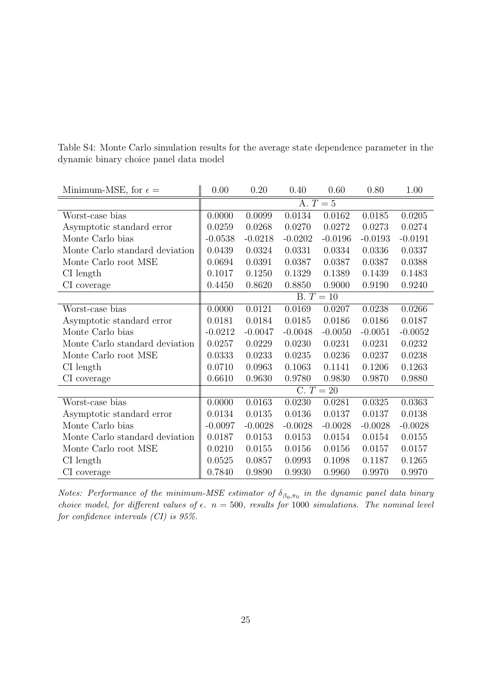| Minimum-MSE, for $\epsilon =$  | 0.00        | 0.20      | 0.40      | 0.60      | 0.80      | 1.00      |  |
|--------------------------------|-------------|-----------|-----------|-----------|-----------|-----------|--|
|                                | A. $T=5$    |           |           |           |           |           |  |
| Worst-case bias                | 0.0000      | 0.0099    | 0.0134    | 0.0162    | 0.0185    | 0.0205    |  |
| Asymptotic standard error      | 0.0259      | 0.0268    | 0.0270    | 0.0272    | 0.0273    | 0.0274    |  |
| Monte Carlo bias               | $-0.0538$   | $-0.0218$ | $-0.0202$ | $-0.0196$ | $-0.0193$ | $-0.0191$ |  |
| Monte Carlo standard deviation | 0.0439      | 0.0324    | 0.0331    | 0.0334    | 0.0336    | 0.0337    |  |
| Monte Carlo root MSE           | 0.0694      | 0.0391    | 0.0387    | 0.0387    | 0.0387    | 0.0388    |  |
| $CI$ length                    | 0.1017      | 0.1250    | 0.1329    | 0.1389    | 0.1439    | 0.1483    |  |
| CI coverage                    | 0.4450      | 0.8620    | 0.8850    | 0.9000    | 0.9190    | 0.9240    |  |
|                                | $B. T = 10$ |           |           |           |           |           |  |
| Worst-case bias                | 0.0000      | 0.0121    | 0.0169    | 0.0207    | 0.0238    | 0.0266    |  |
| Asymptotic standard error      | 0.0181      | 0.0184    | 0.0185    | 0.0186    | 0.0186    | 0.0187    |  |
| Monte Carlo bias               | $-0.0212$   | $-0.0047$ | $-0.0048$ | $-0.0050$ | $-0.0051$ | $-0.0052$ |  |
| Monte Carlo standard deviation | 0.0257      | 0.0229    | 0.0230    | 0.0231    | 0.0231    | 0.0232    |  |
| Monte Carlo root MSE           | 0.0333      | 0.0233    | 0.0235    | 0.0236    | 0.0237    | 0.0238    |  |
| $CI$ length                    | 0.0710      | 0.0963    | 0.1063    | 0.1141    | 0.1206    | 0.1263    |  |
| CI coverage                    | 0.6610      | 0.9630    | 0.9780    | 0.9830    | 0.9870    | 0.9880    |  |
|                                | $C. T = 20$ |           |           |           |           |           |  |
| Worst-case bias                | 0.0000      | 0.0163    | 0.0230    | 0.0281    | 0.0325    | 0.0363    |  |
| Asymptotic standard error      | 0.0134      | 0.0135    | 0.0136    | 0.0137    | 0.0137    | 0.0138    |  |
| Monte Carlo bias               | $-0.0097$   | $-0.0028$ | $-0.0028$ | $-0.0028$ | $-0.0028$ | $-0.0028$ |  |
| Monte Carlo standard deviation | 0.0187      | 0.0153    | 0.0153    | 0.0154    | 0.0154    | 0.0155    |  |
| Monte Carlo root MSE           | 0.0210      | 0.0155    | 0.0156    | 0.0156    | 0.0157    | 0.0157    |  |
| CI length                      | 0.0525      | 0.0857    | 0.0993    | 0.1098    | 0.1187    | 0.1265    |  |
| CI coverage                    | 0.7840      | 0.9890    | 0.9930    | 0.9960    | 0.9970    | 0.9970    |  |

Table S4: Monte Carlo simulation results for the average state dependence parameter in the dynamic binary choice panel data model

Notes: Performance of the minimum-MSE estimator of  $\delta_{\beta_0,\pi_0}$  in the dynamic panel data binary choice model, for different values of  $\epsilon$ .  $n = 500$ , results for 1000 simulations. The nominal level for confidence intervals (CI) is 95%.